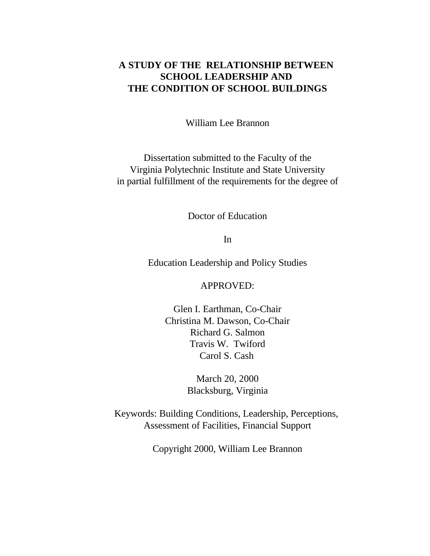## **A STUDY OF THE RELATIONSHIP BETWEEN SCHOOL LEADERSHIP AND THE CONDITION OF SCHOOL BUILDINGS**

William Lee Brannon

Dissertation submitted to the Faculty of the Virginia Polytechnic Institute and State University in partial fulfillment of the requirements for the degree of

Doctor of Education

In

Education Leadership and Policy Studies

APPROVED:

Glen I. Earthman, Co-Chair Christina M. Dawson, Co-Chair Richard G. Salmon Travis W. Twiford Carol S. Cash

> March 20, 2000 Blacksburg, Virginia

Keywords: Building Conditions, Leadership, Perceptions, Assessment of Facilities, Financial Support

Copyright 2000, William Lee Brannon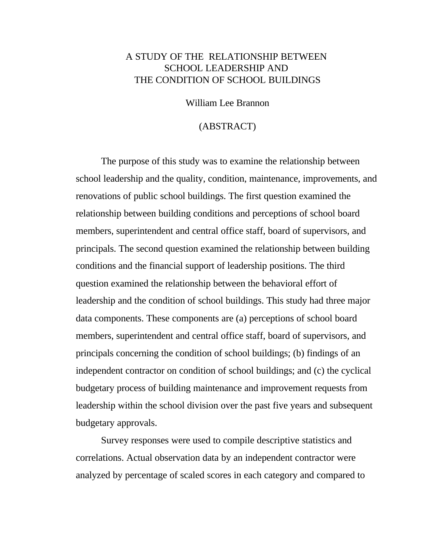## A STUDY OF THE RELATIONSHIP BETWEEN SCHOOL LEADERSHIP AND THE CONDITION OF SCHOOL BUILDINGS

William Lee Brannon

#### (ABSTRACT)

The purpose of this study was to examine the relationship between school leadership and the quality, condition, maintenance, improvements, and renovations of public school buildings. The first question examined the relationship between building conditions and perceptions of school board members, superintendent and central office staff, board of supervisors, and principals. The second question examined the relationship between building conditions and the financial support of leadership positions. The third question examined the relationship between the behavioral effort of leadership and the condition of school buildings. This study had three major data components. These components are (a) perceptions of school board members, superintendent and central office staff, board of supervisors, and principals concerning the condition of school buildings; (b) findings of an independent contractor on condition of school buildings; and (c) the cyclical budgetary process of building maintenance and improvement requests from leadership within the school division over the past five years and subsequent budgetary approvals.

Survey responses were used to compile descriptive statistics and correlations. Actual observation data by an independent contractor were analyzed by percentage of scaled scores in each category and compared to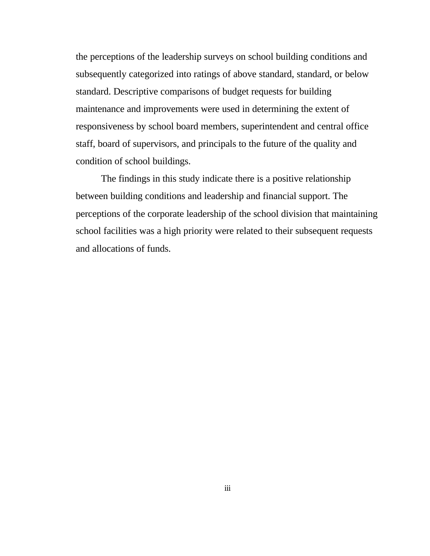the perceptions of the leadership surveys on school building conditions and subsequently categorized into ratings of above standard, standard, or below standard. Descriptive comparisons of budget requests for building maintenance and improvements were used in determining the extent of responsiveness by school board members, superintendent and central office staff, board of supervisors, and principals to the future of the quality and condition of school buildings.

The findings in this study indicate there is a positive relationship between building conditions and leadership and financial support. The perceptions of the corporate leadership of the school division that maintaining school facilities was a high priority were related to their subsequent requests and allocations of funds.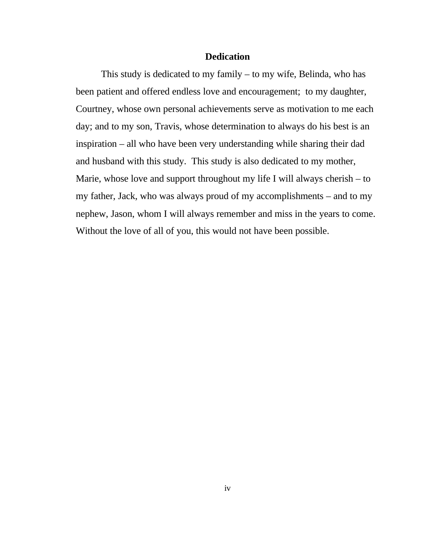#### **Dedication**

This study is dedicated to my family – to my wife, Belinda, who has been patient and offered endless love and encouragement; to my daughter, Courtney, whose own personal achievements serve as motivation to me each day; and to my son, Travis, whose determination to always do his best is an inspiration – all who have been very understanding while sharing their dad and husband with this study. This study is also dedicated to my mother, Marie, whose love and support throughout my life I will always cherish – to my father, Jack, who was always proud of my accomplishments – and to my nephew, Jason, whom I will always remember and miss in the years to come. Without the love of all of you, this would not have been possible.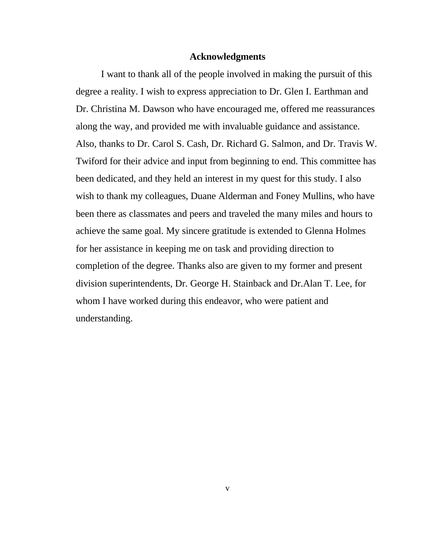#### **Acknowledgments**

I want to thank all of the people involved in making the pursuit of this degree a reality. I wish to express appreciation to Dr. Glen I. Earthman and Dr. Christina M. Dawson who have encouraged me, offered me reassurances along the way, and provided me with invaluable guidance and assistance. Also, thanks to Dr. Carol S. Cash, Dr. Richard G. Salmon, and Dr. Travis W. Twiford for their advice and input from beginning to end. This committee has been dedicated, and they held an interest in my quest for this study. I also wish to thank my colleagues, Duane Alderman and Foney Mullins, who have been there as classmates and peers and traveled the many miles and hours to achieve the same goal. My sincere gratitude is extended to Glenna Holmes for her assistance in keeping me on task and providing direction to completion of the degree. Thanks also are given to my former and present division superintendents, Dr. George H. Stainback and Dr.Alan T. Lee, for whom I have worked during this endeavor, who were patient and understanding.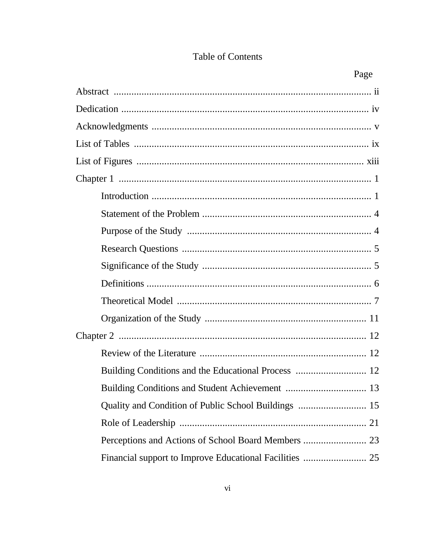## Table of Contents

| Building Conditions and the Educational Process  12 |
|-----------------------------------------------------|
|                                                     |
|                                                     |
|                                                     |
|                                                     |
|                                                     |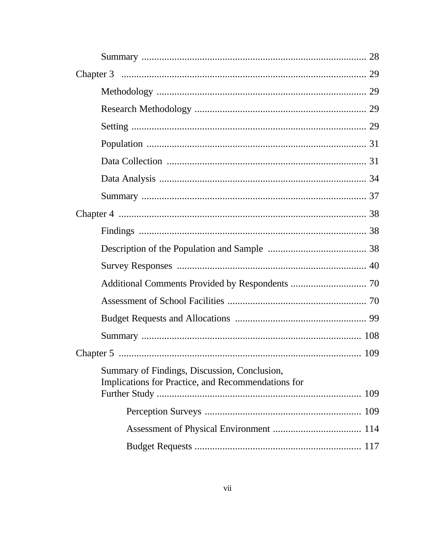| Summary of Findings, Discussion, Conclusion,<br>Implications for Practice, and Recommendations for |  |
|----------------------------------------------------------------------------------------------------|--|
|                                                                                                    |  |
|                                                                                                    |  |
|                                                                                                    |  |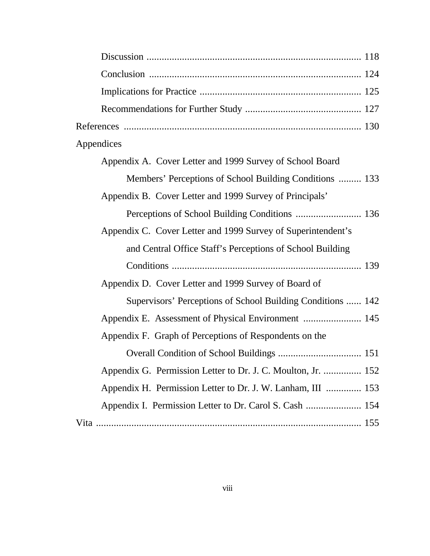| Appendices                                                   |
|--------------------------------------------------------------|
| Appendix A. Cover Letter and 1999 Survey of School Board     |
| Members' Perceptions of School Building Conditions  133      |
| Appendix B. Cover Letter and 1999 Survey of Principals'      |
| Perceptions of School Building Conditions  136               |
| Appendix C. Cover Letter and 1999 Survey of Superintendent's |
| and Central Office Staff's Perceptions of School Building    |
|                                                              |
| Appendix D. Cover Letter and 1999 Survey of Board of         |
| Supervisors' Perceptions of School Building Conditions  142  |
| Appendix E. Assessment of Physical Environment  145          |
| Appendix F. Graph of Perceptions of Respondents on the       |
|                                                              |
| Appendix G. Permission Letter to Dr. J. C. Moulton, Jr.  152 |
| Appendix H. Permission Letter to Dr. J. W. Lanham, III  153  |
| Appendix I. Permission Letter to Dr. Carol S. Cash  154      |
|                                                              |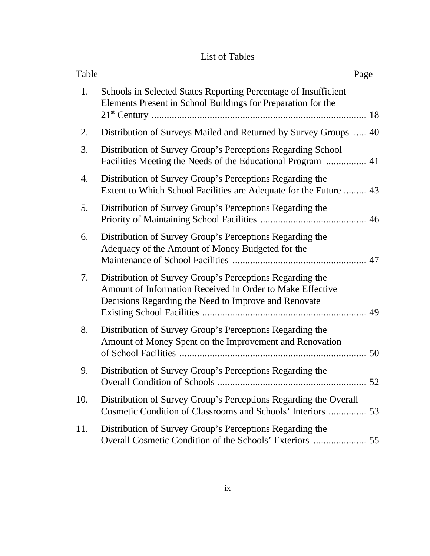## List of Tables

| Table |                                                                                                                                                                               | Page |
|-------|-------------------------------------------------------------------------------------------------------------------------------------------------------------------------------|------|
| 1.    | Schools in Selected States Reporting Percentage of Insufficient<br>Elements Present in School Buildings for Preparation for the                                               |      |
| 2.    | Distribution of Surveys Mailed and Returned by Survey Groups  40                                                                                                              |      |
| 3.    | Distribution of Survey Group's Perceptions Regarding School                                                                                                                   |      |
| 4.    | Distribution of Survey Group's Perceptions Regarding the<br>Extent to Which School Facilities are Adequate for the Future  43                                                 |      |
| 5.    | Distribution of Survey Group's Perceptions Regarding the                                                                                                                      |      |
| 6.    | Distribution of Survey Group's Perceptions Regarding the<br>Adequacy of the Amount of Money Budgeted for the                                                                  |      |
| 7.    | Distribution of Survey Group's Perceptions Regarding the<br>Amount of Information Received in Order to Make Effective<br>Decisions Regarding the Need to Improve and Renovate |      |
| 8.    | Distribution of Survey Group's Perceptions Regarding the<br>Amount of Money Spent on the Improvement and Renovation                                                           |      |
| 9.    | Distribution of Survey Group's Perceptions Regarding the<br>Overall Condition of Schools                                                                                      | .52  |
| 10.   | Distribution of Survey Group's Perceptions Regarding the Overall<br>Cosmetic Condition of Classrooms and Schools' Interiors  53                                               |      |
| 11.   | Distribution of Survey Group's Perceptions Regarding the<br>Overall Cosmetic Condition of the Schools' Exteriors                                                              | 55   |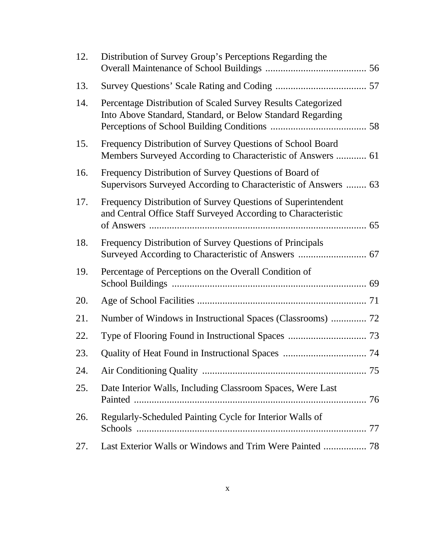| 12. | Distribution of Survey Group's Perceptions Regarding the                                                                      |  |
|-----|-------------------------------------------------------------------------------------------------------------------------------|--|
| 13. |                                                                                                                               |  |
| 14. | Percentage Distribution of Scaled Survey Results Categorized<br>Into Above Standard, Standard, or Below Standard Regarding    |  |
| 15. | Frequency Distribution of Survey Questions of School Board<br>Members Surveyed According to Characteristic of Answers  61     |  |
| 16. | Frequency Distribution of Survey Questions of Board of<br>Supervisors Surveyed According to Characteristic of Answers  63     |  |
| 17. | Frequency Distribution of Survey Questions of Superintendent<br>and Central Office Staff Surveyed According to Characteristic |  |
| 18. | Frequency Distribution of Survey Questions of Principals                                                                      |  |
| 19. | Percentage of Perceptions on the Overall Condition of                                                                         |  |
| 20. |                                                                                                                               |  |
| 21. | Number of Windows in Instructional Spaces (Classrooms)  72                                                                    |  |
| 22. |                                                                                                                               |  |
| 23. |                                                                                                                               |  |
| 24. |                                                                                                                               |  |
| 25. | Date Interior Walls, Including Classroom Spaces, Were Last                                                                    |  |
| 26. | Regularly-Scheduled Painting Cycle for Interior Walls of                                                                      |  |
| 27. | Last Exterior Walls or Windows and Trim Were Painted  78                                                                      |  |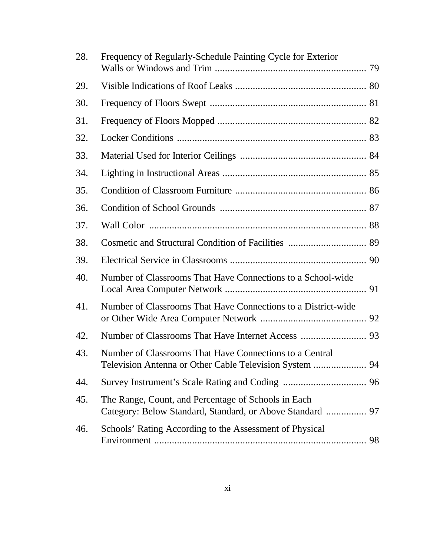| 28. | Frequency of Regularly-Schedule Painting Cycle for Exterior                                                        |  |
|-----|--------------------------------------------------------------------------------------------------------------------|--|
| 29. |                                                                                                                    |  |
| 30. |                                                                                                                    |  |
| 31. |                                                                                                                    |  |
| 32. |                                                                                                                    |  |
| 33. |                                                                                                                    |  |
| 34. |                                                                                                                    |  |
| 35. |                                                                                                                    |  |
| 36. |                                                                                                                    |  |
| 37. |                                                                                                                    |  |
| 38. |                                                                                                                    |  |
| 39. |                                                                                                                    |  |
| 40. | Number of Classrooms That Have Connections to a School-wide                                                        |  |
| 41. | Number of Classrooms That Have Connections to a District-wide                                                      |  |
| 42. |                                                                                                                    |  |
| 43. | Number of Classrooms That Have Connections to a Central<br>Television Antenna or Other Cable Television System  94 |  |
| 44. |                                                                                                                    |  |
| 45. | The Range, Count, and Percentage of Schools in Each<br>Category: Below Standard, Standard, or Above Standard  97   |  |
| 46. | Schools' Rating According to the Assessment of Physical                                                            |  |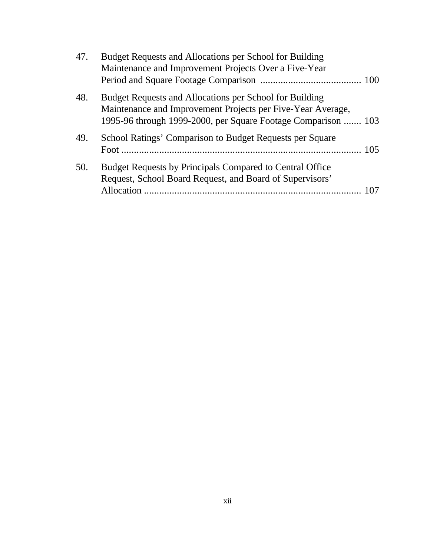| 47. | Budget Requests and Allocations per School for Building<br>Maintenance and Improvement Projects Over a Five-Year                                                                        |  |
|-----|-----------------------------------------------------------------------------------------------------------------------------------------------------------------------------------------|--|
|     |                                                                                                                                                                                         |  |
| 48. | Budget Requests and Allocations per School for Building<br>Maintenance and Improvement Projects per Five-Year Average,<br>1995-96 through 1999-2000, per Square Footage Comparison  103 |  |
|     |                                                                                                                                                                                         |  |
| 49. | School Ratings' Comparison to Budget Requests per Square                                                                                                                                |  |
| 50. | Budget Requests by Principals Compared to Central Office<br>Request, School Board Request, and Board of Supervisors'                                                                    |  |
|     | Allocation                                                                                                                                                                              |  |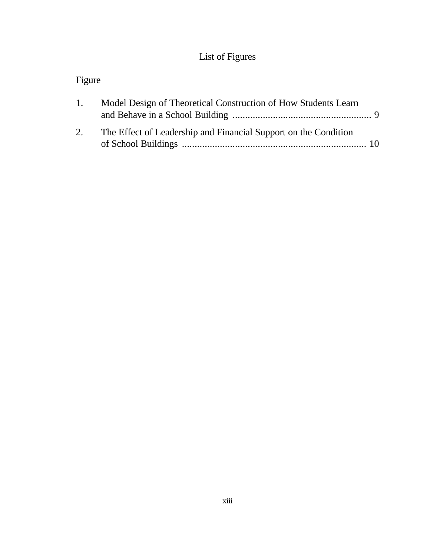# List of Figures

# Figure

| 1. | Model Design of Theoretical Construction of How Students Learn  |  |
|----|-----------------------------------------------------------------|--|
| 2. | The Effect of Leadership and Financial Support on the Condition |  |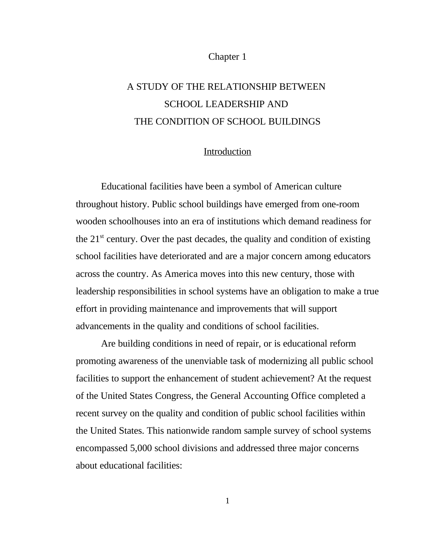#### Chapter 1

# A STUDY OF THE RELATIONSHIP BETWEEN SCHOOL LEADERSHIP AND THE CONDITION OF SCHOOL BUILDINGS

## Introduction

Educational facilities have been a symbol of American culture throughout history. Public school buildings have emerged from one-room wooden schoolhouses into an era of institutions which demand readiness for the  $21<sup>st</sup>$  century. Over the past decades, the quality and condition of existing school facilities have deteriorated and are a major concern among educators across the country. As America moves into this new century, those with leadership responsibilities in school systems have an obligation to make a true effort in providing maintenance and improvements that will support advancements in the quality and conditions of school facilities.

Are building conditions in need of repair, or is educational reform promoting awareness of the unenviable task of modernizing all public school facilities to support the enhancement of student achievement? At the request of the United States Congress, the General Accounting Office completed a recent survey on the quality and condition of public school facilities within the United States. This nationwide random sample survey of school systems encompassed 5,000 school divisions and addressed three major concerns about educational facilities: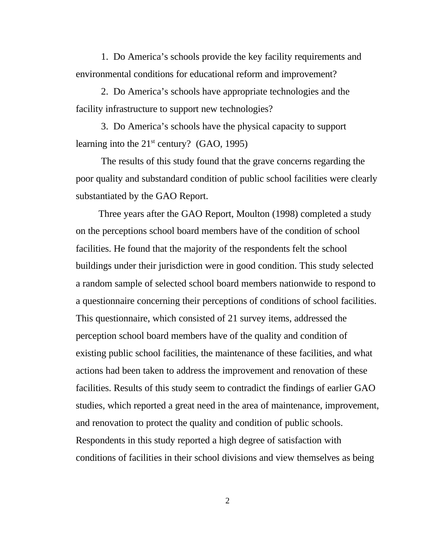1. Do America's schools provide the key facility requirements and environmental conditions for educational reform and improvement?

2. Do America's schools have appropriate technologies and the facility infrastructure to support new technologies?

3. Do America's schools have the physical capacity to support learning into the  $21<sup>st</sup>$  century? (GAO, 1995)

The results of this study found that the grave concerns regarding the poor quality and substandard condition of public school facilities were clearly substantiated by the GAO Report.

Three years after the GAO Report, Moulton (1998) completed a study on the perceptions school board members have of the condition of school facilities. He found that the majority of the respondents felt the school buildings under their jurisdiction were in good condition. This study selected a random sample of selected school board members nationwide to respond to a questionnaire concerning their perceptions of conditions of school facilities. This questionnaire, which consisted of 21 survey items, addressed the perception school board members have of the quality and condition of existing public school facilities, the maintenance of these facilities, and what actions had been taken to address the improvement and renovation of these facilities. Results of this study seem to contradict the findings of earlier GAO studies, which reported a great need in the area of maintenance, improvement, and renovation to protect the quality and condition of public schools. Respondents in this study reported a high degree of satisfaction with conditions of facilities in their school divisions and view themselves as being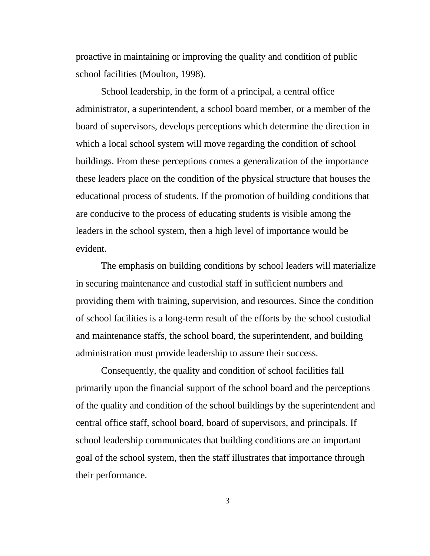proactive in maintaining or improving the quality and condition of public school facilities (Moulton, 1998).

School leadership, in the form of a principal, a central office administrator, a superintendent, a school board member, or a member of the board of supervisors, develops perceptions which determine the direction in which a local school system will move regarding the condition of school buildings. From these perceptions comes a generalization of the importance these leaders place on the condition of the physical structure that houses the educational process of students. If the promotion of building conditions that are conducive to the process of educating students is visible among the leaders in the school system, then a high level of importance would be evident.

The emphasis on building conditions by school leaders will materialize in securing maintenance and custodial staff in sufficient numbers and providing them with training, supervision, and resources. Since the condition of school facilities is a long-term result of the efforts by the school custodial and maintenance staffs, the school board, the superintendent, and building administration must provide leadership to assure their success.

Consequently, the quality and condition of school facilities fall primarily upon the financial support of the school board and the perceptions of the quality and condition of the school buildings by the superintendent and central office staff, school board, board of supervisors, and principals. If school leadership communicates that building conditions are an important goal of the school system, then the staff illustrates that importance through their performance.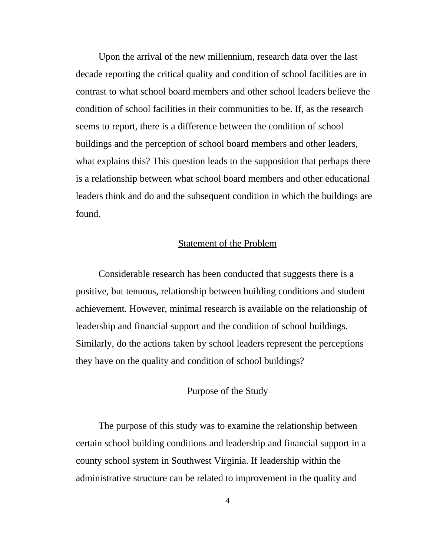Upon the arrival of the new millennium, research data over the last decade reporting the critical quality and condition of school facilities are in contrast to what school board members and other school leaders believe the condition of school facilities in their communities to be. If, as the research seems to report, there is a difference between the condition of school buildings and the perception of school board members and other leaders, what explains this? This question leads to the supposition that perhaps there is a relationship between what school board members and other educational leaders think and do and the subsequent condition in which the buildings are found.

### Statement of the Problem

Considerable research has been conducted that suggests there is a positive, but tenuous, relationship between building conditions and student achievement. However, minimal research is available on the relationship of leadership and financial support and the condition of school buildings. Similarly, do the actions taken by school leaders represent the perceptions they have on the quality and condition of school buildings?

## Purpose of the Study

The purpose of this study was to examine the relationship between certain school building conditions and leadership and financial support in a county school system in Southwest Virginia. If leadership within the administrative structure can be related to improvement in the quality and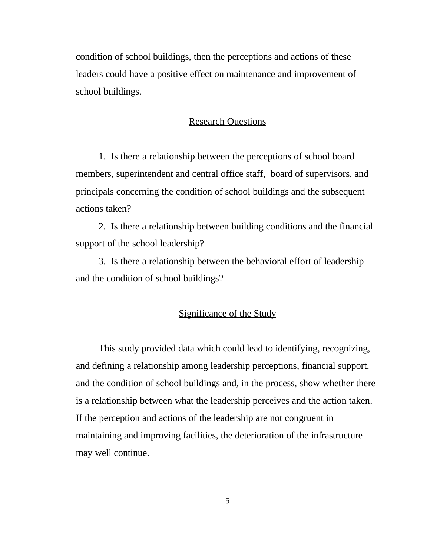condition of school buildings, then the perceptions and actions of these leaders could have a positive effect on maintenance and improvement of school buildings.

### Research Questions

1. Is there a relationship between the perceptions of school board members, superintendent and central office staff, board of supervisors, and principals concerning the condition of school buildings and the subsequent actions taken?

2. Is there a relationship between building conditions and the financial support of the school leadership?

3. Is there a relationship between the behavioral effort of leadership and the condition of school buildings?

## Significance of the Study

This study provided data which could lead to identifying, recognizing, and defining a relationship among leadership perceptions, financial support, and the condition of school buildings and, in the process, show whether there is a relationship between what the leadership perceives and the action taken. If the perception and actions of the leadership are not congruent in maintaining and improving facilities, the deterioration of the infrastructure may well continue.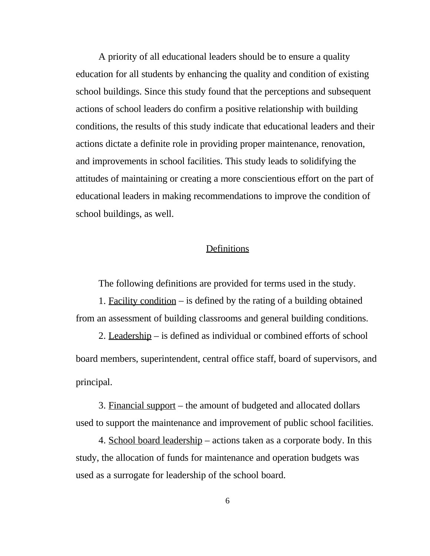A priority of all educational leaders should be to ensure a quality education for all students by enhancing the quality and condition of existing school buildings. Since this study found that the perceptions and subsequent actions of school leaders do confirm a positive relationship with building conditions, the results of this study indicate that educational leaders and their actions dictate a definite role in providing proper maintenance, renovation, and improvements in school facilities. This study leads to solidifying the attitudes of maintaining or creating a more conscientious effort on the part of educational leaders in making recommendations to improve the condition of school buildings, as well.

### **Definitions**

The following definitions are provided for terms used in the study.

1. Facility condition – is defined by the rating of a building obtained from an assessment of building classrooms and general building conditions.

2. Leadership – is defined as individual or combined efforts of school board members, superintendent, central office staff, board of supervisors, and principal.

3. Financial support – the amount of budgeted and allocated dollars used to support the maintenance and improvement of public school facilities.

4. School board leadership – actions taken as a corporate body. In this study, the allocation of funds for maintenance and operation budgets was used as a surrogate for leadership of the school board.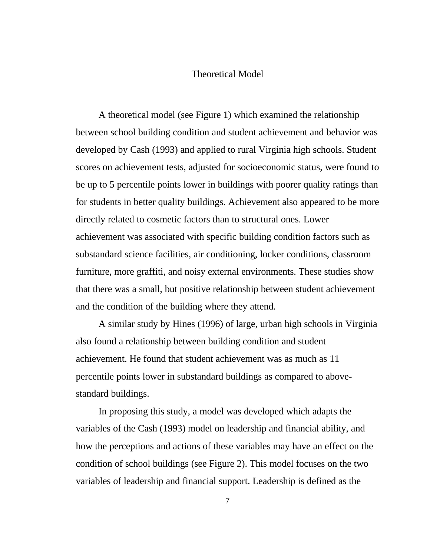#### Theoretical Model

A theoretical model (see Figure 1) which examined the relationship between school building condition and student achievement and behavior was developed by Cash (1993) and applied to rural Virginia high schools. Student scores on achievement tests, adjusted for socioeconomic status, were found to be up to 5 percentile points lower in buildings with poorer quality ratings than for students in better quality buildings. Achievement also appeared to be more directly related to cosmetic factors than to structural ones. Lower achievement was associated with specific building condition factors such as substandard science facilities, air conditioning, locker conditions, classroom furniture, more graffiti, and noisy external environments. These studies show that there was a small, but positive relationship between student achievement and the condition of the building where they attend.

A similar study by Hines (1996) of large, urban high schools in Virginia also found a relationship between building condition and student achievement. He found that student achievement was as much as 11 percentile points lower in substandard buildings as compared to abovestandard buildings.

In proposing this study, a model was developed which adapts the variables of the Cash (1993) model on leadership and financial ability, and how the perceptions and actions of these variables may have an effect on the condition of school buildings (see Figure 2). This model focuses on the two variables of leadership and financial support. Leadership is defined as the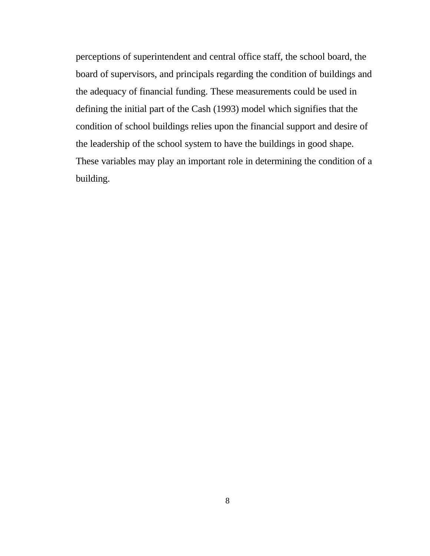perceptions of superintendent and central office staff, the school board, the board of supervisors, and principals regarding the condition of buildings and the adequacy of financial funding. These measurements could be used in defining the initial part of the Cash (1993) model which signifies that the condition of school buildings relies upon the financial support and desire of the leadership of the school system to have the buildings in good shape. These variables may play an important role in determining the condition of a building.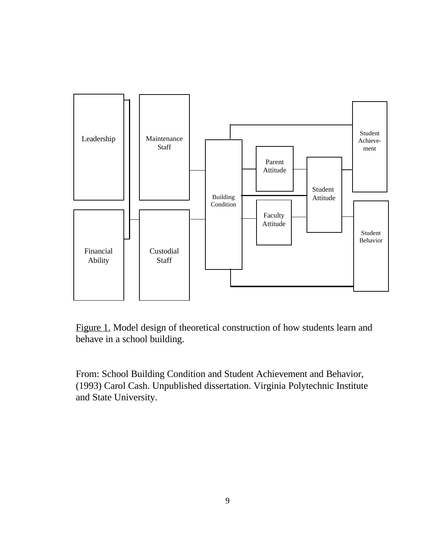

Figure 1. Model design of theoretical construction of how students learn and behave in a school building.

From: School Building Condition and Student Achievement and Behavior, (1993) Carol Cash. Unpublished dissertation. Virginia Polytechnic Institute and State University.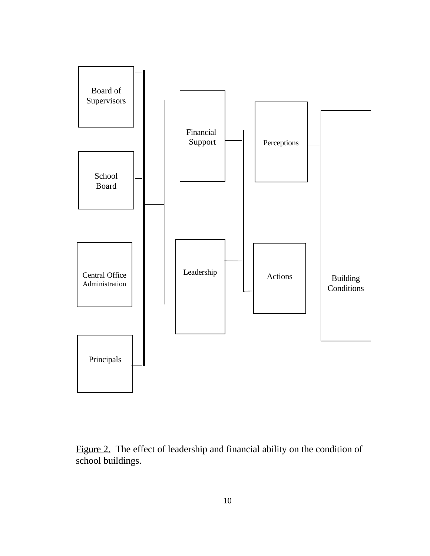

Figure 2. The effect of leadership and financial ability on the condition of school buildings.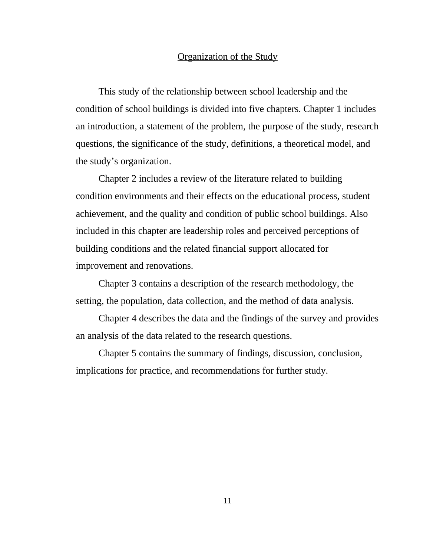## Organization of the Study

This study of the relationship between school leadership and the condition of school buildings is divided into five chapters. Chapter 1 includes an introduction, a statement of the problem, the purpose of the study, research questions, the significance of the study, definitions, a theoretical model, and the study's organization.

Chapter 2 includes a review of the literature related to building condition environments and their effects on the educational process, student achievement, and the quality and condition of public school buildings. Also included in this chapter are leadership roles and perceived perceptions of building conditions and the related financial support allocated for improvement and renovations.

Chapter 3 contains a description of the research methodology, the setting, the population, data collection, and the method of data analysis.

Chapter 4 describes the data and the findings of the survey and provides an analysis of the data related to the research questions.

Chapter 5 contains the summary of findings, discussion, conclusion, implications for practice, and recommendations for further study.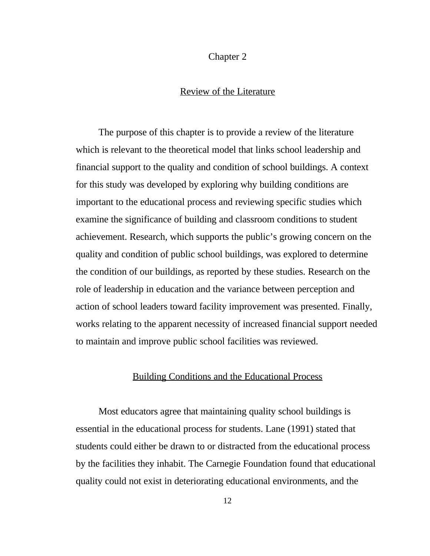#### Chapter 2

### Review of the Literature

The purpose of this chapter is to provide a review of the literature which is relevant to the theoretical model that links school leadership and financial support to the quality and condition of school buildings. A context for this study was developed by exploring why building conditions are important to the educational process and reviewing specific studies which examine the significance of building and classroom conditions to student achievement. Research, which supports the public's growing concern on the quality and condition of public school buildings, was explored to determine the condition of our buildings, as reported by these studies. Research on the role of leadership in education and the variance between perception and action of school leaders toward facility improvement was presented. Finally, works relating to the apparent necessity of increased financial support needed to maintain and improve public school facilities was reviewed.

#### Building Conditions and the Educational Process

Most educators agree that maintaining quality school buildings is essential in the educational process for students. Lane (1991) stated that students could either be drawn to or distracted from the educational process by the facilities they inhabit. The Carnegie Foundation found that educational quality could not exist in deteriorating educational environments, and the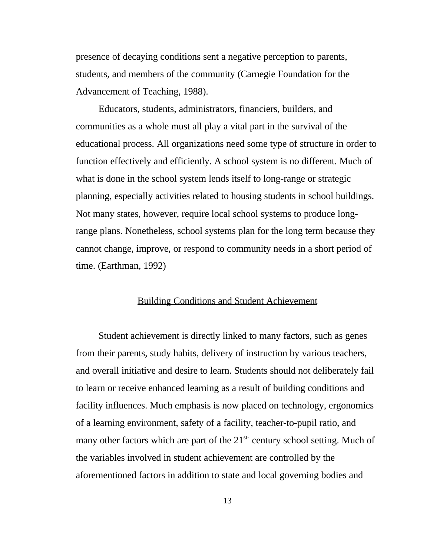presence of decaying conditions sent a negative perception to parents, students, and members of the community (Carnegie Foundation for the Advancement of Teaching, 1988).

Educators, students, administrators, financiers, builders, and communities as a whole must all play a vital part in the survival of the educational process. All organizations need some type of structure in order to function effectively and efficiently. A school system is no different. Much of what is done in the school system lends itself to long-range or strategic planning, especially activities related to housing students in school buildings. Not many states, however, require local school systems to produce longrange plans. Nonetheless, school systems plan for the long term because they cannot change, improve, or respond to community needs in a short period of time. (Earthman, 1992)

#### Building Conditions and Student Achievement

Student achievement is directly linked to many factors, such as genes from their parents, study habits, delivery of instruction by various teachers, and overall initiative and desire to learn. Students should not deliberately fail to learn or receive enhanced learning as a result of building conditions and facility influences. Much emphasis is now placed on technology, ergonomics of a learning environment, safety of a facility, teacher-to-pupil ratio, and many other factors which are part of the  $21^{st}$  century school setting. Much of the variables involved in student achievement are controlled by the aforementioned factors in addition to state and local governing bodies and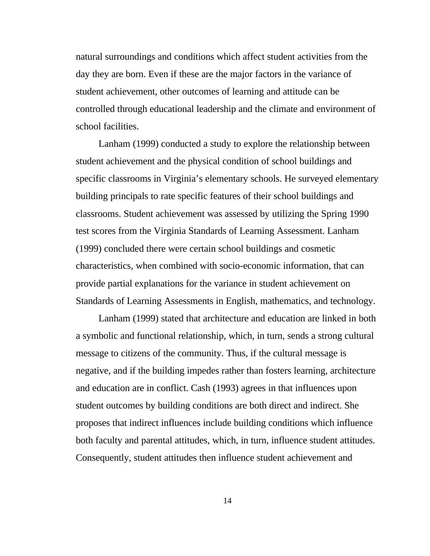natural surroundings and conditions which affect student activities from the day they are born. Even if these are the major factors in the variance of student achievement, other outcomes of learning and attitude can be controlled through educational leadership and the climate and environment of school facilities.

Lanham (1999) conducted a study to explore the relationship between student achievement and the physical condition of school buildings and specific classrooms in Virginia's elementary schools. He surveyed elementary building principals to rate specific features of their school buildings and classrooms. Student achievement was assessed by utilizing the Spring 1990 test scores from the Virginia Standards of Learning Assessment. Lanham (1999) concluded there were certain school buildings and cosmetic characteristics, when combined with socio-economic information, that can provide partial explanations for the variance in student achievement on Standards of Learning Assessments in English, mathematics, and technology.

Lanham (1999) stated that architecture and education are linked in both a symbolic and functional relationship, which, in turn, sends a strong cultural message to citizens of the community. Thus, if the cultural message is negative, and if the building impedes rather than fosters learning, architecture and education are in conflict. Cash (1993) agrees in that influences upon student outcomes by building conditions are both direct and indirect. She proposes that indirect influences include building conditions which influence both faculty and parental attitudes, which, in turn, influence student attitudes. Consequently, student attitudes then influence student achievement and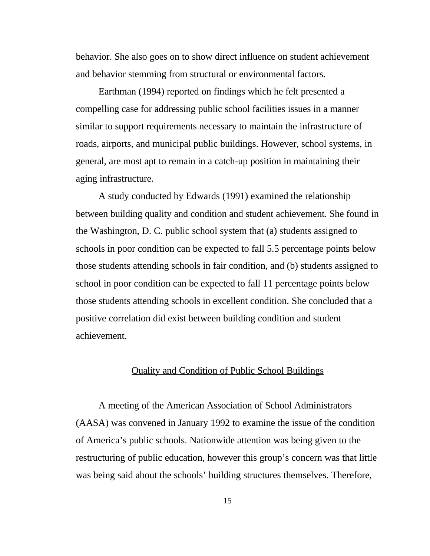behavior. She also goes on to show direct influence on student achievement and behavior stemming from structural or environmental factors.

Earthman (1994) reported on findings which he felt presented a compelling case for addressing public school facilities issues in a manner similar to support requirements necessary to maintain the infrastructure of roads, airports, and municipal public buildings. However, school systems, in general, are most apt to remain in a catch-up position in maintaining their aging infrastructure.

A study conducted by Edwards (1991) examined the relationship between building quality and condition and student achievement. She found in the Washington, D. C. public school system that (a) students assigned to schools in poor condition can be expected to fall 5.5 percentage points below those students attending schools in fair condition, and (b) students assigned to school in poor condition can be expected to fall 11 percentage points below those students attending schools in excellent condition. She concluded that a positive correlation did exist between building condition and student achievement.

### Quality and Condition of Public School Buildings

A meeting of the American Association of School Administrators (AASA) was convened in January 1992 to examine the issue of the condition of America's public schools. Nationwide attention was being given to the restructuring of public education, however this group's concern was that little was being said about the schools' building structures themselves. Therefore,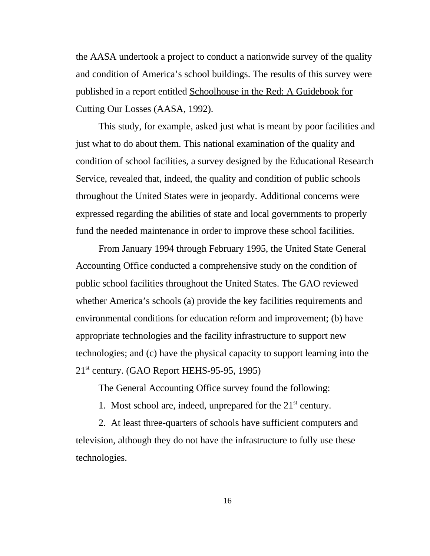the AASA undertook a project to conduct a nationwide survey of the quality and condition of America's school buildings. The results of this survey were published in a report entitled Schoolhouse in the Red: A Guidebook for Cutting Our Losses (AASA, 1992).

This study, for example, asked just what is meant by poor facilities and just what to do about them. This national examination of the quality and condition of school facilities, a survey designed by the Educational Research Service, revealed that, indeed, the quality and condition of public schools throughout the United States were in jeopardy. Additional concerns were expressed regarding the abilities of state and local governments to properly fund the needed maintenance in order to improve these school facilities.

From January 1994 through February 1995, the United State General Accounting Office conducted a comprehensive study on the condition of public school facilities throughout the United States. The GAO reviewed whether America's schools (a) provide the key facilities requirements and environmental conditions for education reform and improvement; (b) have appropriate technologies and the facility infrastructure to support new technologies; and (c) have the physical capacity to support learning into the  $21<sup>st</sup>$  century. (GAO Report HEHS-95-95, 1995)

The General Accounting Office survey found the following:

1. Most school are, indeed, unprepared for the  $21<sup>st</sup>$  century.

2. At least three-quarters of schools have sufficient computers and television, although they do not have the infrastructure to fully use these technologies.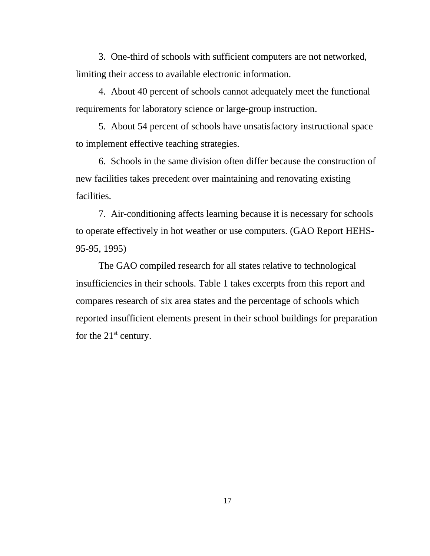3. One-third of schools with sufficient computers are not networked, limiting their access to available electronic information.

4. About 40 percent of schools cannot adequately meet the functional requirements for laboratory science or large-group instruction.

5. About 54 percent of schools have unsatisfactory instructional space to implement effective teaching strategies.

6. Schools in the same division often differ because the construction of new facilities takes precedent over maintaining and renovating existing facilities.

7. Air-conditioning affects learning because it is necessary for schools to operate effectively in hot weather or use computers. (GAO Report HEHS-95-95, 1995)

The GAO compiled research for all states relative to technological insufficiencies in their schools. Table 1 takes excerpts from this report and compares research of six area states and the percentage of schools which reported insufficient elements present in their school buildings for preparation for the  $21<sup>st</sup>$  century.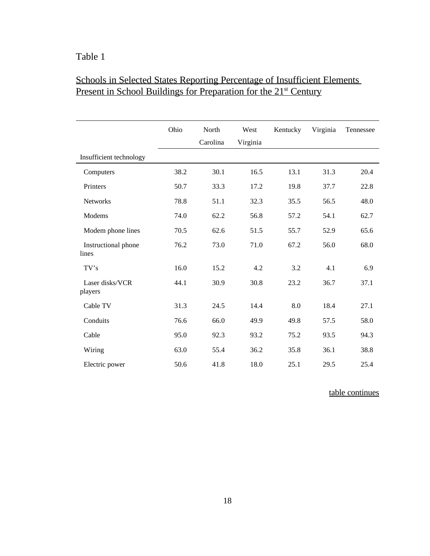## Table 1

## Schools in Selected States Reporting Percentage of Insufficient Elements Present in School Buildings for Preparation for the 21<sup>st</sup> Century

|                              | Ohio | North<br>Carolina | West<br>Virginia | Kentucky | Virginia | Tennessee |
|------------------------------|------|-------------------|------------------|----------|----------|-----------|
| Insufficient technology      |      |                   |                  |          |          |           |
| Computers                    | 38.2 | 30.1              | 16.5             | 13.1     | 31.3     | 20.4      |
| Printers                     | 50.7 | 33.3              | 17.2             | 19.8     | 37.7     | 22.8      |
| <b>Networks</b>              | 78.8 | 51.1              | 32.3             | 35.5     | 56.5     | 48.0      |
| Modems                       | 74.0 | 62.2              | 56.8             | 57.2     | 54.1     | 62.7      |
| Modem phone lines            | 70.5 | 62.6              | 51.5             | 55.7     | 52.9     | 65.6      |
| Instructional phone<br>lines | 76.2 | 73.0              | 71.0             | 67.2     | 56.0     | 68.0      |
| TV's                         | 16.0 | 15.2              | 4.2              | 3.2      | 4.1      | 6.9       |
| Laser disks/VCR<br>players   | 44.1 | 30.9              | 30.8             | 23.2     | 36.7     | 37.1      |
| Cable TV                     | 31.3 | 24.5              | 14.4             | 8.0      | 18.4     | 27.1      |
| Conduits                     | 76.6 | 66.0              | 49.9             | 49.8     | 57.5     | 58.0      |
| Cable                        | 95.0 | 92.3              | 93.2             | 75.2     | 93.5     | 94.3      |
| Wiring                       | 63.0 | 55.4              | 36.2             | 35.8     | 36.1     | 38.8      |
| Electric power               | 50.6 | 41.8              | 18.0             | 25.1     | 29.5     | 25.4      |

table continues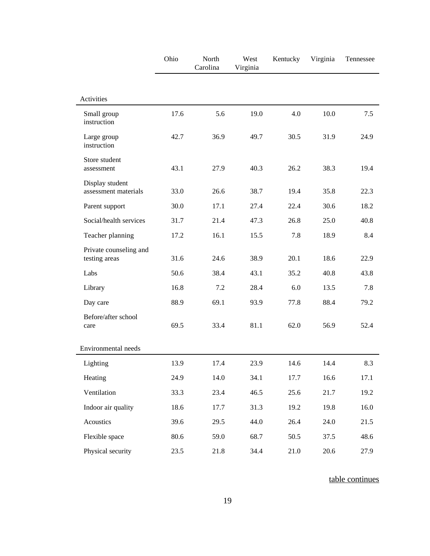|                                         | Ohio | North<br>Carolina | West<br>Virginia | Kentucky | Virginia | Tennessee |
|-----------------------------------------|------|-------------------|------------------|----------|----------|-----------|
| Activities                              |      |                   |                  |          |          |           |
| Small group<br>instruction              | 17.6 | 5.6               | 19.0             | 4.0      | 10.0     | 7.5       |
| Large group<br>instruction              | 42.7 | 36.9              | 49.7             | 30.5     | 31.9     | 24.9      |
| Store student<br>assessment             | 43.1 | 27.9              | 40.3             | 26.2     | 38.3     | 19.4      |
| Display student<br>assessment materials | 33.0 | 26.6              | 38.7             | 19.4     | 35.8     | 22.3      |
| Parent support                          | 30.0 | 17.1              | 27.4             | 22.4     | 30.6     | 18.2      |
| Social/health services                  | 31.7 | 21.4              | 47.3             | 26.8     | 25.0     | 40.8      |
| Teacher planning                        | 17.2 | 16.1              | 15.5             | 7.8      | 18.9     | 8.4       |
| Private counseling and<br>testing areas | 31.6 | 24.6              | 38.9             | 20.1     | 18.6     | 22.9      |
| Labs                                    | 50.6 | 38.4              | 43.1             | 35.2     | 40.8     | 43.8      |
| Library                                 | 16.8 | 7.2               | 28.4             | 6.0      | 13.5     | 7.8       |
| Day care                                | 88.9 | 69.1              | 93.9             | 77.8     | 88.4     | 79.2      |
| Before/after school<br>care             | 69.5 | 33.4              | 81.1             | 62.0     | 56.9     | 52.4      |
| Environmental needs                     |      |                   |                  |          |          |           |
| Lighting                                | 13.9 | 17.4              | 23.9             | 14.6     | 14.4     | 8.3       |
| Heating                                 | 24.9 | 14.0              | 34.1             | 17.7     | 16.6     | 17.1      |
| Ventilation                             | 33.3 | 23.4              | 46.5             | 25.6     | 21.7     | 19.2      |
| Indoor air quality                      | 18.6 | 17.7              | 31.3             | 19.2     | 19.8     | 16.0      |
| Acoustics                               | 39.6 | 29.5              | 44.0             | 26.4     | 24.0     | 21.5      |
| Flexible space                          | 80.6 | 59.0              | 68.7             | 50.5     | 37.5     | 48.6      |
| Physical security                       | 23.5 | 21.8              | 34.4             | 21.0     | 20.6     | 27.9      |

table continues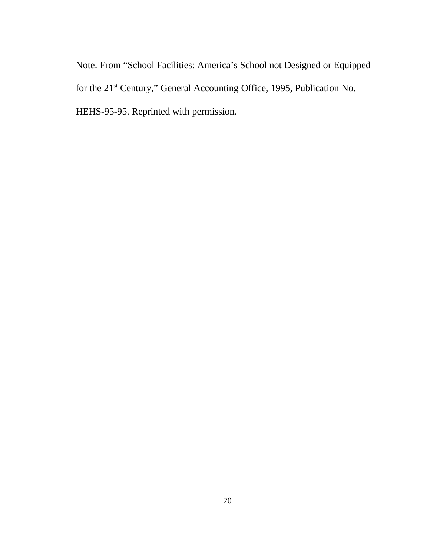Note. From "School Facilities: America's School not Designed or Equipped for the 21<sup>st</sup> Century," General Accounting Office, 1995, Publication No. HEHS-95-95. Reprinted with permission.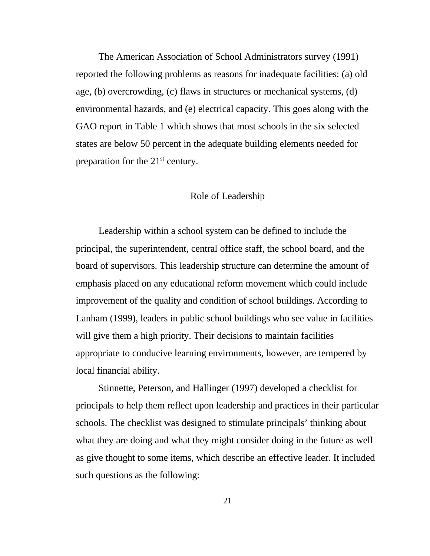The American Association of School Administrators survey (1991) reported the following problems as reasons for inadequate facilities: (a) old age, (b) overcrowding, (c) flaws in structures or mechanical systems, (d) environmental hazards, and (e) electrical capacity. This goes along with the GAO report in Table 1 which shows that most schools in the six selected states are below 50 percent in the adequate building elements needed for preparation for the  $21<sup>st</sup>$  century.

### Role of Leadership

Leadership within a school system can be defined to include the principal, the superintendent, central office staff, the school board, and the board of supervisors. This leadership structure can determine the amount of emphasis placed on any educational reform movement which could include improvement of the quality and condition of school buildings. According to Lanham (1999), leaders in public school buildings who see value in facilities will give them a high priority. Their decisions to maintain facilities appropriate to conducive learning environments, however, are tempered by local financial ability.

Stinnette, Peterson, and Hallinger (1997) developed a checklist for principals to help them reflect upon leadership and practices in their particular schools. The checklist was designed to stimulate principals' thinking about what they are doing and what they might consider doing in the future as well as give thought to some items, which describe an effective leader. It included such questions as the following: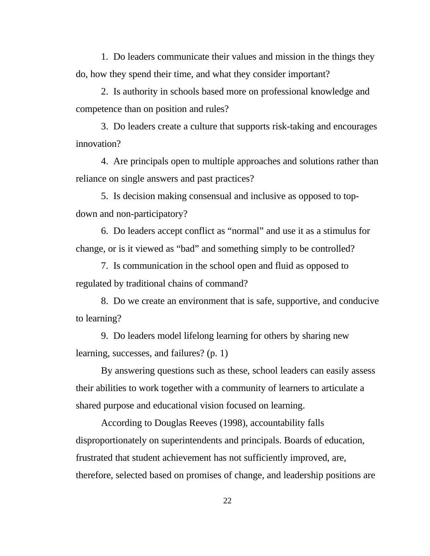1. Do leaders communicate their values and mission in the things they do, how they spend their time, and what they consider important?

2. Is authority in schools based more on professional knowledge and competence than on position and rules?

3. Do leaders create a culture that supports risk-taking and encourages innovation?

4. Are principals open to multiple approaches and solutions rather than reliance on single answers and past practices?

5. Is decision making consensual and inclusive as opposed to topdown and non-participatory?

6. Do leaders accept conflict as "normal" and use it as a stimulus for change, or is it viewed as "bad" and something simply to be controlled?

7. Is communication in the school open and fluid as opposed to regulated by traditional chains of command?

8. Do we create an environment that is safe, supportive, and conducive to learning?

9. Do leaders model lifelong learning for others by sharing new learning, successes, and failures? (p. 1)

By answering questions such as these, school leaders can easily assess their abilities to work together with a community of learners to articulate a shared purpose and educational vision focused on learning.

According to Douglas Reeves (1998), accountability falls disproportionately on superintendents and principals. Boards of education, frustrated that student achievement has not sufficiently improved, are, therefore, selected based on promises of change, and leadership positions are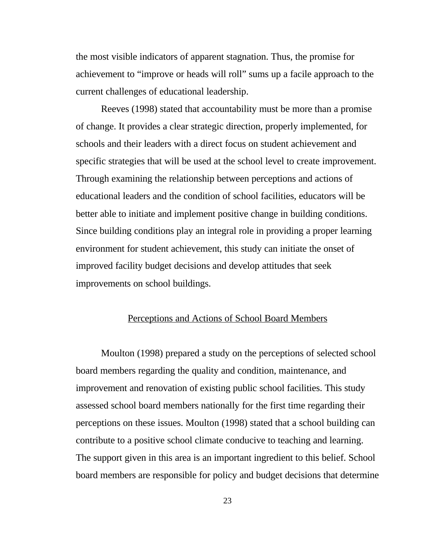the most visible indicators of apparent stagnation. Thus, the promise for achievement to "improve or heads will roll" sums up a facile approach to the current challenges of educational leadership.

Reeves (1998) stated that accountability must be more than a promise of change. It provides a clear strategic direction, properly implemented, for schools and their leaders with a direct focus on student achievement and specific strategies that will be used at the school level to create improvement. Through examining the relationship between perceptions and actions of educational leaders and the condition of school facilities, educators will be better able to initiate and implement positive change in building conditions. Since building conditions play an integral role in providing a proper learning environment for student achievement, this study can initiate the onset of improved facility budget decisions and develop attitudes that seek improvements on school buildings.

#### Perceptions and Actions of School Board Members

Moulton (1998) prepared a study on the perceptions of selected school board members regarding the quality and condition, maintenance, and improvement and renovation of existing public school facilities. This study assessed school board members nationally for the first time regarding their perceptions on these issues. Moulton (1998) stated that a school building can contribute to a positive school climate conducive to teaching and learning. The support given in this area is an important ingredient to this belief. School board members are responsible for policy and budget decisions that determine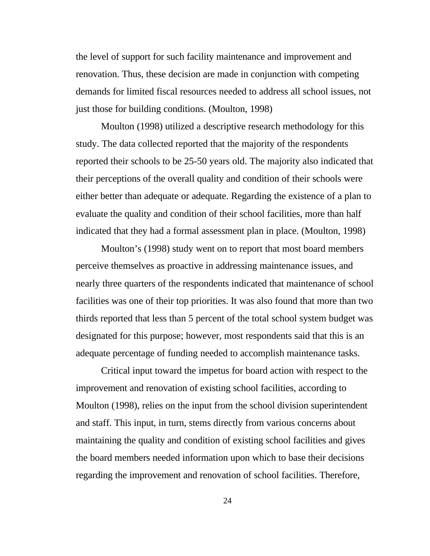the level of support for such facility maintenance and improvement and renovation. Thus, these decision are made in conjunction with competing demands for limited fiscal resources needed to address all school issues, not just those for building conditions. (Moulton, 1998)

Moulton (1998) utilized a descriptive research methodology for this study. The data collected reported that the majority of the respondents reported their schools to be 25-50 years old. The majority also indicated that their perceptions of the overall quality and condition of their schools were either better than adequate or adequate. Regarding the existence of a plan to evaluate the quality and condition of their school facilities, more than half indicated that they had a formal assessment plan in place. (Moulton, 1998)

Moulton's (1998) study went on to report that most board members perceive themselves as proactive in addressing maintenance issues, and nearly three quarters of the respondents indicated that maintenance of school facilities was one of their top priorities. It was also found that more than two thirds reported that less than 5 percent of the total school system budget was designated for this purpose; however, most respondents said that this is an adequate percentage of funding needed to accomplish maintenance tasks.

Critical input toward the impetus for board action with respect to the improvement and renovation of existing school facilities, according to Moulton (1998), relies on the input from the school division superintendent and staff. This input, in turn, stems directly from various concerns about maintaining the quality and condition of existing school facilities and gives the board members needed information upon which to base their decisions regarding the improvement and renovation of school facilities. Therefore,

24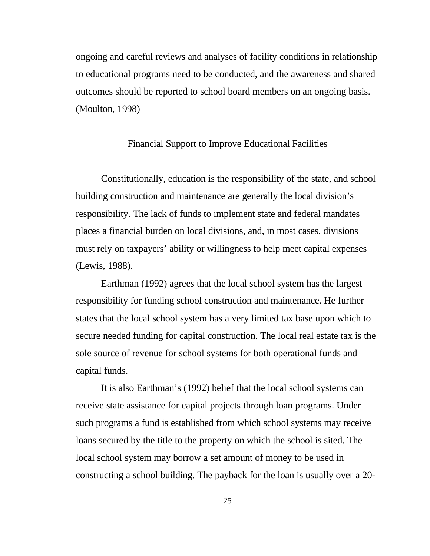ongoing and careful reviews and analyses of facility conditions in relationship to educational programs need to be conducted, and the awareness and shared outcomes should be reported to school board members on an ongoing basis. (Moulton, 1998)

#### Financial Support to Improve Educational Facilities

Constitutionally, education is the responsibility of the state, and school building construction and maintenance are generally the local division's responsibility. The lack of funds to implement state and federal mandates places a financial burden on local divisions, and, in most cases, divisions must rely on taxpayers' ability or willingness to help meet capital expenses (Lewis, 1988).

Earthman (1992) agrees that the local school system has the largest responsibility for funding school construction and maintenance. He further states that the local school system has a very limited tax base upon which to secure needed funding for capital construction. The local real estate tax is the sole source of revenue for school systems for both operational funds and capital funds.

It is also Earthman's (1992) belief that the local school systems can receive state assistance for capital projects through loan programs. Under such programs a fund is established from which school systems may receive loans secured by the title to the property on which the school is sited. The local school system may borrow a set amount of money to be used in constructing a school building. The payback for the loan is usually over a 20-

25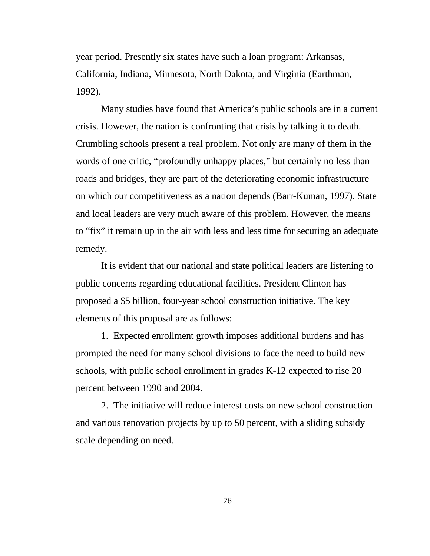year period. Presently six states have such a loan program: Arkansas, California, Indiana, Minnesota, North Dakota, and Virginia (Earthman, 1992).

Many studies have found that America's public schools are in a current crisis. However, the nation is confronting that crisis by talking it to death. Crumbling schools present a real problem. Not only are many of them in the words of one critic, "profoundly unhappy places," but certainly no less than roads and bridges, they are part of the deteriorating economic infrastructure on which our competitiveness as a nation depends (Barr-Kuman, 1997). State and local leaders are very much aware of this problem. However, the means to "fix" it remain up in the air with less and less time for securing an adequate remedy.

It is evident that our national and state political leaders are listening to public concerns regarding educational facilities. President Clinton has proposed a \$5 billion, four-year school construction initiative. The key elements of this proposal are as follows:

1. Expected enrollment growth imposes additional burdens and has prompted the need for many school divisions to face the need to build new schools, with public school enrollment in grades K-12 expected to rise 20 percent between 1990 and 2004.

2. The initiative will reduce interest costs on new school construction and various renovation projects by up to 50 percent, with a sliding subsidy scale depending on need.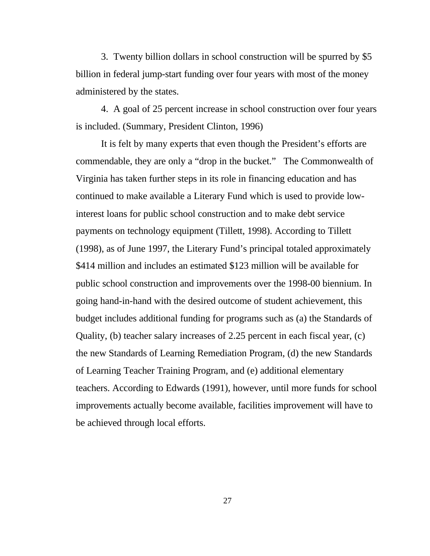3. Twenty billion dollars in school construction will be spurred by \$5 billion in federal jump-start funding over four years with most of the money administered by the states.

4. A goal of 25 percent increase in school construction over four years is included. (Summary, President Clinton, 1996)

It is felt by many experts that even though the President's efforts are commendable, they are only a "drop in the bucket." The Commonwealth of Virginia has taken further steps in its role in financing education and has continued to make available a Literary Fund which is used to provide lowinterest loans for public school construction and to make debt service payments on technology equipment (Tillett, 1998). According to Tillett (1998), as of June 1997, the Literary Fund's principal totaled approximately \$414 million and includes an estimated \$123 million will be available for public school construction and improvements over the 1998-00 biennium. In going hand-in-hand with the desired outcome of student achievement, this budget includes additional funding for programs such as (a) the Standards of Quality, (b) teacher salary increases of 2.25 percent in each fiscal year, (c) the new Standards of Learning Remediation Program, (d) the new Standards of Learning Teacher Training Program, and (e) additional elementary teachers. According to Edwards (1991), however, until more funds for school improvements actually become available, facilities improvement will have to be achieved through local efforts.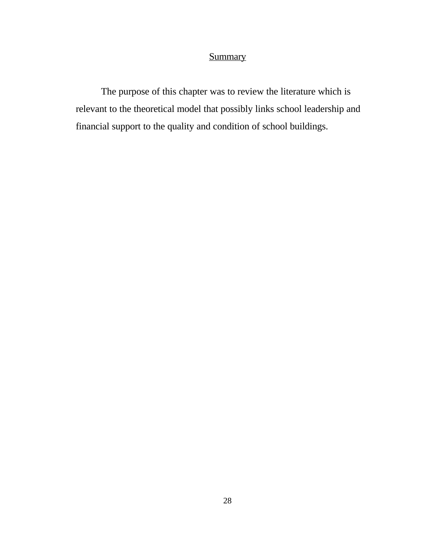### **Summary**

The purpose of this chapter was to review the literature which is relevant to the theoretical model that possibly links school leadership and financial support to the quality and condition of school buildings.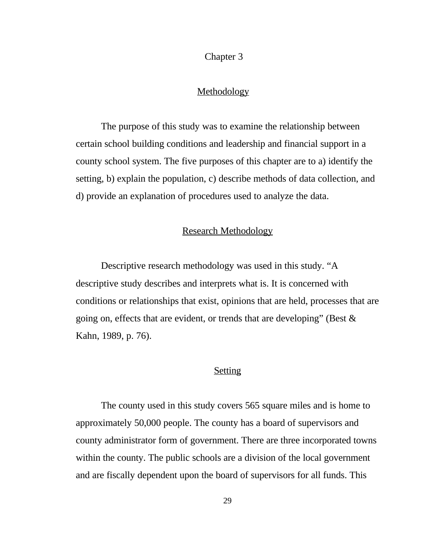#### Chapter 3

#### **Methodology**

The purpose of this study was to examine the relationship between certain school building conditions and leadership and financial support in a county school system. The five purposes of this chapter are to a) identify the setting, b) explain the population, c) describe methods of data collection, and d) provide an explanation of procedures used to analyze the data.

#### Research Methodology

Descriptive research methodology was used in this study. "A descriptive study describes and interprets what is. It is concerned with conditions or relationships that exist, opinions that are held, processes that are going on, effects that are evident, or trends that are developing" (Best  $\&$ Kahn, 1989, p. 76).

#### **Setting**

The county used in this study covers 565 square miles and is home to approximately 50,000 people. The county has a board of supervisors and county administrator form of government. There are three incorporated towns within the county. The public schools are a division of the local government and are fiscally dependent upon the board of supervisors for all funds. This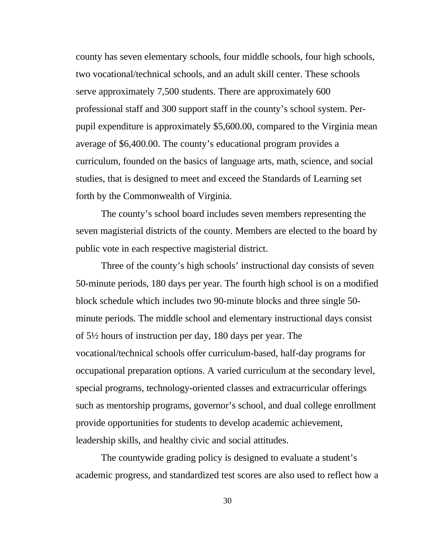county has seven elementary schools, four middle schools, four high schools, two vocational/technical schools, and an adult skill center. These schools serve approximately 7,500 students. There are approximately 600 professional staff and 300 support staff in the county's school system. Perpupil expenditure is approximately \$5,600.00, compared to the Virginia mean average of \$6,400.00. The county's educational program provides a curriculum, founded on the basics of language arts, math, science, and social studies, that is designed to meet and exceed the Standards of Learning set forth by the Commonwealth of Virginia.

The county's school board includes seven members representing the seven magisterial districts of the county. Members are elected to the board by public vote in each respective magisterial district.

Three of the county's high schools' instructional day consists of seven 50-minute periods, 180 days per year. The fourth high school is on a modified block schedule which includes two 90-minute blocks and three single 50 minute periods. The middle school and elementary instructional days consist of 5½ hours of instruction per day, 180 days per year. The vocational/technical schools offer curriculum-based, half-day programs for occupational preparation options. A varied curriculum at the secondary level, special programs, technology-oriented classes and extracurricular offerings such as mentorship programs, governor's school, and dual college enrollment provide opportunities for students to develop academic achievement, leadership skills, and healthy civic and social attitudes.

The countywide grading policy is designed to evaluate a student's academic progress, and standardized test scores are also used to reflect how a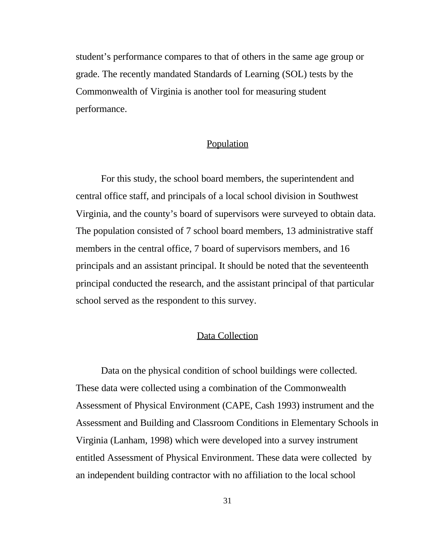student's performance compares to that of others in the same age group or grade. The recently mandated Standards of Learning (SOL) tests by the Commonwealth of Virginia is another tool for measuring student performance.

#### Population

For this study, the school board members, the superintendent and central office staff, and principals of a local school division in Southwest Virginia, and the county's board of supervisors were surveyed to obtain data. The population consisted of 7 school board members, 13 administrative staff members in the central office, 7 board of supervisors members, and 16 principals and an assistant principal. It should be noted that the seventeenth principal conducted the research, and the assistant principal of that particular school served as the respondent to this survey.

#### Data Collection

Data on the physical condition of school buildings were collected. These data were collected using a combination of the Commonwealth Assessment of Physical Environment (CAPE, Cash 1993) instrument and the Assessment and Building and Classroom Conditions in Elementary Schools in Virginia (Lanham, 1998) which were developed into a survey instrument entitled Assessment of Physical Environment. These data were collected by an independent building contractor with no affiliation to the local school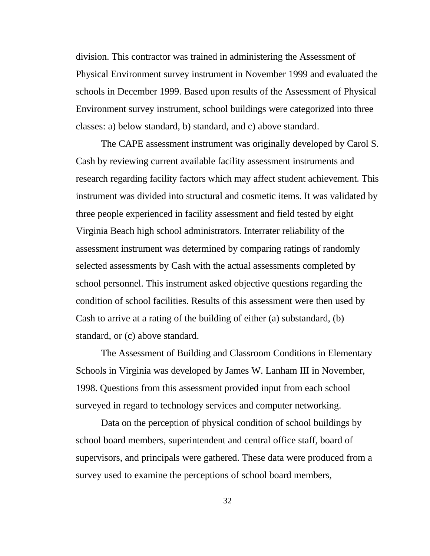division. This contractor was trained in administering the Assessment of Physical Environment survey instrument in November 1999 and evaluated the schools in December 1999. Based upon results of the Assessment of Physical Environment survey instrument, school buildings were categorized into three classes: a) below standard, b) standard, and c) above standard.

The CAPE assessment instrument was originally developed by Carol S. Cash by reviewing current available facility assessment instruments and research regarding facility factors which may affect student achievement. This instrument was divided into structural and cosmetic items. It was validated by three people experienced in facility assessment and field tested by eight Virginia Beach high school administrators. Interrater reliability of the assessment instrument was determined by comparing ratings of randomly selected assessments by Cash with the actual assessments completed by school personnel. This instrument asked objective questions regarding the condition of school facilities. Results of this assessment were then used by Cash to arrive at a rating of the building of either (a) substandard, (b) standard, or (c) above standard.

The Assessment of Building and Classroom Conditions in Elementary Schools in Virginia was developed by James W. Lanham III in November, 1998. Questions from this assessment provided input from each school surveyed in regard to technology services and computer networking.

Data on the perception of physical condition of school buildings by school board members, superintendent and central office staff, board of supervisors, and principals were gathered. These data were produced from a survey used to examine the perceptions of school board members,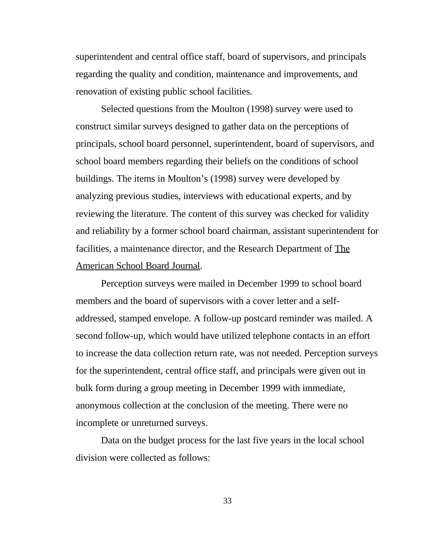superintendent and central office staff, board of supervisors, and principals regarding the quality and condition, maintenance and improvements, and renovation of existing public school facilities.

Selected questions from the Moulton (1998) survey were used to construct similar surveys designed to gather data on the perceptions of principals, school board personnel, superintendent, board of supervisors, and school board members regarding their beliefs on the conditions of school buildings. The items in Moulton's (1998) survey were developed by analyzing previous studies, interviews with educational experts, and by reviewing the literature. The content of this survey was checked for validity and reliability by a former school board chairman, assistant superintendent for facilities, a maintenance director, and the Research Department of The American School Board Journal.

Perception surveys were mailed in December 1999 to school board members and the board of supervisors with a cover letter and a selfaddressed, stamped envelope. A follow-up postcard reminder was mailed. A second follow-up, which would have utilized telephone contacts in an effort to increase the data collection return rate, was not needed. Perception surveys for the superintendent, central office staff, and principals were given out in bulk form during a group meeting in December 1999 with immediate, anonymous collection at the conclusion of the meeting. There were no incomplete or unreturned surveys.

Data on the budget process for the last five years in the local school division were collected as follows: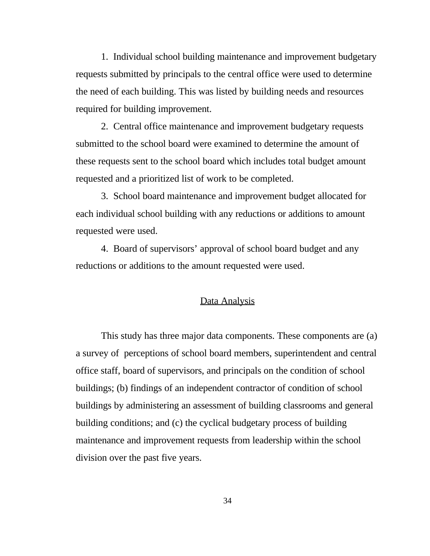1. Individual school building maintenance and improvement budgetary requests submitted by principals to the central office were used to determine the need of each building. This was listed by building needs and resources required for building improvement.

2. Central office maintenance and improvement budgetary requests submitted to the school board were examined to determine the amount of these requests sent to the school board which includes total budget amount requested and a prioritized list of work to be completed.

3. School board maintenance and improvement budget allocated for each individual school building with any reductions or additions to amount requested were used.

4. Board of supervisors' approval of school board budget and any reductions or additions to the amount requested were used.

#### Data Analysis

This study has three major data components. These components are (a) a survey of perceptions of school board members, superintendent and central office staff, board of supervisors, and principals on the condition of school buildings; (b) findings of an independent contractor of condition of school buildings by administering an assessment of building classrooms and general building conditions; and (c) the cyclical budgetary process of building maintenance and improvement requests from leadership within the school division over the past five years.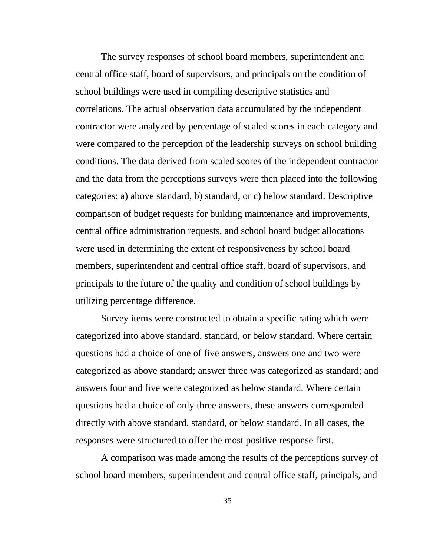The survey responses of school board members, superintendent and central office staff, board of supervisors, and principals on the condition of school buildings were used in compiling descriptive statistics and correlations. The actual observation data accumulated by the independent contractor were analyzed by percentage of scaled scores in each category and were compared to the perception of the leadership surveys on school building conditions. The data derived from scaled scores of the independent contractor and the data from the perceptions surveys were then placed into the following categories: a) above standard, b) standard, or c) below standard. Descriptive comparison of budget requests for building maintenance and improvements, central office administration requests, and school board budget allocations were used in determining the extent of responsiveness by school board members, superintendent and central office staff, board of supervisors, and principals to the future of the quality and condition of school buildings by utilizing percentage difference.

 Survey items were constructed to obtain a specific rating which were categorized into above standard, standard, or below standard. Where certain questions had a choice of one of five answers, answers one and two were categorized as above standard; answer three was categorized as standard; and answers four and five were categorized as below standard. Where certain questions had a choice of only three answers, these answers corresponded directly with above standard, standard, or below standard. In all cases, the responses were structured to offer the most positive response first.

 A comparison was made among the results of the perceptions survey of school board members, superintendent and central office staff, principals, and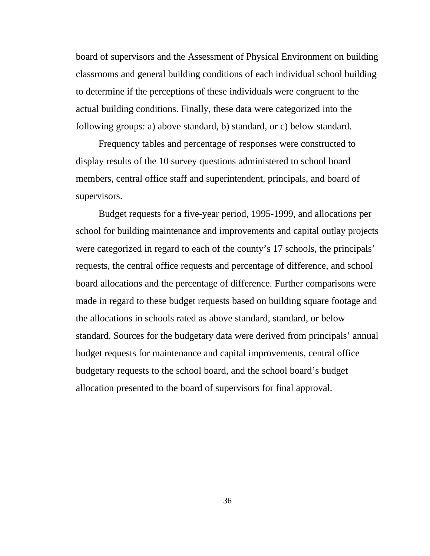board of supervisors and the Assessment of Physical Environment on building classrooms and general building conditions of each individual school building to determine if the perceptions of these individuals were congruent to the actual building conditions. Finally, these data were categorized into the following groups: a) above standard, b) standard, or c) below standard.

 Frequency tables and percentage of responses were constructed to display results of the 10 survey questions administered to school board members, central office staff and superintendent, principals, and board of supervisors.

 Budget requests for a five-year period, 1995-1999, and allocations per school for building maintenance and improvements and capital outlay projects were categorized in regard to each of the county's 17 schools, the principals' requests, the central office requests and percentage of difference, and school board allocations and the percentage of difference. Further comparisons were made in regard to these budget requests based on building square footage and the allocations in schools rated as above standard, standard, or below standard. Sources for the budgetary data were derived from principals' annual budget requests for maintenance and capital improvements, central office budgetary requests to the school board, and the school board's budget allocation presented to the board of supervisors for final approval.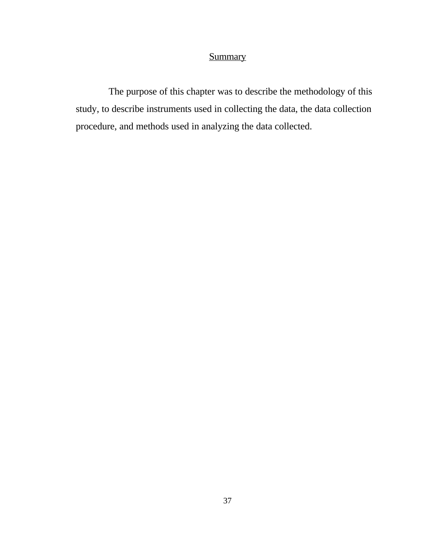### **Summary**

 The purpose of this chapter was to describe the methodology of this study, to describe instruments used in collecting the data, the data collection procedure, and methods used in analyzing the data collected.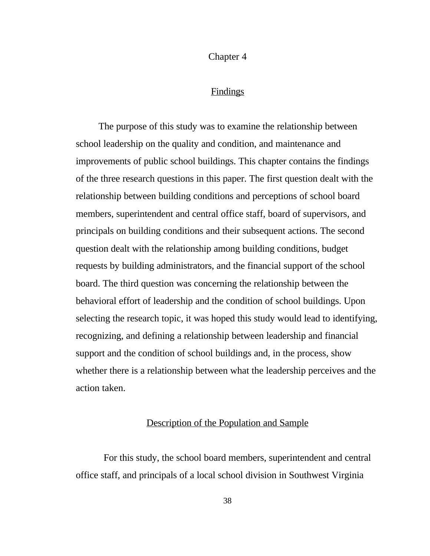Chapter 4

#### **Findings**

 The purpose of this study was to examine the relationship between school leadership on the quality and condition, and maintenance and improvements of public school buildings. This chapter contains the findings of the three research questions in this paper. The first question dealt with the relationship between building conditions and perceptions of school board members, superintendent and central office staff, board of supervisors, and principals on building conditions and their subsequent actions. The second question dealt with the relationship among building conditions, budget requests by building administrators, and the financial support of the school board. The third question was concerning the relationship between the behavioral effort of leadership and the condition of school buildings. Upon selecting the research topic, it was hoped this study would lead to identifying, recognizing, and defining a relationship between leadership and financial support and the condition of school buildings and, in the process, show whether there is a relationship between what the leadership perceives and the action taken.

#### Description of the Population and Sample

 For this study, the school board members, superintendent and central office staff, and principals of a local school division in Southwest Virginia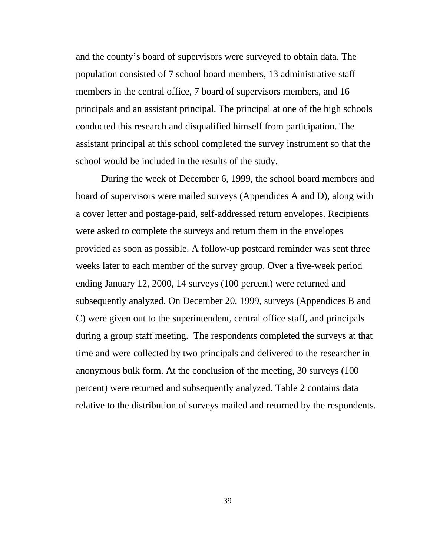and the county's board of supervisors were surveyed to obtain data. The population consisted of 7 school board members, 13 administrative staff members in the central office, 7 board of supervisors members, and 16 principals and an assistant principal. The principal at one of the high schools conducted this research and disqualified himself from participation. The assistant principal at this school completed the survey instrument so that the school would be included in the results of the study.

 During the week of December 6, 1999, the school board members and board of supervisors were mailed surveys (Appendices A and D), along with a cover letter and postage-paid, self-addressed return envelopes. Recipients were asked to complete the surveys and return them in the envelopes provided as soon as possible. A follow-up postcard reminder was sent three weeks later to each member of the survey group. Over a five-week period ending January 12, 2000, 14 surveys (100 percent) were returned and subsequently analyzed. On December 20, 1999, surveys (Appendices B and C) were given out to the superintendent, central office staff, and principals during a group staff meeting. The respondents completed the surveys at that time and were collected by two principals and delivered to the researcher in anonymous bulk form. At the conclusion of the meeting, 30 surveys (100 percent) were returned and subsequently analyzed. Table 2 contains data relative to the distribution of surveys mailed and returned by the respondents.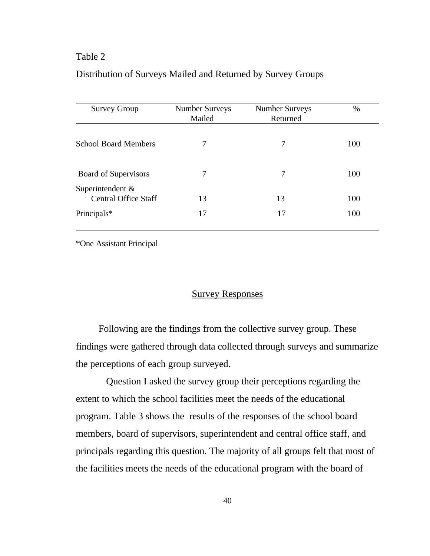#### Distribution of Surveys Mailed and Returned by Survey Groups

| <b>Survey Group</b>                                | <b>Number Surveys</b><br>Mailed | <b>Number Surveys</b><br>Returned | $\%$ |
|----------------------------------------------------|---------------------------------|-----------------------------------|------|
| <b>School Board Members</b>                        | 7                               | 7                                 | 100  |
| Board of Supervisors                               | 7                               | 7                                 | 100  |
| Superintendent $\&$<br><b>Central Office Staff</b> | 13                              | 13                                | 100  |
| Principals*                                        | 17                              | 17                                | 100  |

\*One Assistant Principal

#### Survey Responses

 Following are the findings from the collective survey group. These findings were gathered through data collected through surveys and summarize the perceptions of each group surveyed.

 Question I asked the survey group their perceptions regarding the extent to which the school facilities meet the needs of the educational program. Table 3 shows the results of the responses of the school board members, board of supervisors, superintendent and central office staff, and principals regarding this question. The majority of all groups felt that most of the facilities meets the needs of the educational program with the board of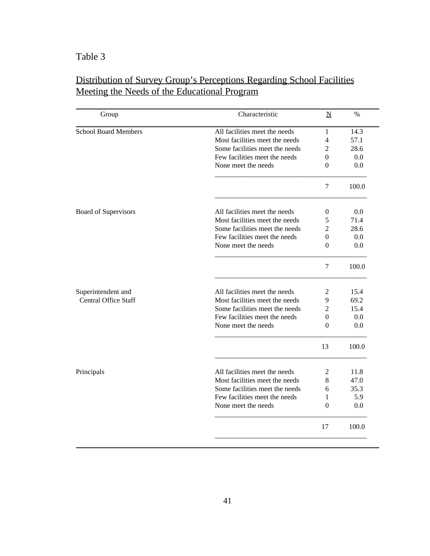| Group                       | Characteristic                 | $\underline{\mathbf{N}}$ | $\frac{0}{0}$ |
|-----------------------------|--------------------------------|--------------------------|---------------|
| <b>School Board Members</b> | All facilities meet the needs  | 1                        | 14.3          |
|                             | Most facilities meet the needs | 4                        | 57.1          |
|                             | Some facilities meet the needs | 2                        | 28.6          |
|                             | Few facilities meet the needs  | 0                        | 0.0           |
|                             | None meet the needs            | 0                        | 0.0           |
|                             |                                | $\overline{7}$           | 100.0         |
| Board of Supervisors        | All facilities meet the needs  | 0                        | 0.0           |
|                             | Most facilities meet the needs | 5                        | 71.4          |
|                             | Some facilities meet the needs | 2                        | 28.6          |
|                             | Few facilities meet the needs  | 0                        | 0.0           |
|                             | None meet the needs            | 0                        | 0.0           |
|                             |                                | $\tau$                   | 100.0         |
| Superintendent and          | All facilities meet the needs  | 2                        | 15.4          |
| <b>Central Office Staff</b> | Most facilities meet the needs | 9                        | 69.2          |
|                             | Some facilities meet the needs | 2                        | 15.4          |
|                             | Few facilities meet the needs  | $\overline{0}$           | 0.0           |
|                             | None meet the needs            | 0                        | 0.0           |
|                             |                                | 13                       | 100.0         |
| Principals                  | All facilities meet the needs  | 2                        | 11.8          |
|                             | Most facilities meet the needs | 8                        | 47.0          |
|                             | Some facilities meet the needs | 6                        | 35.3          |
|                             | Few facilities meet the needs  | 1                        | 5.9           |
|                             | None meet the needs            | $\Omega$                 | 0.0           |
|                             |                                | 17                       | 100.0         |

### Distribution of Survey Group's Perceptions Regarding School Facilities Meeting the Needs of the Educational Program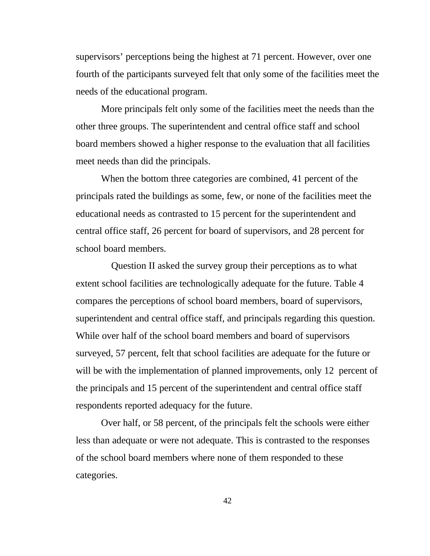supervisors' perceptions being the highest at 71 percent. However, over one fourth of the participants surveyed felt that only some of the facilities meet the needs of the educational program.

More principals felt only some of the facilities meet the needs than the other three groups. The superintendent and central office staff and school board members showed a higher response to the evaluation that all facilities meet needs than did the principals.

When the bottom three categories are combined, 41 percent of the principals rated the buildings as some, few, or none of the facilities meet the educational needs as contrasted to 15 percent for the superintendent and central office staff, 26 percent for board of supervisors, and 28 percent for school board members.

 Question II asked the survey group their perceptions as to what extent school facilities are technologically adequate for the future. Table 4 compares the perceptions of school board members, board of supervisors, superintendent and central office staff, and principals regarding this question. While over half of the school board members and board of supervisors surveyed, 57 percent, felt that school facilities are adequate for the future or will be with the implementation of planned improvements, only 12 percent of the principals and 15 percent of the superintendent and central office staff respondents reported adequacy for the future.

Over half, or 58 percent, of the principals felt the schools were either less than adequate or were not adequate. This is contrasted to the responses of the school board members where none of them responded to these categories.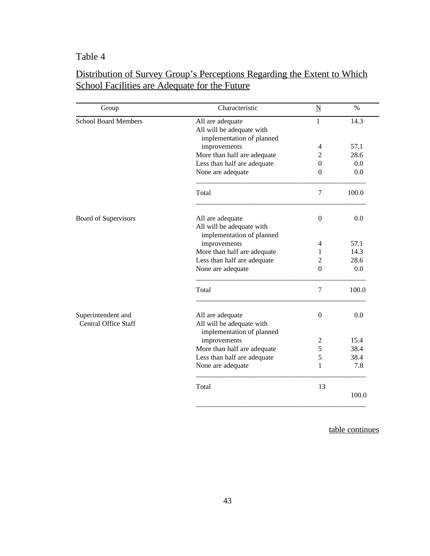| Characteristic              | $\underline{N}$                                                                                                                                                                                                                                                                                                                           | $\%$                                                                   |
|-----------------------------|-------------------------------------------------------------------------------------------------------------------------------------------------------------------------------------------------------------------------------------------------------------------------------------------------------------------------------------------|------------------------------------------------------------------------|
| All are adequate            | 1                                                                                                                                                                                                                                                                                                                                         | 14.3                                                                   |
| All will be adequate with   |                                                                                                                                                                                                                                                                                                                                           |                                                                        |
| implementation of planned   |                                                                                                                                                                                                                                                                                                                                           |                                                                        |
| improvements                | 4                                                                                                                                                                                                                                                                                                                                         | 57.1                                                                   |
| More than half are adequate | 2                                                                                                                                                                                                                                                                                                                                         | 28.6                                                                   |
| Less than half are adequate | $\Omega$                                                                                                                                                                                                                                                                                                                                  | 0.0                                                                    |
| None are adequate           | $\Omega$                                                                                                                                                                                                                                                                                                                                  | 0.0                                                                    |
| Total                       | 7                                                                                                                                                                                                                                                                                                                                         | 100.0                                                                  |
|                             |                                                                                                                                                                                                                                                                                                                                           | 0.0                                                                    |
|                             |                                                                                                                                                                                                                                                                                                                                           |                                                                        |
|                             |                                                                                                                                                                                                                                                                                                                                           |                                                                        |
|                             |                                                                                                                                                                                                                                                                                                                                           | 57.1                                                                   |
|                             |                                                                                                                                                                                                                                                                                                                                           | 14.3                                                                   |
|                             |                                                                                                                                                                                                                                                                                                                                           | 28.6                                                                   |
|                             |                                                                                                                                                                                                                                                                                                                                           |                                                                        |
|                             |                                                                                                                                                                                                                                                                                                                                           | 0.0                                                                    |
| Total                       | $\tau$                                                                                                                                                                                                                                                                                                                                    | 100.0                                                                  |
|                             |                                                                                                                                                                                                                                                                                                                                           | 0.0                                                                    |
|                             |                                                                                                                                                                                                                                                                                                                                           |                                                                        |
|                             |                                                                                                                                                                                                                                                                                                                                           |                                                                        |
|                             |                                                                                                                                                                                                                                                                                                                                           | 15.4                                                                   |
|                             |                                                                                                                                                                                                                                                                                                                                           | 38.4                                                                   |
|                             |                                                                                                                                                                                                                                                                                                                                           | 38.4                                                                   |
| None are adequate           | 1                                                                                                                                                                                                                                                                                                                                         | 7.8                                                                    |
|                             |                                                                                                                                                                                                                                                                                                                                           |                                                                        |
| Total                       | 13                                                                                                                                                                                                                                                                                                                                        | 100.0                                                                  |
|                             | All are adequate<br>All will be adequate with<br>implementation of planned<br>improvements<br>More than half are adequate<br>Less than half are adequate<br>None are adequate<br>All are adequate<br>All will be adequate with<br>implementation of planned<br>improvements<br>More than half are adequate<br>Less than half are adequate | $\boldsymbol{0}$<br>4<br>1<br>2<br>$\Omega$<br>$\Omega$<br>2<br>5<br>5 |

### Distribution of Survey Group's Perceptions Regarding the Extent to Which School Facilities are Adequate for the Future

table continues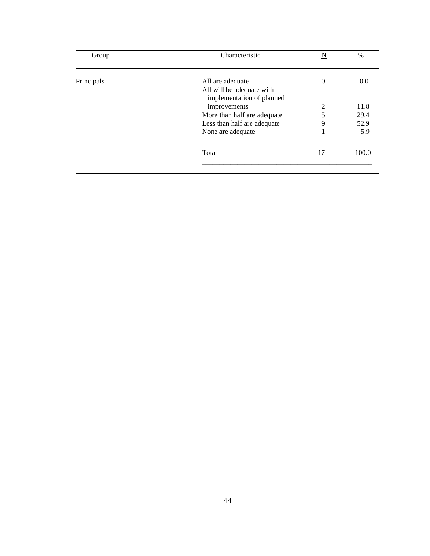| Group      | Characteristic              | N        | $\frac{0}{0}$ |
|------------|-----------------------------|----------|---------------|
| Principals | All are adequate            | $\theta$ | 0.0           |
|            | All will be adequate with   |          |               |
|            | implementation of planned   |          |               |
|            | improvements                | 2        | 11.8          |
|            | More than half are adequate | 5        | 29.4          |
|            | Less than half are adequate | 9        | 52.9          |
|            | None are adequate           | 1        | 5.9           |
|            | Total                       | 17       | 100.0         |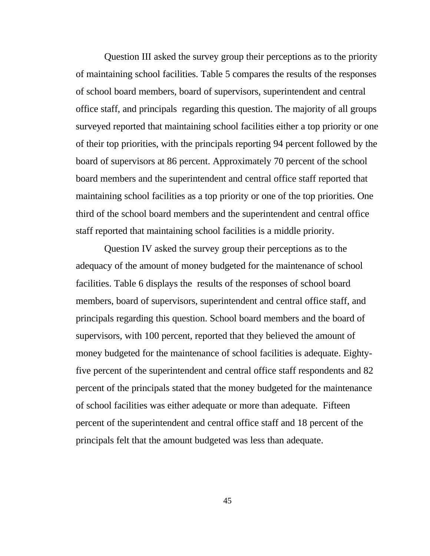Question III asked the survey group their perceptions as to the priority of maintaining school facilities. Table 5 compares the results of the responses of school board members, board of supervisors, superintendent and central office staff, and principals regarding this question. The majority of all groups surveyed reported that maintaining school facilities either a top priority or one of their top priorities, with the principals reporting 94 percent followed by the board of supervisors at 86 percent. Approximately 70 percent of the school board members and the superintendent and central office staff reported that maintaining school facilities as a top priority or one of the top priorities. One third of the school board members and the superintendent and central office staff reported that maintaining school facilities is a middle priority.

 Question IV asked the survey group their perceptions as to the adequacy of the amount of money budgeted for the maintenance of school facilities. Table 6 displays the results of the responses of school board members, board of supervisors, superintendent and central office staff, and principals regarding this question. School board members and the board of supervisors, with 100 percent, reported that they believed the amount of money budgeted for the maintenance of school facilities is adequate. Eightyfive percent of the superintendent and central office staff respondents and 82 percent of the principals stated that the money budgeted for the maintenance of school facilities was either adequate or more than adequate. Fifteen percent of the superintendent and central office staff and 18 percent of the principals felt that the amount budgeted was less than adequate.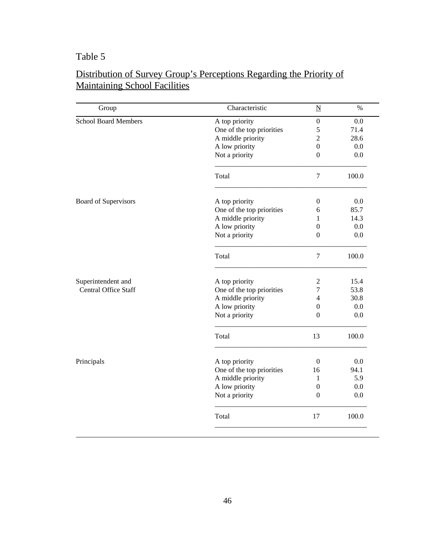| Group                       | Characteristic            | $\underline{\mathbf{N}}$ | $\%$  |
|-----------------------------|---------------------------|--------------------------|-------|
| <b>School Board Members</b> | A top priority            | $\boldsymbol{0}$         | 0.0   |
|                             | One of the top priorities | 5                        | 71.4  |
|                             | A middle priority         | $\mathfrak{2}$           | 28.6  |
|                             | A low priority            | $\boldsymbol{0}$         | 0.0   |
|                             | Not a priority            | $\Omega$                 | 0.0   |
|                             | Total                     | $\overline{7}$           | 100.0 |
| Board of Supervisors        | A top priority            | $\mathbf{0}$             | 0.0   |
|                             | One of the top priorities | 6                        | 85.7  |
|                             | A middle priority         | 1                        | 14.3  |
|                             | A low priority            | $\Omega$                 | 0.0   |
|                             | Not a priority            | $\overline{0}$           | 0.0   |
|                             | Total                     | 7                        | 100.0 |
| Superintendent and          | A top priority            | $\mathfrak{2}$           | 15.4  |
| <b>Central Office Staff</b> | One of the top priorities | $\tau$                   | 53.8  |
|                             | A middle priority         | $\overline{4}$           | 30.8  |
|                             | A low priority            | $\boldsymbol{0}$         | 0.0   |
|                             | Not a priority            | $\Omega$                 | 0.0   |
|                             | Total                     | 13                       | 100.0 |
| Principals                  | A top priority            | $\Omega$                 | 0.0   |
|                             | One of the top priorities | 16                       | 94.1  |
|                             | A middle priority         | 1                        | 5.9   |
|                             | A low priority            | $\theta$                 | 0.0   |
|                             | Not a priority            | $\Omega$                 | 0.0   |
|                             | Total                     | 17                       | 100.0 |

### Distribution of Survey Group's Perceptions Regarding the Priority of Maintaining School Facilities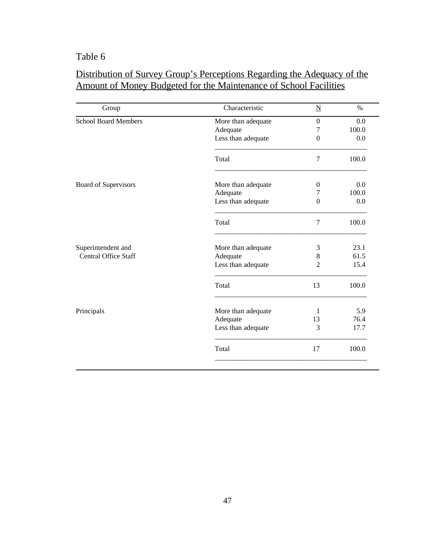# Distribution of Survey Group's Perceptions Regarding the Adequacy of the Amount of Money Budgeted for the Maintenance of School Facilities

| Group                       | Characteristic     | $\underline{\mathbf{N}}$ | $\%$  |
|-----------------------------|--------------------|--------------------------|-------|
| <b>School Board Members</b> | More than adequate | $\Omega$                 | 0.0   |
|                             | Adequate           | 7                        | 100.0 |
|                             | Less than adequate | $\overline{0}$           | 0.0   |
|                             | Total              | 7                        | 100.0 |
| <b>Board of Supervisors</b> | More than adequate | $\left($                 | 0.0   |
|                             | Adequate           | 7                        | 100.0 |
|                             | Less than adequate | $\boldsymbol{0}$         | 0.0   |
|                             | Total              | $\overline{7}$           | 100.0 |
| Superintendent and          | More than adequate | 3                        | 23.1  |
| <b>Central Office Staff</b> | Adequate           | 8                        | 61.5  |
|                             | Less than adequate | $\overline{2}$           | 15.4  |
|                             | Total              | 13                       | 100.0 |
| Principals                  | More than adequate | 1                        | 5.9   |
|                             | Adequate           | 13                       | 76.4  |
|                             | Less than adequate | 3                        | 17.7  |
|                             | Total              | 17                       | 100.0 |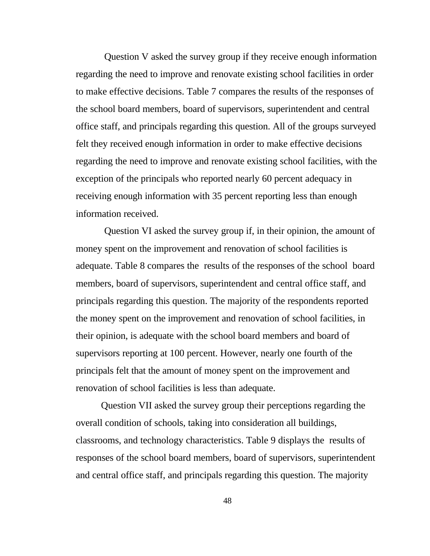Question V asked the survey group if they receive enough information regarding the need to improve and renovate existing school facilities in order to make effective decisions. Table 7 compares the results of the responses of the school board members, board of supervisors, superintendent and central office staff, and principals regarding this question. All of the groups surveyed felt they received enough information in order to make effective decisions regarding the need to improve and renovate existing school facilities, with the exception of the principals who reported nearly 60 percent adequacy in receiving enough information with 35 percent reporting less than enough information received.

 Question VI asked the survey group if, in their opinion, the amount of money spent on the improvement and renovation of school facilities is adequate. Table 8 compares the results of the responses of the school board members, board of supervisors, superintendent and central office staff, and principals regarding this question. The majority of the respondents reported the money spent on the improvement and renovation of school facilities, in their opinion, is adequate with the school board members and board of supervisors reporting at 100 percent. However, nearly one fourth of the principals felt that the amount of money spent on the improvement and renovation of school facilities is less than adequate.

 Question VII asked the survey group their perceptions regarding the overall condition of schools, taking into consideration all buildings, classrooms, and technology characteristics. Table 9 displays the results of responses of the school board members, board of supervisors, superintendent and central office staff, and principals regarding this question. The majority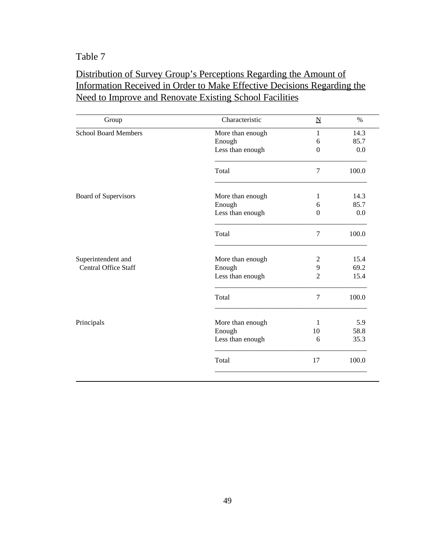### Distribution of Survey Group's Perceptions Regarding the Amount of Information Received in Order to Make Effective Decisions Regarding the Need to Improve and Renovate Existing School Facilities

| Group                       | Characteristic   | $\underline{\mathbf{N}}$ | $\%$  |
|-----------------------------|------------------|--------------------------|-------|
| <b>School Board Members</b> | More than enough | $\mathbf{1}$             | 14.3  |
|                             | Enough           | 6                        | 85.7  |
|                             | Less than enough | $\overline{0}$           | 0.0   |
|                             | Total            | $\overline{7}$           | 100.0 |
| Board of Supervisors        | More than enough | 1                        | 14.3  |
|                             | Enough           | 6                        | 85.7  |
|                             | Less than enough | $\Omega$                 | 0.0   |
|                             | Total            | 7                        | 100.0 |
| Superintendent and          | More than enough | $\overline{2}$           | 15.4  |
| <b>Central Office Staff</b> | Enough           | 9                        | 69.2  |
|                             | Less than enough | $\overline{2}$           | 15.4  |
|                             | Total            | 7                        | 100.0 |
| Principals                  | More than enough | 1                        | 5.9   |
|                             | Enough           | 10                       | 58.8  |
|                             | Less than enough | 6                        | 35.3  |
|                             | Total            | 17                       | 100.0 |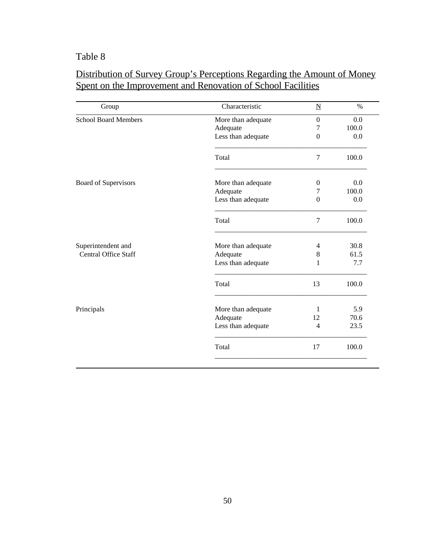| Group                       | Characteristic     | $\underline{\mathbf{N}}$ | $\%$  |
|-----------------------------|--------------------|--------------------------|-------|
| <b>School Board Members</b> | More than adequate | $\Omega$                 | 0.0   |
|                             | Adequate           | 7                        | 100.0 |
|                             | Less than adequate | $\Omega$                 | 0.0   |
|                             | Total              | $\tau$                   | 100.0 |
| Board of Supervisors        | More than adequate | $\theta$                 | 0.0   |
|                             | Adequate           | 7                        | 100.0 |
|                             | Less than adequate | $\Omega$                 | 0.0   |
|                             | Total              | 7                        | 100.0 |
| Superintendent and          | More than adequate | 4                        | 30.8  |
| <b>Central Office Staff</b> | Adequate           | 8                        | 61.5  |
|                             | Less than adequate | 1                        | 7.7   |
|                             | Total              | 13                       | 100.0 |
| Principals                  | More than adequate | 1                        | 5.9   |
|                             | Adequate           | 12                       | 70.6  |
|                             | Less than adequate | $\overline{4}$           | 23.5  |
|                             | Total              | 17                       | 100.0 |

# Distribution of Survey Group's Perceptions Regarding the Amount of Money Spent on the Improvement and Renovation of School Facilities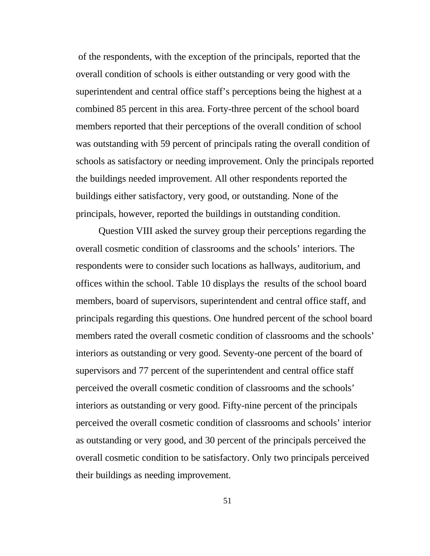of the respondents, with the exception of the principals, reported that the overall condition of schools is either outstanding or very good with the superintendent and central office staff's perceptions being the highest at a combined 85 percent in this area. Forty-three percent of the school board members reported that their perceptions of the overall condition of school was outstanding with 59 percent of principals rating the overall condition of schools as satisfactory or needing improvement. Only the principals reported the buildings needed improvement. All other respondents reported the buildings either satisfactory, very good, or outstanding. None of the principals, however, reported the buildings in outstanding condition.

 Question VIII asked the survey group their perceptions regarding the overall cosmetic condition of classrooms and the schools' interiors. The respondents were to consider such locations as hallways, auditorium, and offices within the school. Table 10 displays the results of the school board members, board of supervisors, superintendent and central office staff, and principals regarding this questions. One hundred percent of the school board members rated the overall cosmetic condition of classrooms and the schools' interiors as outstanding or very good. Seventy-one percent of the board of supervisors and 77 percent of the superintendent and central office staff perceived the overall cosmetic condition of classrooms and the schools' interiors as outstanding or very good. Fifty-nine percent of the principals perceived the overall cosmetic condition of classrooms and schools' interior as outstanding or very good, and 30 percent of the principals perceived the overall cosmetic condition to be satisfactory. Only two principals perceived their buildings as needing improvement.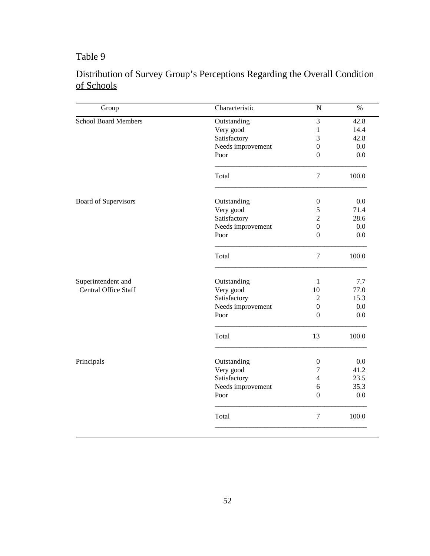# Distribution of Survey Group's Perceptions Regarding the Overall Condition of Schools

| Group                       | Characteristic    | $\underline{\text{N}}$ | $\%$    |
|-----------------------------|-------------------|------------------------|---------|
| <b>School Board Members</b> | Outstanding       | 3                      | 42.8    |
|                             | Very good         | $\mathbf{1}$           | 14.4    |
|                             | Satisfactory      | 3                      | 42.8    |
|                             | Needs improvement | $\boldsymbol{0}$       | 0.0     |
|                             | Poor              | $\overline{0}$         | $0.0\,$ |
|                             | Total             | $\tau$                 | 100.0   |
| Board of Supervisors        | Outstanding       | $\boldsymbol{0}$       | 0.0     |
|                             | Very good         | 5                      | 71.4    |
|                             | Satisfactory      | $\overline{2}$         | 28.6    |
|                             | Needs improvement | $\boldsymbol{0}$       | 0.0     |
|                             | Poor              | $\overline{0}$         | 0.0     |
|                             | Total             | $\overline{7}$         | 100.0   |
| Superintendent and          | Outstanding       | $\mathbf{1}$           | 7.7     |
| <b>Central Office Staff</b> | Very good         | 10                     | 77.0    |
|                             | Satisfactory      | $\overline{2}$         | 15.3    |
|                             | Needs improvement | $\boldsymbol{0}$       | 0.0     |
|                             | Poor              | $\overline{0}$         | 0.0     |
|                             | Total             | 13                     | 100.0   |
| Principals                  | Outstanding       | $\boldsymbol{0}$       | 0.0     |
|                             | Very good         | $\tau$                 | 41.2    |
|                             | Satisfactory      | $\overline{4}$         | 23.5    |
|                             | Needs improvement | 6                      | 35.3    |
|                             | Poor              | $\overline{0}$         | 0.0     |
|                             | Total             | $\overline{7}$         | 100.0   |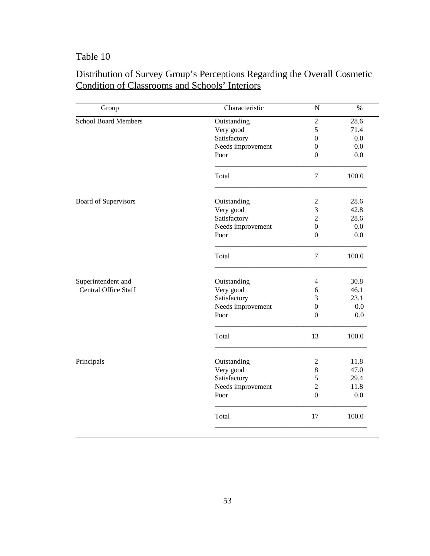| Group                       | Characteristic    | $\underline{\mathbf{N}}$ | $\%$  |
|-----------------------------|-------------------|--------------------------|-------|
| <b>School Board Members</b> | Outstanding       | $\sqrt{2}$               | 28.6  |
|                             | Very good         | 5                        | 71.4  |
|                             | Satisfactory      | 0                        | 0.0   |
|                             | Needs improvement | $\boldsymbol{0}$         | 0.0   |
|                             | Poor              | $\theta$                 | 0.0   |
|                             | Total             | $\overline{7}$           | 100.0 |
| Board of Supervisors        | Outstanding       | $\overline{2}$           | 28.6  |
|                             | Very good         | 3                        | 42.8  |
|                             | Satisfactory      | $\overline{c}$           | 28.6  |
|                             | Needs improvement | $\boldsymbol{0}$         | 0.0   |
|                             | Poor              | $\theta$                 | 0.0   |
|                             | Total             | $\boldsymbol{7}$         | 100.0 |
| Superintendent and          | Outstanding       | 4                        | 30.8  |
| <b>Central Office Staff</b> | Very good         | $\sqrt{6}$               | 46.1  |
|                             | Satisfactory      | 3                        | 23.1  |
|                             | Needs improvement | $\boldsymbol{0}$         | 0.0   |
|                             | Poor              | $\mathbf{0}$             | 0.0   |
|                             | Total             | 13                       | 100.0 |
| Principals                  | Outstanding       | 2                        | 11.8  |
|                             | Very good         | 8                        | 47.0  |
|                             | Satisfactory      | 5                        | 29.4  |
|                             | Needs improvement | $\overline{2}$           | 11.8  |
|                             | Poor              | $\overline{0}$           | 0.0   |
|                             | Total             | 17                       | 100.0 |

### Distribution of Survey Group's Perceptions Regarding the Overall Cosmetic Condition of Classrooms and Schools' Interiors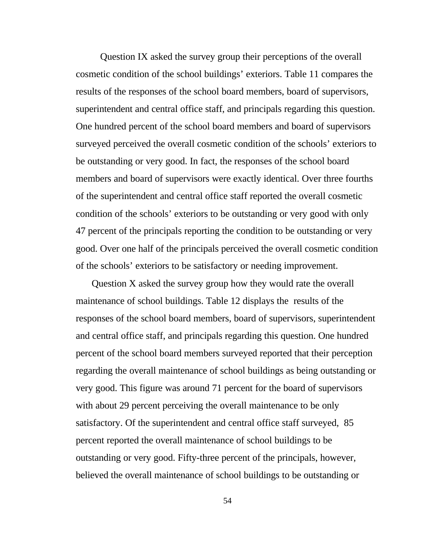Question IX asked the survey group their perceptions of the overall cosmetic condition of the school buildings' exteriors. Table 11 compares the results of the responses of the school board members, board of supervisors, superintendent and central office staff, and principals regarding this question. One hundred percent of the school board members and board of supervisors surveyed perceived the overall cosmetic condition of the schools' exteriors to be outstanding or very good. In fact, the responses of the school board members and board of supervisors were exactly identical. Over three fourths of the superintendent and central office staff reported the overall cosmetic condition of the schools' exteriors to be outstanding or very good with only 47 percent of the principals reporting the condition to be outstanding or very good. Over one half of the principals perceived the overall cosmetic condition of the schools' exteriors to be satisfactory or needing improvement.

Question X asked the survey group how they would rate the overall maintenance of school buildings. Table 12 displays the results of the responses of the school board members, board of supervisors, superintendent and central office staff, and principals regarding this question. One hundred percent of the school board members surveyed reported that their perception regarding the overall maintenance of school buildings as being outstanding or very good. This figure was around 71 percent for the board of supervisors with about 29 percent perceiving the overall maintenance to be only satisfactory. Of the superintendent and central office staff surveyed, 85 percent reported the overall maintenance of school buildings to be outstanding or very good. Fifty-three percent of the principals, however, believed the overall maintenance of school buildings to be outstanding or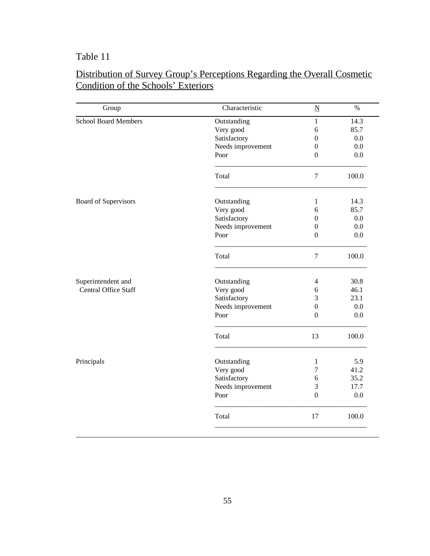| Group                       | Characteristic    | $\underline{\mathbf{N}}$ | $\%$  |
|-----------------------------|-------------------|--------------------------|-------|
| <b>School Board Members</b> | Outstanding       | $\mathbf{1}$             | 14.3  |
|                             | Very good         | 6                        | 85.7  |
|                             | Satisfactory      | $\overline{0}$           | 0.0   |
|                             | Needs improvement | $\mathbf{0}$             | 0.0   |
|                             | Poor              | $\mathbf{0}$             | 0.0   |
|                             | Total             | $\tau$                   | 100.0 |
| Board of Supervisors        | Outstanding       | $\mathbf{1}$             | 14.3  |
|                             | Very good         | 6                        | 85.7  |
|                             | Satisfactory      | $\mathbf{0}$             | 0.0   |
|                             | Needs improvement | $\mathbf{0}$             | 0.0   |
|                             | Poor              | $\overline{0}$           | 0.0   |
|                             | Total             | $\overline{7}$           | 100.0 |
| Superintendent and          | Outstanding       | $\overline{4}$           | 30.8  |
| <b>Central Office Staff</b> | Very good         | 6                        | 46.1  |
|                             | Satisfactory      | 3                        | 23.1  |
|                             | Needs improvement | $\boldsymbol{0}$         | 0.0   |
|                             | Poor              | $\mathbf{0}$             | 0.0   |
|                             | Total             | 13                       | 100.0 |
| Principals                  | Outstanding       | $\mathbf{1}$             | 5.9   |
|                             | Very good         | $\overline{7}$           | 41.2  |
|                             | Satisfactory      | 6                        | 35.2  |
|                             | Needs improvement | 3                        | 17.7  |
|                             | Poor              | $\mathbf{0}$             | 0.0   |
|                             | Total             | 17                       | 100.0 |

### Distribution of Survey Group's Perceptions Regarding the Overall Cosmetic Condition of the Schools' Exteriors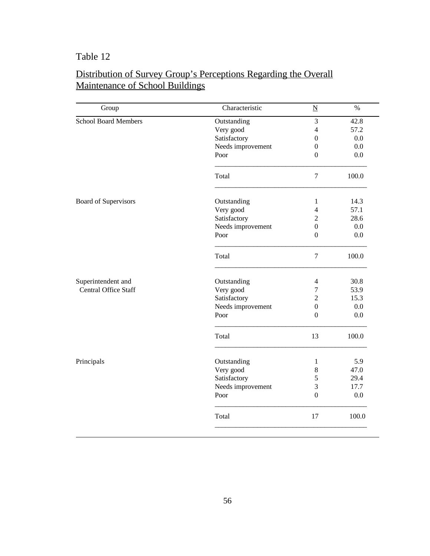| Group                       | Characteristic    | $\underline{N}$  | $\%$    |
|-----------------------------|-------------------|------------------|---------|
| <b>School Board Members</b> | Outstanding       | 3                | 42.8    |
|                             | Very good         | $\overline{4}$   | 57.2    |
|                             | Satisfactory      | $\mathbf{0}$     | 0.0     |
|                             | Needs improvement | $\boldsymbol{0}$ | $0.0\,$ |
|                             | Poor              | $\mathbf{0}$     | 0.0     |
|                             | Total             | $\tau$           | 100.0   |
| Board of Supervisors        | Outstanding       | $\mathbf{1}$     | 14.3    |
|                             | Very good         | $\overline{4}$   | 57.1    |
|                             | Satisfactory      | $\overline{2}$   | 28.6    |
|                             | Needs improvement | $\overline{0}$   | 0.0     |
|                             | Poor              | $\boldsymbol{0}$ | $0.0\,$ |
|                             | Total             | $\tau$           | 100.0   |
| Superintendent and          | Outstanding       | $\overline{4}$   | 30.8    |
| <b>Central Office Staff</b> | Very good         | $\tau$           | 53.9    |
|                             | Satisfactory      | $\overline{2}$   | 15.3    |
|                             | Needs improvement | $\boldsymbol{0}$ | 0.0     |
|                             | Poor              | $\Omega$         | 0.0     |
|                             | Total             | 13               | 100.0   |
| Principals                  | Outstanding       | $\mathbf{1}$     | 5.9     |
|                             | Very good         | $8\,$            | 47.0    |
|                             | Satisfactory      | $\sqrt{5}$       | 29.4    |
|                             | Needs improvement | 3                | 17.7    |
|                             | Poor              | $\boldsymbol{0}$ | 0.0     |
|                             | Total             | 17               | 100.0   |

### Distribution of Survey Group's Perceptions Regarding the Overall Maintenance of School Buildings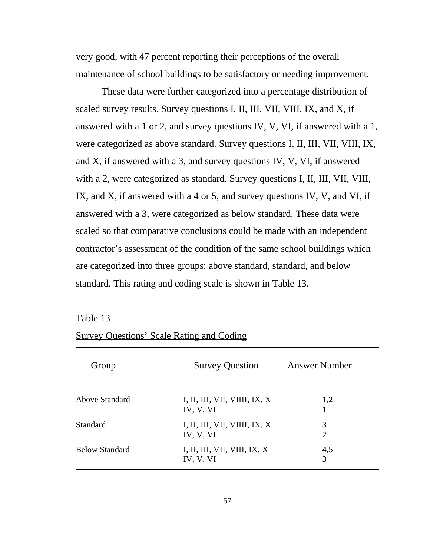very good, with 47 percent reporting their perceptions of the overall maintenance of school buildings to be satisfactory or needing improvement.

 These data were further categorized into a percentage distribution of scaled survey results. Survey questions I, II, III, VII, VIII, IX, and X, if answered with a 1 or 2, and survey questions IV, V, VI, if answered with a 1, were categorized as above standard. Survey questions I, II, III, VII, VIII, IX, and X, if answered with a 3, and survey questions IV, V, VI, if answered with a 2, were categorized as standard. Survey questions I, II, III, VII, VIII, IX, and X, if answered with a 4 or 5, and survey questions IV, V, and VI, if answered with a 3, were categorized as below standard. These data were scaled so that comparative conclusions could be made with an independent contractor's assessment of the condition of the same school buildings which are categorized into three groups: above standard, standard, and below standard. This rating and coding scale is shown in Table 13.

| Table 13 |  |
|----------|--|
|----------|--|

#### Survey Questions' Scale Rating and Coding

| Group                 | <b>Survey Question</b>                     | <b>Answer Number</b> |  |
|-----------------------|--------------------------------------------|----------------------|--|
| Above Standard        | I, II, III, VII, VIIII, IX, X<br>IV, V, VI | 1,2                  |  |
| Standard              | I, II, III, VII, VIIII, IX, X<br>IV, V, VI | 3<br>2               |  |
| <b>Below Standard</b> | I, II, III, VII, VIII, IX, X<br>IV, V, VI  | 4,5<br>3             |  |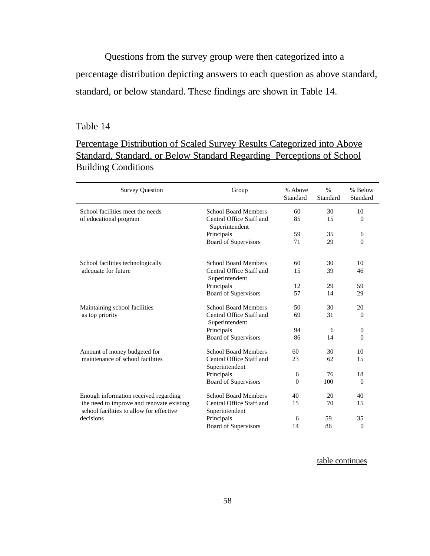Questions from the survey group were then categorized into a percentage distribution depicting answers to each question as above standard, standard, or below standard. These findings are shown in Table 14.

#### Table 14

### Percentage Distribution of Scaled Survey Results Categorized into Above Standard, Standard, or Below Standard Regarding Perceptions of School **Building Conditions**

| <b>Survey Question</b>                                                                                                                      | Group                                      | % Above<br>Standard | $\frac{0}{0}$<br>Standard | % Below<br>Standard |
|---------------------------------------------------------------------------------------------------------------------------------------------|--------------------------------------------|---------------------|---------------------------|---------------------|
| School facilities meet the needs                                                                                                            | <b>School Board Members</b>                | 60                  | 30                        | 10                  |
| of educational program                                                                                                                      | Central Office Staff and<br>Superintendent | 85                  | 15                        | $\overline{0}$      |
|                                                                                                                                             | Principals                                 | 59                  | 35                        | 6                   |
|                                                                                                                                             | Board of Supervisors                       | 71                  | 29                        | $\overline{0}$      |
| School facilities technologically<br>adequate for future                                                                                    | <b>School Board Members</b>                | 60                  | 30                        | 10                  |
|                                                                                                                                             | Central Office Staff and<br>Superintendent | 15                  | 39                        | 46                  |
|                                                                                                                                             | Principals                                 | 12                  | 29                        | 59                  |
|                                                                                                                                             | Board of Supervisors                       | 57                  | 14                        | 29                  |
| Maintaining school facilities<br>as top priority                                                                                            | <b>School Board Members</b>                | 50                  | 30                        | 20                  |
|                                                                                                                                             | Central Office Staff and<br>Superintendent | 69                  | 31                        | $\theta$            |
|                                                                                                                                             | Principals                                 | 94                  | 6                         | $\theta$            |
|                                                                                                                                             | <b>Board of Supervisors</b>                | 86                  | 14                        | $\theta$            |
| Amount of money budgeted for<br>maintenance of school facilities                                                                            | <b>School Board Members</b>                | 60                  | 30                        | 10                  |
|                                                                                                                                             | Central Office Staff and<br>Superintendent | 23                  | 62                        | 15                  |
|                                                                                                                                             | Principals                                 | 6                   | 76                        | 18                  |
|                                                                                                                                             | Board of Supervisors                       | $\theta$            | 100                       | $\Omega$            |
| Enough information received regarding<br>the need to improve and renovate existing<br>school facilities to allow for effective<br>decisions | <b>School Board Members</b>                | 40                  | 20                        | 40                  |
|                                                                                                                                             | Central Office Staff and<br>Superintendent | 15                  | 70                        | 15                  |
|                                                                                                                                             | Principals                                 | 6                   | 59                        | 35                  |
|                                                                                                                                             | <b>Board of Supervisors</b>                | 14                  | 86                        | $\overline{0}$      |

table continues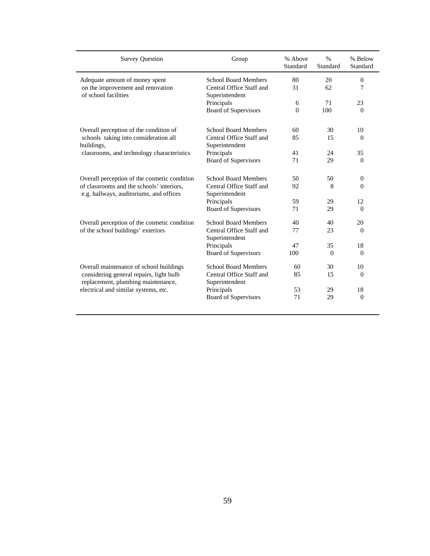| <b>Survey Question</b>                                                                                                                                           | Group                                      | % Above<br>Standard | $\frac{0}{0}$<br>Standard | % Below<br>Standard |
|------------------------------------------------------------------------------------------------------------------------------------------------------------------|--------------------------------------------|---------------------|---------------------------|---------------------|
| Adequate amount of money spent<br>on the improvement and renovation<br>of school facilities                                                                      | <b>School Board Members</b>                | 80                  | 20                        | $\mathbf{0}$        |
|                                                                                                                                                                  | Central Office Staff and<br>Superintendent | 31                  | 62                        | 7                   |
|                                                                                                                                                                  | Principals                                 | 6                   | 71                        | 23                  |
|                                                                                                                                                                  | <b>Board of Supervisors</b>                | $\theta$            | 100                       | $\theta$            |
| Overall perception of the condition of                                                                                                                           | <b>School Board Members</b>                | 60                  | 30                        | 10                  |
| schools taking into consideration all<br>buildings,                                                                                                              | Central Office Staff and<br>Superintendent | 85                  | 15                        | $\Omega$            |
| classrooms, and technology characteristics                                                                                                                       | Principals                                 | 41                  | 24                        | 35                  |
|                                                                                                                                                                  | Board of Supervisors                       | 71                  | 29                        | $\overline{0}$      |
| Overall perception of the cosmetic condition<br>of classrooms and the schools' interiors.<br>e.g. hallways, auditoriums, and offices                             | <b>School Board Members</b>                | 50                  | 50                        | $\theta$            |
|                                                                                                                                                                  | Central Office Staff and<br>Superintendent | 92                  | 8                         | $\Omega$            |
|                                                                                                                                                                  | Principals                                 | 59                  | 29                        | 12                  |
|                                                                                                                                                                  | Board of Supervisors                       | 71                  | 29                        | $\theta$            |
| Overall perception of the cosmetic condition<br>of the school buildings' exteriors                                                                               | <b>School Board Members</b>                | 40                  | 40                        | 20                  |
|                                                                                                                                                                  | Central Office Staff and<br>Superintendent | 77                  | 23                        | $\Omega$            |
|                                                                                                                                                                  | Principals                                 | 47                  | 35                        | 18                  |
|                                                                                                                                                                  | <b>Board of Supervisors</b>                | 100                 | $\Omega$                  | $\Omega$            |
| Overall maintenance of school buildings<br>considering general repairs, light bulb<br>replacement, plumbing maintenance,<br>electrical and similar systems, etc. | <b>School Board Members</b>                | 60                  | 30                        | 10                  |
|                                                                                                                                                                  | Central Office Staff and<br>Superintendent | 85                  | 15                        | $\Omega$            |
|                                                                                                                                                                  | Principals                                 | 53                  | 29                        | 18                  |
|                                                                                                                                                                  | <b>Board of Supervisors</b>                | 71                  | 29                        | $\boldsymbol{0}$    |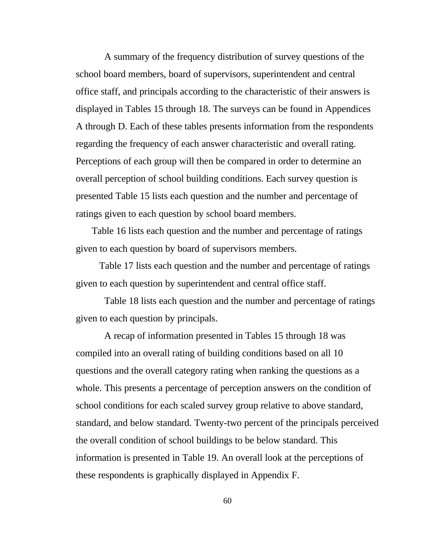A summary of the frequency distribution of survey questions of the school board members, board of supervisors, superintendent and central office staff, and principals according to the characteristic of their answers is displayed in Tables 15 through 18. The surveys can be found in Appendices A through D. Each of these tables presents information from the respondents regarding the frequency of each answer characteristic and overall rating. Perceptions of each group will then be compared in order to determine an overall perception of school building conditions. Each survey question is presented Table 15 lists each question and the number and percentage of ratings given to each question by school board members.

Table 16 lists each question and the number and percentage of ratings given to each question by board of supervisors members.

 Table 17 lists each question and the number and percentage of ratings given to each question by superintendent and central office staff.

 Table 18 lists each question and the number and percentage of ratings given to each question by principals.

 A recap of information presented in Tables 15 through 18 was compiled into an overall rating of building conditions based on all 10 questions and the overall category rating when ranking the questions as a whole. This presents a percentage of perception answers on the condition of school conditions for each scaled survey group relative to above standard, standard, and below standard. Twenty-two percent of the principals perceived the overall condition of school buildings to be below standard. This information is presented in Table 19. An overall look at the perceptions of these respondents is graphically displayed in Appendix F.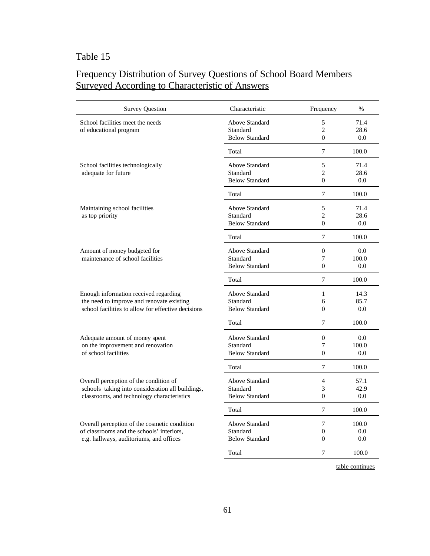# Frequency Distribution of Survey Questions of School Board Members Surveyed According to Characteristic of Answers

| <b>Survey Question</b>                             | Characteristic        | Frequency      | $\%$                                                                                                                                                                                                                                                                                                                                                                                                                  |
|----------------------------------------------------|-----------------------|----------------|-----------------------------------------------------------------------------------------------------------------------------------------------------------------------------------------------------------------------------------------------------------------------------------------------------------------------------------------------------------------------------------------------------------------------|
| School facilities meet the needs                   | <b>Above Standard</b> | 5              | 71.4                                                                                                                                                                                                                                                                                                                                                                                                                  |
| of educational program                             | Standard              | $\overline{2}$ | 28.6                                                                                                                                                                                                                                                                                                                                                                                                                  |
|                                                    | <b>Below Standard</b> | $\theta$       | 0.0                                                                                                                                                                                                                                                                                                                                                                                                                   |
|                                                    | Total                 | 7              | 100.0                                                                                                                                                                                                                                                                                                                                                                                                                 |
| School facilities technologically                  | Above Standard        | 5              | 71.4                                                                                                                                                                                                                                                                                                                                                                                                                  |
| adequate for future                                | Standard              |                |                                                                                                                                                                                                                                                                                                                                                                                                                       |
|                                                    | <b>Below Standard</b> |                |                                                                                                                                                                                                                                                                                                                                                                                                                       |
|                                                    | Total                 | $\overline{7}$ | 100.0                                                                                                                                                                                                                                                                                                                                                                                                                 |
| Maintaining school facilities                      | <b>Above Standard</b> | 5              | 71.4                                                                                                                                                                                                                                                                                                                                                                                                                  |
| as top priority                                    | Standard              | $\overline{2}$ | 28.6                                                                                                                                                                                                                                                                                                                                                                                                                  |
|                                                    | <b>Below Standard</b> |                | 0.0                                                                                                                                                                                                                                                                                                                                                                                                                   |
|                                                    | Total                 | $\tau$         | 100.0                                                                                                                                                                                                                                                                                                                                                                                                                 |
| Amount of money budgeted for                       | Above Standard        | $\mathbf{0}$   | 0.0                                                                                                                                                                                                                                                                                                                                                                                                                   |
| maintenance of school facilities                   | Standard              | 7              | $\overline{2}$<br>28.6<br>$\Omega$<br>0.0<br>$\theta$<br>100.0<br>$\theta$<br>$0.0^{\circ}$<br>$\overline{7}$<br>100.0<br>14.3<br>$\mathbf{1}$<br>6<br>85.7<br>$\Omega$<br>0.0<br>$\tau$<br>100.0<br>$\boldsymbol{0}$<br>0.0<br>7<br>100.0<br>$\Omega$<br>$0.0^{\circ}$<br>$\overline{7}$<br>100.0<br>$\overline{4}$<br>57.1<br>3<br>42.9<br>$\Omega$<br>0.0<br>$\tau$<br>100.0<br>$\tau$<br>100.0<br>$\Omega$<br>0.0 |
|                                                    | <b>Below Standard</b> |                |                                                                                                                                                                                                                                                                                                                                                                                                                       |
|                                                    | Total                 |                |                                                                                                                                                                                                                                                                                                                                                                                                                       |
| Enough information received regarding              | Above Standard        |                |                                                                                                                                                                                                                                                                                                                                                                                                                       |
| the need to improve and renovate existing          | Standard              |                |                                                                                                                                                                                                                                                                                                                                                                                                                       |
| school facilities to allow for effective decisions | <b>Below Standard</b> |                |                                                                                                                                                                                                                                                                                                                                                                                                                       |
|                                                    | Total                 |                |                                                                                                                                                                                                                                                                                                                                                                                                                       |
| Adequate amount of money spent                     | Above Standard        |                |                                                                                                                                                                                                                                                                                                                                                                                                                       |
| on the improvement and renovation                  | Standard              |                |                                                                                                                                                                                                                                                                                                                                                                                                                       |
| of school facilities                               | <b>Below Standard</b> |                |                                                                                                                                                                                                                                                                                                                                                                                                                       |
|                                                    | Total                 |                |                                                                                                                                                                                                                                                                                                                                                                                                                       |
| Overall perception of the condition of             | Above Standard        |                |                                                                                                                                                                                                                                                                                                                                                                                                                       |
| schools taking into consideration all buildings,   | Standard              |                |                                                                                                                                                                                                                                                                                                                                                                                                                       |
| classrooms, and technology characteristics         | <b>Below Standard</b> |                |                                                                                                                                                                                                                                                                                                                                                                                                                       |
|                                                    | Total                 |                |                                                                                                                                                                                                                                                                                                                                                                                                                       |
| Overall perception of the cosmetic condition       | <b>Above Standard</b> |                |                                                                                                                                                                                                                                                                                                                                                                                                                       |
| of classrooms and the schools' interiors,          | Standard              |                |                                                                                                                                                                                                                                                                                                                                                                                                                       |
| e.g. hallways, auditoriums, and offices            | <b>Below Standard</b> | $\overline{0}$ | 0.0                                                                                                                                                                                                                                                                                                                                                                                                                   |
|                                                    | Total                 | 7              | 100.0                                                                                                                                                                                                                                                                                                                                                                                                                 |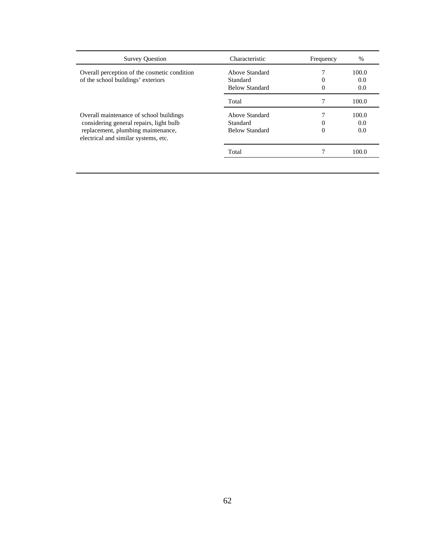| <b>Survey Question</b>                                                     | Characteristic        | Frequency | $\%$  |
|----------------------------------------------------------------------------|-----------------------|-----------|-------|
| Overall perception of the cosmetic condition                               | Above Standard        |           | 100.0 |
| of the school buildings' exteriors                                         | Standard              | 0         | 0.0   |
|                                                                            | <b>Below Standard</b> | 0         | 0.0   |
|                                                                            | Total                 |           | 100.0 |
| Overall maintenance of school buildings                                    | Above Standard        |           | 100.0 |
| considering general repairs, light bulb                                    | Standard              | $\theta$  | 0.0   |
| replacement, plumbing maintenance,<br>electrical and similar systems, etc. | <b>Below Standard</b> | 0         | 0.0   |
|                                                                            | Total                 |           | 100.0 |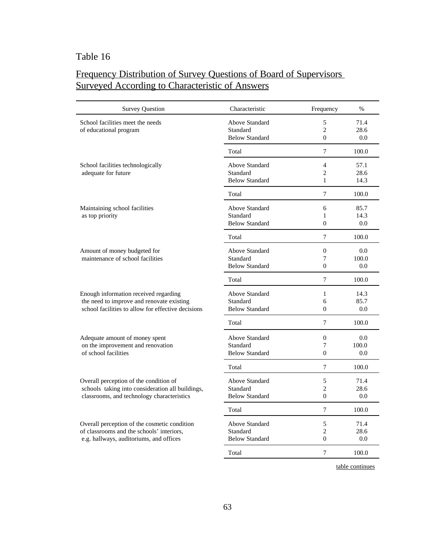# Frequency Distribution of Survey Questions of Board of Supervisors Surveyed According to Characteristic of Answers

| <b>Survey Question</b>                                                                                                                   | Characteristic                                      | Frequency                                        | $\frac{0}{0}$        |
|------------------------------------------------------------------------------------------------------------------------------------------|-----------------------------------------------------|--------------------------------------------------|----------------------|
| School facilities meet the needs<br>of educational program                                                                               | Above Standard<br>Standard<br><b>Below Standard</b> | 5<br>$\overline{c}$<br>$\overline{0}$            | 71.4<br>28.6<br>0.0  |
|                                                                                                                                          | Total                                               | 7                                                | 100.0                |
| School facilities technologically<br>adequate for future                                                                                 | Above Standard<br>Standard<br><b>Below Standard</b> | $\overline{4}$<br>$\overline{c}$<br>$\mathbf{1}$ | 57.1<br>28.6<br>14.3 |
|                                                                                                                                          | Total                                               | 7                                                | 100.0                |
| Maintaining school facilities<br>as top priority                                                                                         | Above Standard<br>Standard<br><b>Below Standard</b> | 6<br>1<br>$\theta$                               | 85.7<br>14.3<br>0.0  |
|                                                                                                                                          | Total                                               | 7                                                | 100.0                |
| Amount of money budgeted for<br>maintenance of school facilities                                                                         | Above Standard<br>Standard<br><b>Below Standard</b> | $\Omega$<br>7<br>$\overline{0}$                  | 0.0<br>100.0<br>0.0  |
|                                                                                                                                          | Total                                               | 7                                                | 100.0                |
| Enough information received regarding<br>the need to improve and renovate existing<br>school facilities to allow for effective decisions | Above Standard<br>Standard<br><b>Below Standard</b> | $\mathbf{1}$<br>6<br>$\theta$                    | 14.3<br>85.7<br>0.0  |
|                                                                                                                                          | Total                                               | $\overline{7}$                                   | 100.0                |
| Adequate amount of money spent<br>on the improvement and renovation<br>of school facilities                                              | Above Standard<br>Standard<br><b>Below Standard</b> | $\mathbf{0}$<br>7<br>$\theta$                    | 0.0<br>100.0<br>0.0  |
|                                                                                                                                          | Total                                               | 7                                                | 100.0                |
| Overall perception of the condition of<br>schools taking into consideration all buildings,<br>classrooms, and technology characteristics | Above Standard<br>Standard<br><b>Below Standard</b> | 5<br>$\overline{c}$<br>$\theta$                  | 71.4<br>28.6<br>0.0  |
|                                                                                                                                          | Total                                               | 7                                                | 100.0                |
| Overall perception of the cosmetic condition<br>of classrooms and the schools' interiors,<br>e.g. hallways, auditoriums, and offices     | Above Standard<br>Standard<br><b>Below Standard</b> | 5<br>$\overline{c}$<br>$\theta$                  | 71.4<br>28.6<br>0.0  |
|                                                                                                                                          | Total                                               | 7                                                | 100.0                |
|                                                                                                                                          |                                                     |                                                  |                      |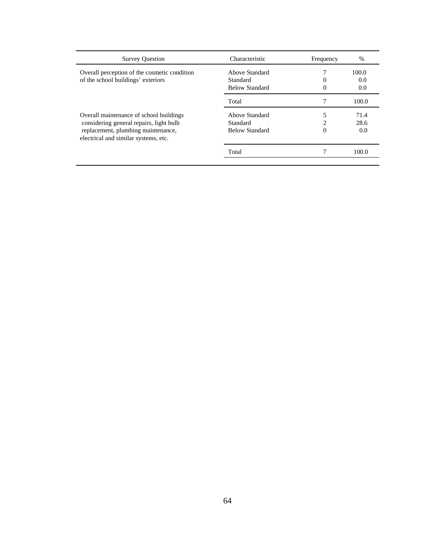| Characteristic        | Frequency | $\%$  |
|-----------------------|-----------|-------|
| Above Standard        |           | 100.0 |
| Standard              | $_{0}$    | 0.0   |
| <b>Below Standard</b> | 0         | 0.0   |
| Total                 |           | 100.0 |
| Above Standard        |           | 71.4  |
| Standard              | ↑         | 28.6  |
| <b>Below Standard</b> | 0         | 0.0   |
| Total                 |           | 100.0 |
|                       |           |       |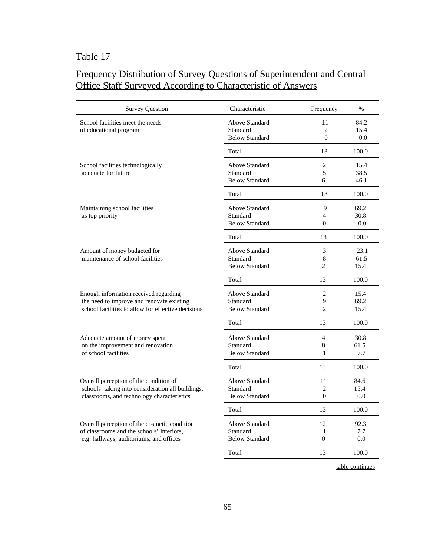# Frequency Distribution of Survey Questions of Superintendent and Central Office Staff Surveyed According to Characteristic of Answers

| <b>Survey Question</b>                                                                                                                   | Characteristic                                             | Frequency                             | $\frac{0}{0}$        |
|------------------------------------------------------------------------------------------------------------------------------------------|------------------------------------------------------------|---------------------------------------|----------------------|
| School facilities meet the needs<br>of educational program                                                                               | <b>Above Standard</b><br>Standard<br><b>Below Standard</b> | 11<br>$\overline{2}$<br>$\Omega$      | 84.2<br>15.4<br>0.0  |
|                                                                                                                                          | Total                                                      | 13                                    | 100.0                |
| School facilities technologically<br>adequate for future                                                                                 | Above Standard<br>Standard<br><b>Below Standard</b>        | $\overline{c}$<br>5<br>6              | 15.4<br>38.5<br>46.1 |
|                                                                                                                                          | Total                                                      | 13                                    | 100.0                |
| Maintaining school facilities<br>as top priority                                                                                         | Above Standard<br>Standard<br><b>Below Standard</b>        | 9<br>$\overline{4}$<br>$\Omega$       | 69.2<br>30.8<br>0.0  |
|                                                                                                                                          | Total                                                      | 13                                    | 100.0                |
| Amount of money budgeted for<br>maintenance of school facilities                                                                         | Above Standard<br>Standard<br><b>Below Standard</b>        | 3<br>$\,8$<br>$\overline{2}$          | 23.1<br>61.5<br>15.4 |
|                                                                                                                                          | Total                                                      | 13                                    | 100.0                |
| Enough information received regarding<br>the need to improve and renovate existing<br>school facilities to allow for effective decisions | Above Standard<br>Standard<br><b>Below Standard</b>        | $\overline{2}$<br>9<br>$\overline{c}$ | 15.4<br>69.2<br>15.4 |
|                                                                                                                                          | Total                                                      | 13                                    | 100.0                |
| Adequate amount of money spent<br>on the improvement and renovation<br>of school facilities                                              | Above Standard<br>Standard<br><b>Below Standard</b>        | 4<br>8<br>1                           | 30.8<br>61.5<br>7.7  |
|                                                                                                                                          | Total                                                      | 13                                    | 100.0                |
| Overall perception of the condition of<br>schools taking into consideration all buildings,<br>classrooms, and technology characteristics | Above Standard<br>Standard<br><b>Below Standard</b>        | 11<br>$\overline{c}$<br>$\Omega$      | 84.6<br>15.4<br>0.0  |
|                                                                                                                                          | Total                                                      | 13                                    | 100.0                |
| Overall perception of the cosmetic condition<br>of classrooms and the schools' interiors,<br>e.g. hallways, auditoriums, and offices     | Above Standard<br>Standard<br><b>Below Standard</b>        | 12<br>$\mathbf{1}$<br>$\Omega$        | 92.3<br>7.7<br>0.0   |
|                                                                                                                                          | Total                                                      | 13                                    | 100.0                |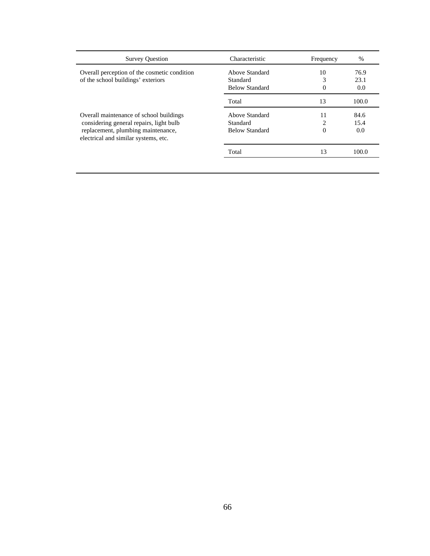| <b>Survey Question</b>                                                     | Characteristic        | Frequency | $\%$  |
|----------------------------------------------------------------------------|-----------------------|-----------|-------|
| Overall perception of the cosmetic condition                               | Above Standard        | 10        | 76.9  |
| of the school buildings' exteriors                                         | Standard              | 3         | 23.1  |
|                                                                            | <b>Below Standard</b> | 0         | 0.0   |
|                                                                            | Total                 | 13        | 100.0 |
| Overall maintenance of school buildings                                    | Above Standard        | 11        | 84.6  |
| considering general repairs, light bulb                                    | Standard              | 2         | 15.4  |
| replacement, plumbing maintenance,<br>electrical and similar systems, etc. | <b>Below Standard</b> | 0         | 0.0   |
|                                                                            | Total                 | 13        | 100.0 |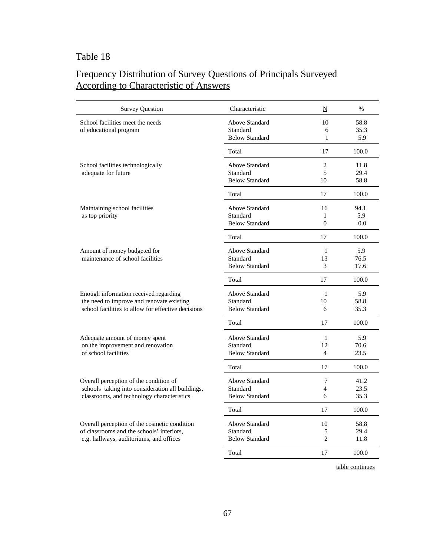# Frequency Distribution of Survey Questions of Principals Surveyed According to Characteristic of Answers

| <b>Survey Question</b>                             | Characteristic        | N              | $\frac{0}{0}$ |
|----------------------------------------------------|-----------------------|----------------|---------------|
| School facilities meet the needs                   | Above Standard        | 10             | 58.8          |
| of educational program                             | Standard              | 6              | 35.3          |
|                                                    | <b>Below Standard</b> | $\mathbf{1}$   | 5.9           |
|                                                    | Total                 | 17             | 100.0         |
| School facilities technologically                  | Above Standard        | $\overline{2}$ | 11.8          |
| adequate for future                                | Standard              | 5              | 29.4          |
|                                                    | <b>Below Standard</b> | 10             | 58.8          |
|                                                    | Total                 | 17             | 100.0         |
| Maintaining school facilities                      | Above Standard        | 16             | 94.1          |
| as top priority                                    | Standard              | 1              | 5.9           |
|                                                    | <b>Below Standard</b> | $\Omega$       | 0.0           |
|                                                    | Total                 | 17             | 100.0         |
| Amount of money budgeted for                       | <b>Above Standard</b> | $\mathbf{1}$   | 5.9           |
| maintenance of school facilities                   | Standard              | 13             | 76.5          |
|                                                    | <b>Below Standard</b> | 3              | 17.6          |
|                                                    | Total                 | 17             | 100.0         |
| Enough information received regarding              | <b>Above Standard</b> | $\mathbf{1}$   | 5.9           |
| the need to improve and renovate existing          | Standard              | 10             | 58.8          |
| school facilities to allow for effective decisions | <b>Below Standard</b> | 6              | 35.3          |
|                                                    | Total                 | 17             | 100.0         |
| Adequate amount of money spent                     | <b>Above Standard</b> | $\mathbf{1}$   | 5.9           |
| on the improvement and renovation                  | Standard              | 12             | 70.6          |
| of school facilities                               | <b>Below Standard</b> | $\overline{4}$ | 23.5          |
|                                                    | Total                 | 17             | 100.0         |
| Overall perception of the condition of             | <b>Above Standard</b> | 7              | 41.2          |
| schools taking into consideration all buildings,   | Standard              | 4              | 23.5          |
| classrooms, and technology characteristics         | <b>Below Standard</b> | 6              | 35.3          |
|                                                    | Total                 | 17             | 100.0         |
| Overall perception of the cosmetic condition       | <b>Above Standard</b> | 10             | 58.8          |
| of classrooms and the schools' interiors,          | Standard              | 5              | 29.4          |
| e.g. hallways, auditoriums, and offices            | <b>Below Standard</b> | $\overline{2}$ | 11.8          |
|                                                    | Total                 | 17             | 100.0         |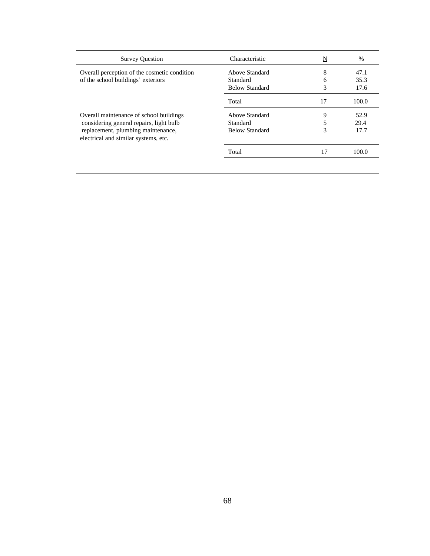| <b>Survey Question</b>                                                     | Characteristic        | N  | $\%$  |
|----------------------------------------------------------------------------|-----------------------|----|-------|
| Overall perception of the cosmetic condition                               | Above Standard        | 8  | 47.1  |
| of the school buildings' exteriors                                         | Standard              | 6  | 35.3  |
|                                                                            | <b>Below Standard</b> | 3  | 17.6  |
|                                                                            | Total                 | 17 | 100.0 |
| Overall maintenance of school buildings                                    | Above Standard        | 9  | 52.9  |
| considering general repairs, light bulb                                    | Standard              |    | 29.4  |
| replacement, plumbing maintenance,<br>electrical and similar systems, etc. | Below Standard        | 3  | 17.7  |
|                                                                            | Total                 |    | 100.0 |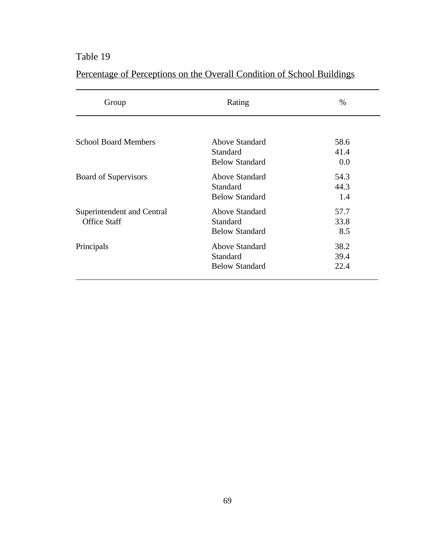| Group                       | Rating                | $\%$ |
|-----------------------------|-----------------------|------|
|                             |                       |      |
| <b>School Board Members</b> | <b>Above Standard</b> | 58.6 |
|                             | <b>Standard</b>       | 41.4 |
|                             | <b>Below Standard</b> | 0.0  |
| <b>Board of Supervisors</b> | Above Standard        | 54.3 |
|                             | Standard              | 44.3 |
|                             | <b>Below Standard</b> | 1.4  |
| Superintendent and Central  | Above Standard        | 57.7 |
| <b>Office Staff</b>         | Standard              | 33.8 |
|                             | <b>Below Standard</b> | 8.5  |
| Principals                  | Above Standard        | 38.2 |
|                             | Standard              | 39.4 |
|                             | <b>Below Standard</b> | 22.4 |

# Percentage of Perceptions on the Overall Condition of School Buildings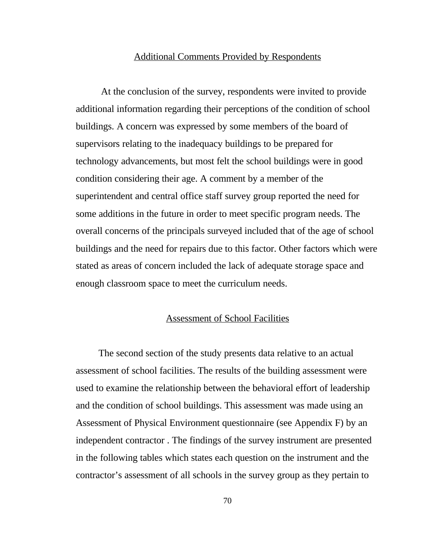#### Additional Comments Provided by Respondents

 At the conclusion of the survey, respondents were invited to provide additional information regarding their perceptions of the condition of school buildings. A concern was expressed by some members of the board of supervisors relating to the inadequacy buildings to be prepared for technology advancements, but most felt the school buildings were in good condition considering their age. A comment by a member of the superintendent and central office staff survey group reported the need for some additions in the future in order to meet specific program needs. The overall concerns of the principals surveyed included that of the age of school buildings and the need for repairs due to this factor. Other factors which were stated as areas of concern included the lack of adequate storage space and enough classroom space to meet the curriculum needs.

#### Assessment of School Facilities

 The second section of the study presents data relative to an actual assessment of school facilities. The results of the building assessment were used to examine the relationship between the behavioral effort of leadership and the condition of school buildings. This assessment was made using an Assessment of Physical Environment questionnaire (see Appendix F) by an independent contractor . The findings of the survey instrument are presented in the following tables which states each question on the instrument and the contractor's assessment of all schools in the survey group as they pertain to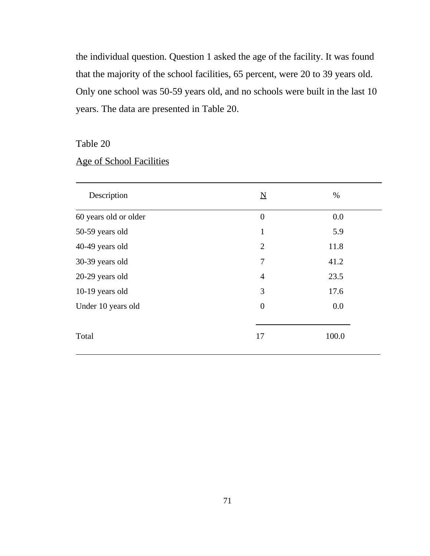the individual question. Question 1 asked the age of the facility. It was found that the majority of the school facilities, 65 percent, were 20 to 39 years old. Only one school was 50-59 years old, and no schools were built in the last 10 years. The data are presented in Table 20.

Table 20

|  | Age of School Facilities |  |
|--|--------------------------|--|
|  |                          |  |

| Description           | $\underline{\mathbf{N}}$ | $\%$  |
|-----------------------|--------------------------|-------|
| 60 years old or older | $\mathbf{0}$             | 0.0   |
| 50-59 years old       | $\mathbf{1}$             | 5.9   |
| 40-49 years old       | $\overline{2}$           | 11.8  |
| 30-39 years old       | 7                        | 41.2  |
| 20-29 years old       | $\overline{4}$           | 23.5  |
| 10-19 years old       | 3                        | 17.6  |
| Under 10 years old    | $\overline{0}$           | 0.0   |
| Total                 | 17                       | 100.0 |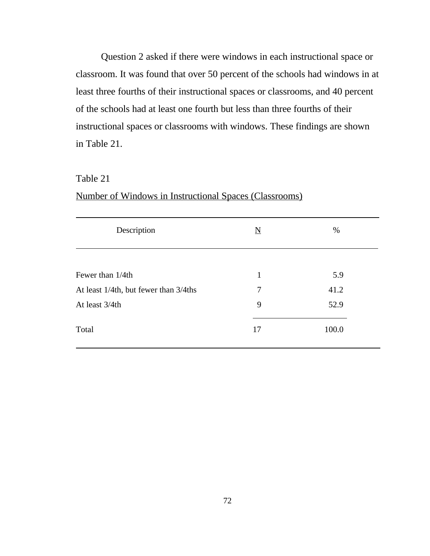Question 2 asked if there were windows in each instructional space or classroom. It was found that over 50 percent of the schools had windows in at least three fourths of their instructional spaces or classrooms, and 40 percent of the schools had at least one fourth but less than three fourths of their instructional spaces or classrooms with windows. These findings are shown in Table 21.

#### Table 21

#### Number of Windows in Instructional Spaces (Classrooms)

| Description                           | $\underline{\rm N}$ | %     |
|---------------------------------------|---------------------|-------|
| Fewer than 1/4th                      | $\mathbf{1}$        | 5.9   |
| At least 1/4th, but fewer than 3/4ths | $\overline{7}$      | 41.2  |
| At least 3/4th                        | 9                   | 52.9  |
| Total                                 | 17                  | 100.0 |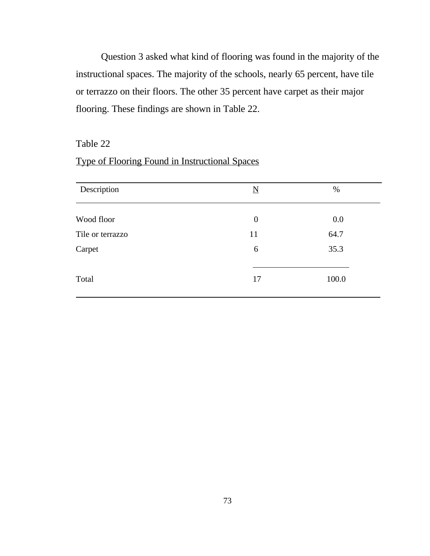Question 3 asked what kind of flooring was found in the majority of the instructional spaces. The majority of the schools, nearly 65 percent, have tile or terrazzo on their floors. The other 35 percent have carpet as their major flooring. These findings are shown in Table 22.

# Table 22

# Type of Flooring Found in Instructional Spaces

| Description      | $\underline{N}$  | $\%$  |
|------------------|------------------|-------|
| Wood floor       | $\boldsymbol{0}$ | 0.0   |
| Tile or terrazzo | 11               | 64.7  |
| Carpet           | 6                | 35.3  |
| Total            | 17               | 100.0 |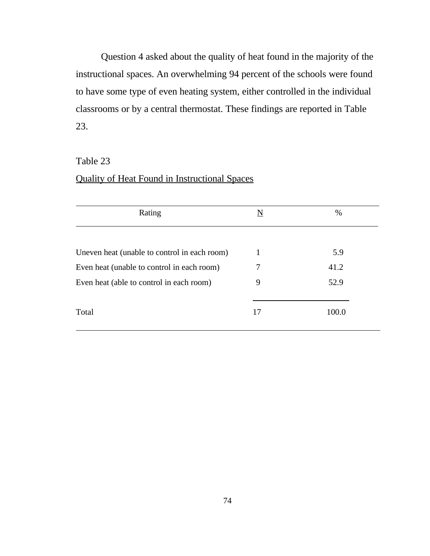Question 4 asked about the quality of heat found in the majority of the instructional spaces. An overwhelming 94 percent of the schools were found to have some type of even heating system, either controlled in the individual classrooms or by a central thermostat. These findings are reported in Table 23.

# Table 23

# Quality of Heat Found in Instructional Spaces

| Rating                                       | N  | $\%$  |
|----------------------------------------------|----|-------|
|                                              |    |       |
| Uneven heat (unable to control in each room) | 1  | 5.9   |
| Even heat (unable to control in each room)   | 7  | 41.2  |
| Even heat (able to control in each room)     | 9  | 52.9  |
| Total                                        | 17 | 100.0 |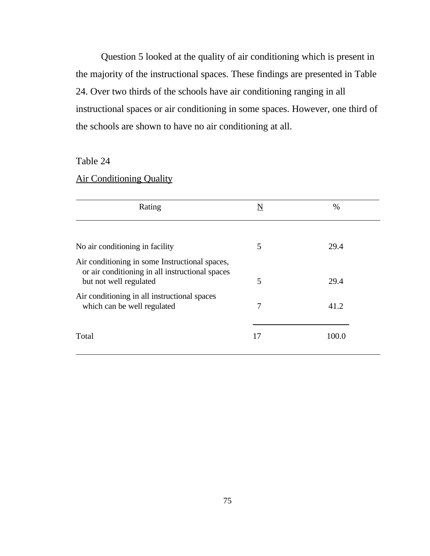Question 5 looked at the quality of air conditioning which is present in the majority of the instructional spaces. These findings are presented in Table 24. Over two thirds of the schools have air conditioning ranging in all instructional spaces or air conditioning in some spaces. However, one third of the schools are shown to have no air conditioning at all.

# Table 24

# Air Conditioning Quality

| Rating                                                                                                                      | N  | $\%$  |
|-----------------------------------------------------------------------------------------------------------------------------|----|-------|
|                                                                                                                             |    |       |
| No air conditioning in facility                                                                                             | 5  | 29.4  |
| Air conditioning in some Instructional spaces,<br>or air conditioning in all instructional spaces<br>but not well regulated | 5  | 29.4  |
| Air conditioning in all instructional spaces<br>which can be well regulated                                                 | 7  | 41.2  |
| Total                                                                                                                       | 17 | 100.0 |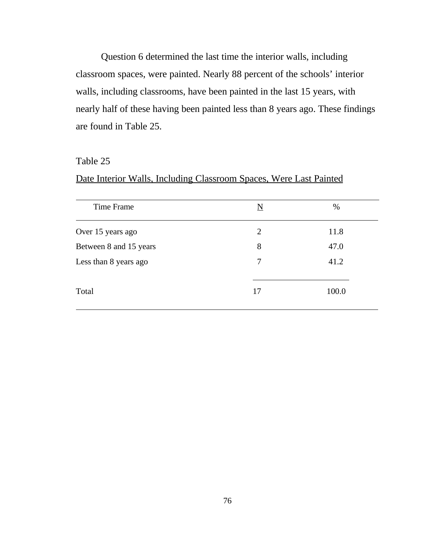Question 6 determined the last time the interior walls, including classroom spaces, were painted. Nearly 88 percent of the schools' interior walls, including classrooms, have been painted in the last 15 years, with nearly half of these having been painted less than 8 years ago. These findings are found in Table 25.

#### Table 25

# Date Interior Walls, Including Classroom Spaces, Were Last Painted

| Time Frame             | N  | %     |
|------------------------|----|-------|
| Over 15 years ago      | 2  | 11.8  |
| Between 8 and 15 years | 8  | 47.0  |
| Less than 8 years ago  | 7  | 41.2  |
| Total                  | 17 | 100.0 |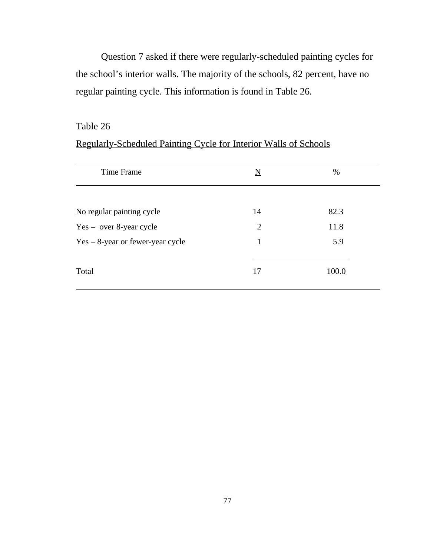Question 7 asked if there were regularly-scheduled painting cycles for the school's interior walls. The majority of the schools, 82 percent, have no regular painting cycle. This information is found in Table 26.

# Table 26

# Regularly-Scheduled Painting Cycle for Interior Walls of Schools

| Time Frame                          | N  | $\%$  |
|-------------------------------------|----|-------|
| No regular painting cycle           | 14 | 82.3  |
| $Yes - over 8-year cycle$           | 2  | 11.8  |
| $Yes - 8$ -year or fewer-year cycle | 1  | 5.9   |
| Total                               | 17 | 100.0 |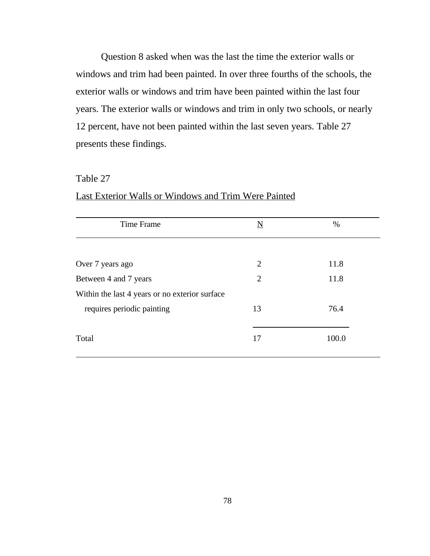Question 8 asked when was the last the time the exterior walls or windows and trim had been painted. In over three fourths of the schools, the exterior walls or windows and trim have been painted within the last four years. The exterior walls or windows and trim in only two schools, or nearly 12 percent, have not been painted within the last seven years. Table 27 presents these findings.

#### Table 27

| N              | $\%$  |
|----------------|-------|
|                |       |
| $\overline{2}$ | 11.8  |
| $\overline{2}$ | 11.8  |
|                |       |
| 13             | 76.4  |
| 17             | 100.0 |
|                |       |

# Last Exterior Walls or Windows and Trim Were Painted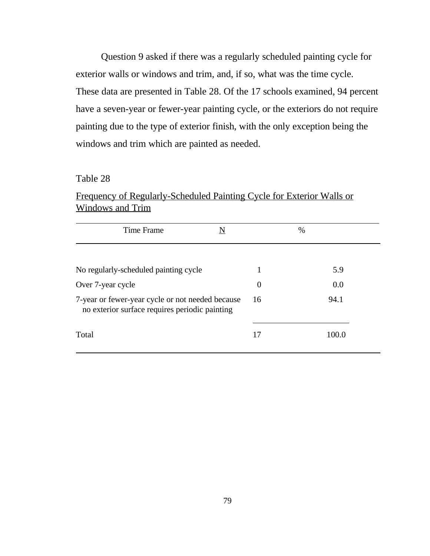Question 9 asked if there was a regularly scheduled painting cycle for exterior walls or windows and trim, and, if so, what was the time cycle. These data are presented in Table 28. Of the 17 schools examined, 94 percent have a seven-year or fewer-year painting cycle, or the exteriors do not require painting due to the type of exterior finish, with the only exception being the windows and trim which are painted as needed.

# Table 28

Frequency of Regularly-Scheduled Painting Cycle for Exterior Walls or Windows and Trim

| Time Frame<br>N                                                                                    |          | $\%$  |
|----------------------------------------------------------------------------------------------------|----------|-------|
|                                                                                                    |          |       |
| No regularly-scheduled painting cycle                                                              |          | 5.9   |
| Over 7-year cycle                                                                                  | $\theta$ | 0.0   |
| 7-year or fewer-year cycle or not needed because<br>no exterior surface requires periodic painting | 16       | 94.1  |
| Total                                                                                              | 17       | 100.0 |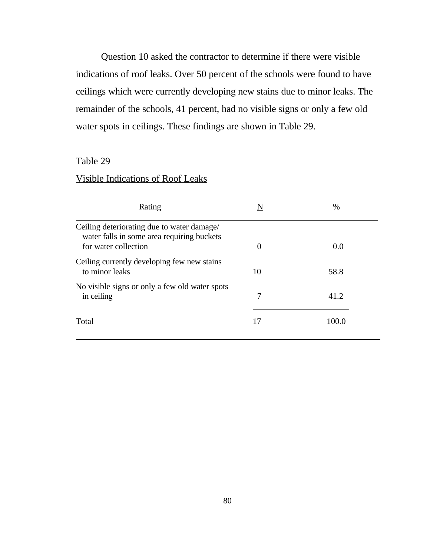Question 10 asked the contractor to determine if there were visible indications of roof leaks. Over 50 percent of the schools were found to have ceilings which were currently developing new stains due to minor leaks. The remainder of the schools, 41 percent, had no visible signs or only a few old water spots in ceilings. These findings are shown in Table 29.

# Table 29

# Visible Indications of Roof Leaks

| $\theta$ | 0.0   |
|----------|-------|
| 10       | 58.8  |
| 7        | 41.2  |
| 17       | 100.0 |
|          |       |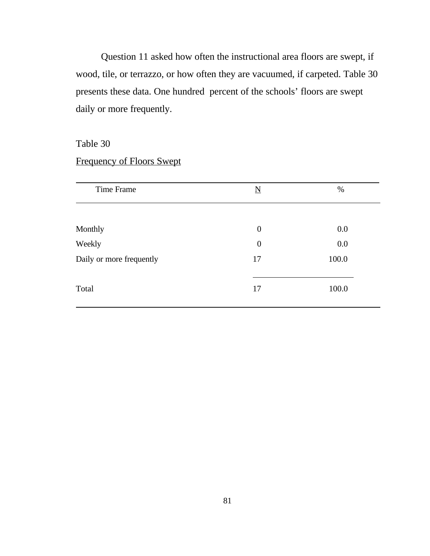Question 11 asked how often the instructional area floors are swept, if wood, tile, or terrazzo, or how often they are vacuumed, if carpeted. Table 30 presents these data. One hundred percent of the schools' floors are swept daily or more frequently.

#### Table 30

# Frequency of Floors Swept

| Time Frame               | $\overline{\mathbf{N}}$ | %     |
|--------------------------|-------------------------|-------|
|                          |                         |       |
| Monthly                  | $\boldsymbol{0}$        | 0.0   |
| Weekly                   | $\boldsymbol{0}$        | 0.0   |
| Daily or more frequently | 17                      | 100.0 |
| Total                    | 17                      | 100.0 |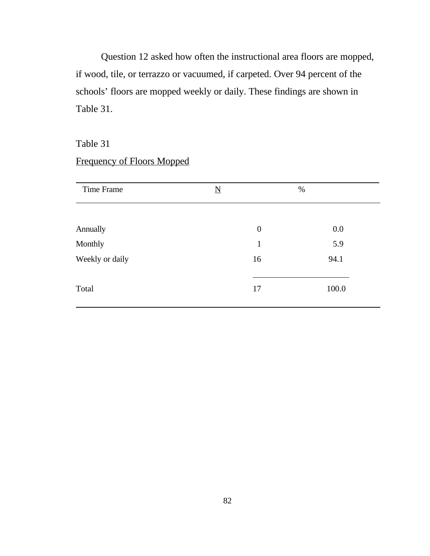Question 12 asked how often the instructional area floors are mopped, if wood, tile, or terrazzo or vacuumed, if carpeted. Over 94 percent of the schools' floors are mopped weekly or daily. These findings are shown in Table 31.

# Table 31

| <b>Frequency of Floors Mopped</b> |  |  |  |
|-----------------------------------|--|--|--|
|                                   |  |  |  |

| Time Frame      | $\underline{\mathbf{N}}$ | %     |
|-----------------|--------------------------|-------|
|                 |                          |       |
| Annually        | $\boldsymbol{0}$         | 0.0   |
| Monthly         | $\mathbf{1}$             | 5.9   |
| Weekly or daily | 16                       | 94.1  |
| Total           | 17                       | 100.0 |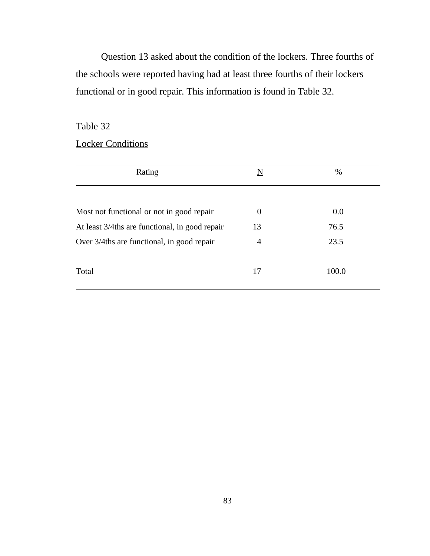Question 13 asked about the condition of the lockers. Three fourths of the schools were reported having had at least three fourths of their lockers functional or in good repair. This information is found in Table 32.

Table 32

# **Locker Conditions**

| Rating                                         | N              | %     |
|------------------------------------------------|----------------|-------|
| Most not functional or not in good repair      | $\overline{0}$ | 0.0   |
| At least 3/4ths are functional, in good repair | 13             | 76.5  |
| Over 3/4ths are functional, in good repair     | $\overline{4}$ | 23.5  |
| Total                                          | 17             | 100.0 |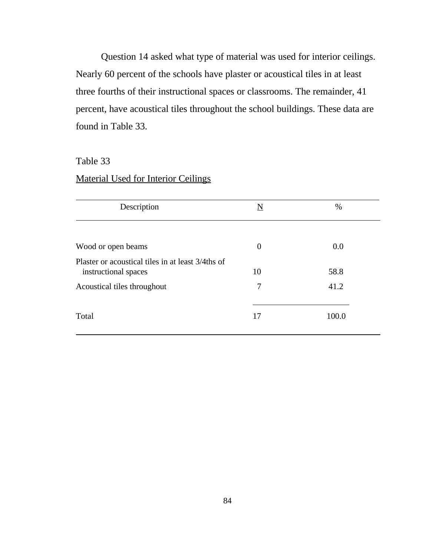Question 14 asked what type of material was used for interior ceilings. Nearly 60 percent of the schools have plaster or acoustical tiles in at least three fourths of their instructional spaces or classrooms. The remainder, 41 percent, have acoustical tiles throughout the school buildings. These data are found in Table 33.

# Table 33

# Material Used for Interior Ceilings

| Description                                                               | N        | %     |
|---------------------------------------------------------------------------|----------|-------|
| Wood or open beams                                                        | $\theta$ | 0.0   |
| Plaster or acoustical tiles in at least 3/4ths of<br>instructional spaces | 10       | 58.8  |
| Acoustical tiles throughout                                               | 7        | 41.2  |
| Total                                                                     | 17       | 100.0 |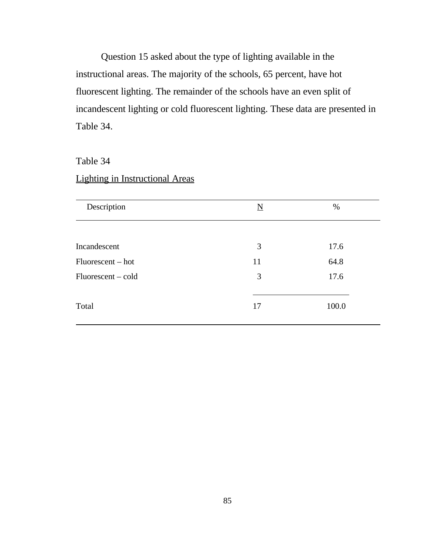Question 15 asked about the type of lighting available in the instructional areas. The majority of the schools, 65 percent, have hot fluorescent lighting. The remainder of the schools have an even split of incandescent lighting or cold fluorescent lighting. These data are presented in Table 34.

Table 34

# Lighting in Instructional Areas

| Description        | $\overline{\mathbf{N}}$ | $\%$  |
|--------------------|-------------------------|-------|
|                    |                         |       |
| Incandescent       | 3                       | 17.6  |
| Fluorescent – hot  | 11                      | 64.8  |
| Fluorescent – cold | 3                       | 17.6  |
| Total              | 17                      | 100.0 |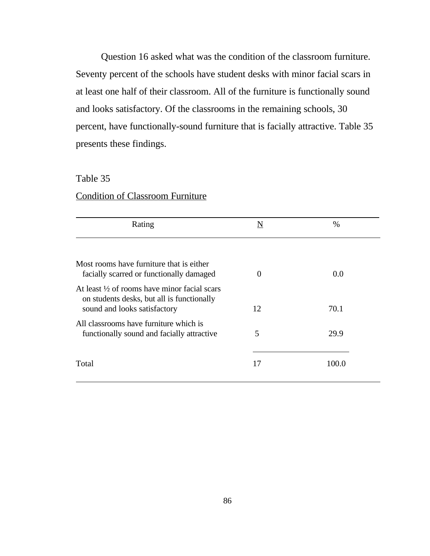Question 16 asked what was the condition of the classroom furniture. Seventy percent of the schools have student desks with minor facial scars in at least one half of their classroom. All of the furniture is functionally sound and looks satisfactory. Of the classrooms in the remaining schools, 30 percent, have functionally-sound furniture that is facially attractive. Table 35 presents these findings.

# Table 35

# Condition of Classroom Furniture

| Rating                                                                                                                                | $\underline{\mathbf{N}}$ | $\%$  |
|---------------------------------------------------------------------------------------------------------------------------------------|--------------------------|-------|
|                                                                                                                                       |                          |       |
| Most rooms have furniture that is either<br>facially scarred or functionally damaged                                                  | $\Omega$                 | 0.0   |
| At least $\frac{1}{2}$ of rooms have minor facial scars<br>on students desks, but all is functionally<br>sound and looks satisfactory | 12                       | 70.1  |
| All classrooms have furniture which is<br>functionally sound and facially attractive                                                  | 5                        | 29.9  |
| Total                                                                                                                                 | 17                       | 100.0 |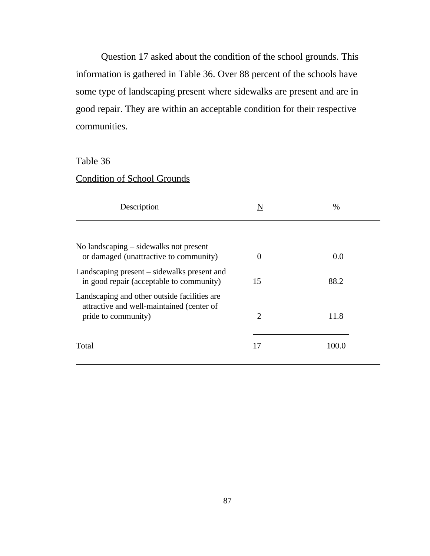Question 17 asked about the condition of the school grounds. This information is gathered in Table 36. Over 88 percent of the schools have some type of landscaping present where sidewalks are present and are in good repair. They are within an acceptable condition for their respective communities.

# Table 36

# Condition of School Grounds

| Description                                                                                                       | $\underline{\mathbf{N}}$ | $\%$  |
|-------------------------------------------------------------------------------------------------------------------|--------------------------|-------|
|                                                                                                                   |                          |       |
| No landscaping – sidewalks not present<br>or damaged (unattractive to community)                                  | $\Omega$                 | 0.0   |
| Landscaping present – sidewalks present and<br>in good repair (acceptable to community)                           | 15                       | 88.2  |
| Landscaping and other outside facilities are.<br>attractive and well-maintained (center of<br>pride to community) | $\overline{2}$           | 11.8  |
| Total                                                                                                             | 17                       | 100.0 |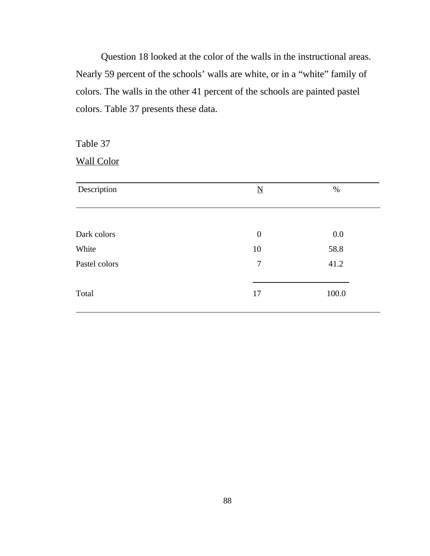Question 18 looked at the color of the walls in the instructional areas. Nearly 59 percent of the schools' walls are white, or in a "white" family of colors. The walls in the other 41 percent of the schools are painted pastel colors. Table 37 presents these data.

Table 37

Wall Color

| $\underline{\mathbf{N}}$ | $\%$  |
|--------------------------|-------|
|                          |       |
| $\theta$                 | 0.0   |
| 10                       | 58.8  |
| $\overline{7}$           | 41.2  |
| 17                       | 100.0 |
|                          |       |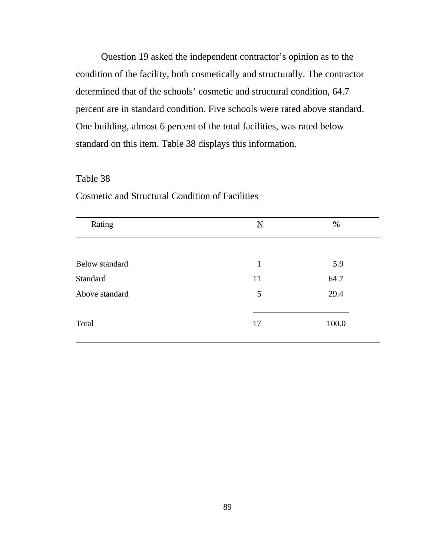Question 19 asked the independent contractor's opinion as to the condition of the facility, both cosmetically and structurally. The contractor determined that of the schools' cosmetic and structural condition, 64.7 percent are in standard condition. Five schools were rated above standard. One building, almost 6 percent of the total facilities, was rated below standard on this item. Table 38 displays this information.

#### Table 38

| Rating         | $\underline{\mathbf{N}}$ | %     |
|----------------|--------------------------|-------|
|                |                          |       |
| Below standard | $\mathbf{1}$             | 5.9   |
| Standard       | 11                       | 64.7  |
| Above standard | 5                        | 29.4  |
| Total          | 17                       | 100.0 |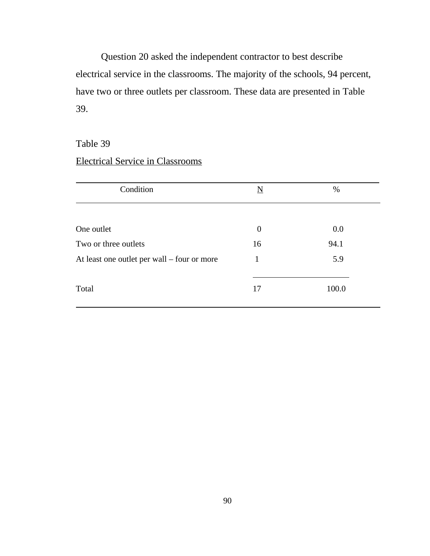Question 20 asked the independent contractor to best describe electrical service in the classrooms. The majority of the schools, 94 percent, have two or three outlets per classroom. These data are presented in Table 39.

# Table 39

# Electrical Service in Classrooms

| Condition                                   | $\underline{\mathbf{N}}$ | $\%$  |
|---------------------------------------------|--------------------------|-------|
|                                             |                          |       |
| One outlet                                  | $\theta$                 | 0.0   |
| Two or three outlets                        | 16                       | 94.1  |
| At least one outlet per wall – four or more | 1                        | 5.9   |
| Total                                       | 17                       | 100.0 |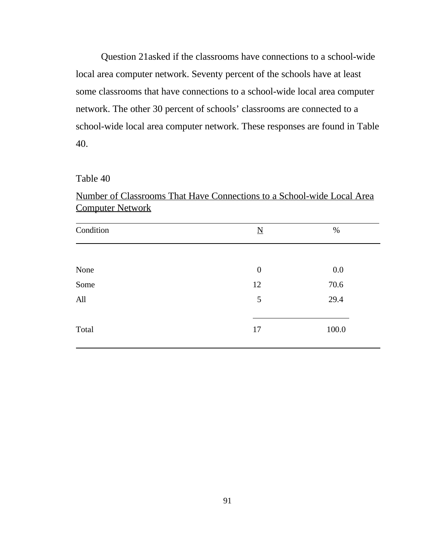Question 21asked if the classrooms have connections to a school-wide local area computer network. Seventy percent of the schools have at least some classrooms that have connections to a school-wide local area computer network. The other 30 percent of schools' classrooms are connected to a school-wide local area computer network. These responses are found in Table 40.

#### Table 40

Number of Classrooms That Have Connections to a School-wide Local Area Computer Network

| Condition | $\underline{\mathbf{N}}$ | $\%$  |
|-----------|--------------------------|-------|
|           |                          |       |
| None      | $\boldsymbol{0}$         | 0.0   |
| Some      | 12                       | 70.6  |
| All       | 5                        | 29.4  |
| Total     | 17                       | 100.0 |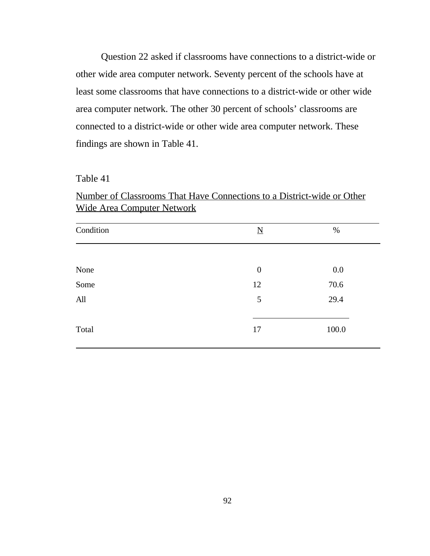Question 22 asked if classrooms have connections to a district-wide or other wide area computer network. Seventy percent of the schools have at least some classrooms that have connections to a district-wide or other wide area computer network. The other 30 percent of schools' classrooms are connected to a district-wide or other wide area computer network. These findings are shown in Table 41.

#### Table 41

Number of Classrooms That Have Connections to a District-wide or Other Wide Area Computer Network

| Condition | $\underline{\mathbf{N}}$ | $\%$  |
|-----------|--------------------------|-------|
|           |                          |       |
| None      | $\boldsymbol{0}$         | 0.0   |
| Some      | 12                       | 70.6  |
| All       | 5                        | 29.4  |
| Total     | 17                       | 100.0 |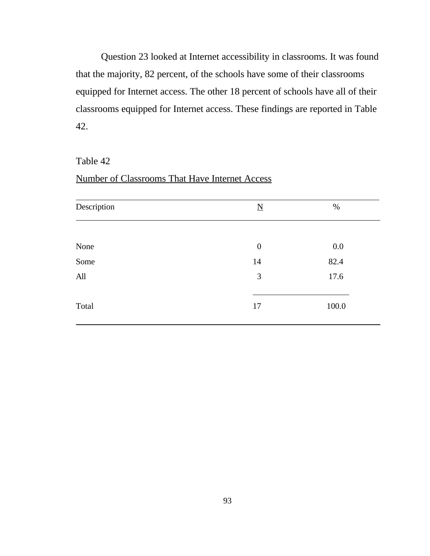Question 23 looked at Internet accessibility in classrooms. It was found that the majority, 82 percent, of the schools have some of their classrooms equipped for Internet access. The other 18 percent of schools have all of their classrooms equipped for Internet access. These findings are reported in Table 42.

#### Table 42

# Number of Classrooms That Have Internet Access

| Description | $\underline{\mathbf{N}}$ | $\%$  |
|-------------|--------------------------|-------|
|             |                          |       |
| None        | $\boldsymbol{0}$         | 0.0   |
| Some        | 14                       | 82.4  |
| All         | 3                        | 17.6  |
| Total       | 17                       | 100.0 |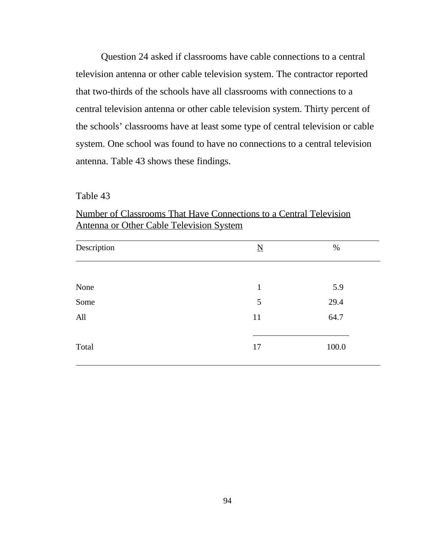Question 24 asked if classrooms have cable connections to a central television antenna or other cable television system. The contractor reported that two-thirds of the schools have all classrooms with connections to a central television antenna or other cable television system. Thirty percent of the schools' classrooms have at least some type of central television or cable system. One school was found to have no connections to a central television antenna. Table 43 shows these findings.

Table 43

| Description | $\underline{\mathbf{N}}$ | $\%$  |
|-------------|--------------------------|-------|
|             |                          |       |
| None        | $\mathbf{1}$             | 5.9   |
| Some        | 5                        | 29.4  |
| All         | 11                       | 64.7  |
| Total       | 17                       | 100.0 |

Number of Classrooms That Have Connections to a Central Television Antenna or Other Cable Television System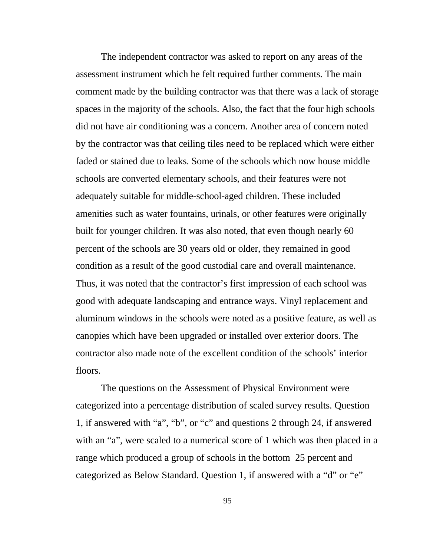The independent contractor was asked to report on any areas of the assessment instrument which he felt required further comments. The main comment made by the building contractor was that there was a lack of storage spaces in the majority of the schools. Also, the fact that the four high schools did not have air conditioning was a concern. Another area of concern noted by the contractor was that ceiling tiles need to be replaced which were either faded or stained due to leaks. Some of the schools which now house middle schools are converted elementary schools, and their features were not adequately suitable for middle-school-aged children. These included amenities such as water fountains, urinals, or other features were originally built for younger children. It was also noted, that even though nearly 60 percent of the schools are 30 years old or older, they remained in good condition as a result of the good custodial care and overall maintenance. Thus, it was noted that the contractor's first impression of each school was good with adequate landscaping and entrance ways. Vinyl replacement and aluminum windows in the schools were noted as a positive feature, as well as canopies which have been upgraded or installed over exterior doors. The contractor also made note of the excellent condition of the schools' interior floors.

The questions on the Assessment of Physical Environment were categorized into a percentage distribution of scaled survey results. Question 1, if answered with "a", "b", or "c" and questions 2 through 24, if answered with an "a", were scaled to a numerical score of 1 which was then placed in a range which produced a group of schools in the bottom 25 percent and categorized as Below Standard. Question 1, if answered with a "d" or "e"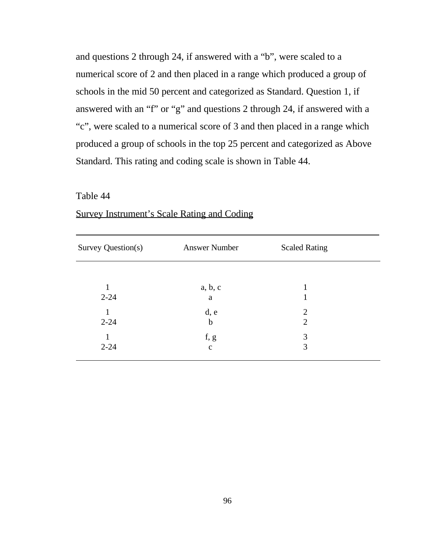and questions 2 through 24, if answered with a "b", were scaled to a numerical score of 2 and then placed in a range which produced a group of schools in the mid 50 percent and categorized as Standard. Question 1, if answered with an "f" or "g" and questions 2 through 24, if answered with a "c", were scaled to a numerical score of 3 and then placed in a range which produced a group of schools in the top 25 percent and categorized as Above Standard. This rating and coding scale is shown in Table 44.

### Table 44

l

| Survey Question(s) | <b>Answer Number</b> | <b>Scaled Rating</b> |
|--------------------|----------------------|----------------------|
|                    |                      |                      |
| 1                  | a, b, c              |                      |
| $2 - 24$           | a                    |                      |
| 1                  | d, e                 | $\overline{2}$       |
| $2 - 24$           | $\mathbf b$          | $\overline{2}$       |
| 1                  | f, g                 | 3                    |
| $2 - 24$           | $\mathbf c$          |                      |

# Survey Instrument's Scale Rating and Coding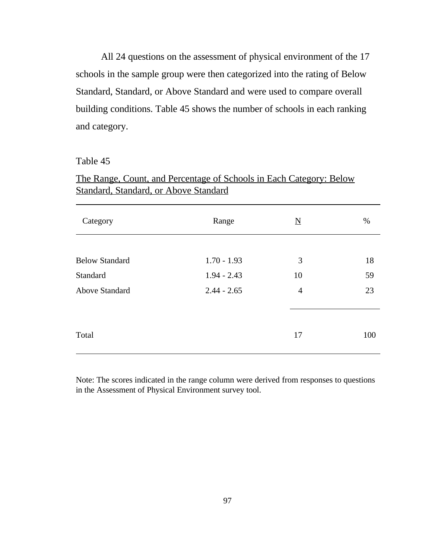All 24 questions on the assessment of physical environment of the 17 schools in the sample group were then categorized into the rating of Below Standard, Standard, or Above Standard and were used to compare overall building conditions. Table 45 shows the number of schools in each ranking and category.

### Table 45

| Category              | Range         | $\underline{\mathbf{N}}$ | %   |  |
|-----------------------|---------------|--------------------------|-----|--|
|                       |               |                          |     |  |
| <b>Below Standard</b> | $1.70 - 1.93$ | 3                        | 18  |  |
| Standard              | $1.94 - 2.43$ | 10                       | 59  |  |
| <b>Above Standard</b> | $2.44 - 2.65$ | $\overline{4}$           | 23  |  |
|                       |               |                          |     |  |
| Total                 |               | 17                       | 100 |  |

# The Range, Count, and Percentage of Schools in Each Category: Below Standard, Standard, or Above Standard

Note: The scores indicated in the range column were derived from responses to questions in the Assessment of Physical Environment survey tool.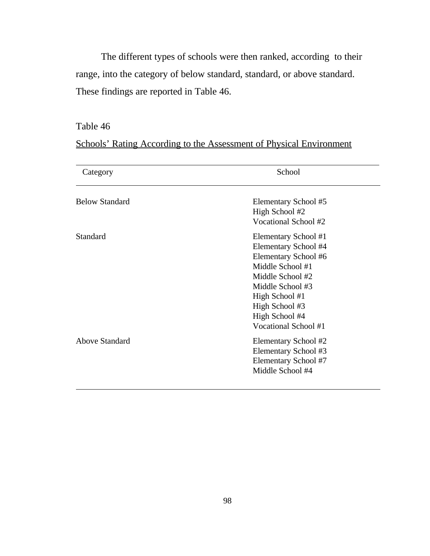The different types of schools were then ranked, according to their range, into the category of below standard, standard, or above standard. These findings are reported in Table 46.

# Table 46

Schools' Rating According to the Assessment of Physical Environment

| Category                          | School                                 |  |  |
|-----------------------------------|----------------------------------------|--|--|
| <b>Below Standard</b><br>Standard | Elementary School #5                   |  |  |
|                                   | High School #2<br>Vocational School #2 |  |  |
|                                   | Elementary School #1                   |  |  |
|                                   | Elementary School #4                   |  |  |
|                                   | Elementary School #6                   |  |  |
|                                   | Middle School #1                       |  |  |
|                                   | Middle School #2                       |  |  |
|                                   | Middle School #3                       |  |  |
|                                   | High School #1                         |  |  |
|                                   | High School #3                         |  |  |
|                                   | High School #4                         |  |  |
|                                   | Vocational School #1                   |  |  |
| <b>Above Standard</b>             | Elementary School #2                   |  |  |
|                                   | Elementary School #3                   |  |  |
|                                   | Elementary School #7                   |  |  |
|                                   | Middle School #4                       |  |  |
|                                   |                                        |  |  |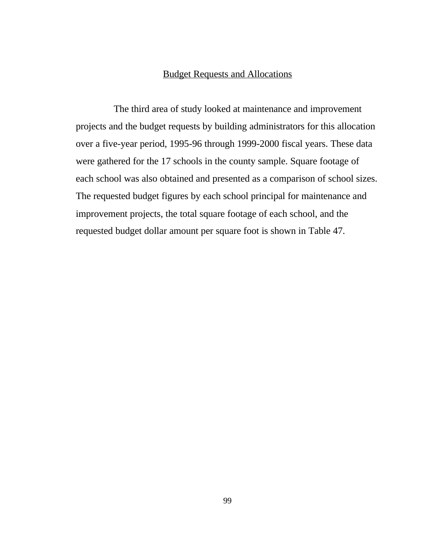## Budget Requests and Allocations

 The third area of study looked at maintenance and improvement projects and the budget requests by building administrators for this allocation over a five-year period, 1995-96 through 1999-2000 fiscal years. These data were gathered for the 17 schools in the county sample. Square footage of each school was also obtained and presented as a comparison of school sizes. The requested budget figures by each school principal for maintenance and improvement projects, the total square footage of each school, and the requested budget dollar amount per square foot is shown in Table 47.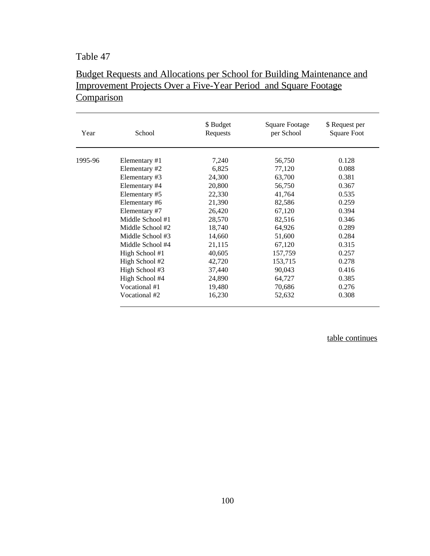# Table 47

# Budget Requests and Allocations per School for Building Maintenance and Improvement Projects Over a Five-Year Period and Square Footage **Comparison**

| Year    | School           | \$ Budget<br>Requests | Square Footage<br>per School | \$ Request per<br><b>Square Foot</b> |
|---------|------------------|-----------------------|------------------------------|--------------------------------------|
| 1995-96 | Elementary #1    | 7,240                 | 56,750                       | 0.128                                |
|         | Elementary #2    | 6,825                 | 77,120                       | 0.088                                |
|         | Elementary #3    | 24,300                | 63,700                       | 0.381                                |
|         | Elementary #4    | 20,800                | 56,750                       | 0.367                                |
|         | Elementary #5    | 22,330                | 41,764                       | 0.535                                |
|         | Elementary #6    | 21,390                | 82,586                       | 0.259                                |
|         | Elementary #7    | 26,420                | 67,120                       | 0.394                                |
|         | Middle School #1 | 28,570                | 82,516                       | 0.346                                |
|         | Middle School #2 | 18,740                | 64,926                       | 0.289                                |
|         | Middle School #3 | 14,660                | 51,600                       | 0.284                                |
|         | Middle School #4 | 21,115                | 67,120                       | 0.315                                |
|         | High School #1   | 40,605                | 157,759                      | 0.257                                |
|         | High School #2   | 42,720                | 153,715                      | 0.278                                |
|         | High School #3   | 37,440                | 90,043                       | 0.416                                |
|         | High School #4   | 24,890                | 64,727                       | 0.385                                |
|         | Vocational #1    | 19,480                | 70,686                       | 0.276                                |
|         | Vocational #2    | 16,230                | 52,632                       | 0.308                                |

table continues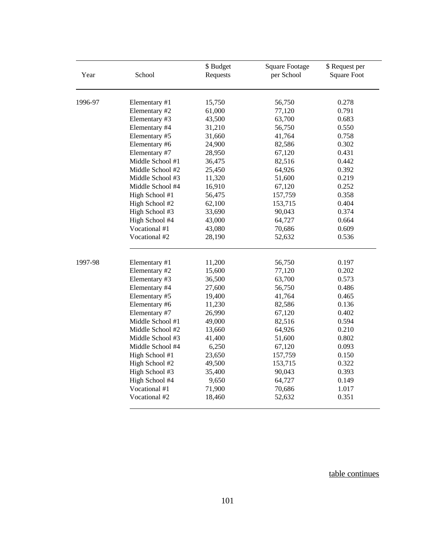| Year    | School           | \$ Budget<br>Requests | <b>Square Footage</b><br>per School | \$ Request per<br><b>Square Foot</b> |
|---------|------------------|-----------------------|-------------------------------------|--------------------------------------|
| 1996-97 | Elementary #1    | 15,750                | 56,750                              | 0.278                                |
|         | Elementary #2    | 61,000                | 77,120                              | 0.791                                |
|         | Elementary #3    | 43,500                | 63,700                              | 0.683                                |
|         | Elementary #4    | 31,210                | 56,750                              | 0.550                                |
|         | Elementary #5    | 31,660                | 41,764                              | 0.758                                |
|         | Elementary #6    | 24,900                | 82,586                              | 0.302                                |
|         | Elementary #7    | 28,950                | 67,120                              | 0.431                                |
|         | Middle School #1 | 36,475                | 82,516                              | 0.442                                |
|         | Middle School #2 | 25,450                | 64,926                              | 0.392                                |
|         | Middle School #3 | 11,320                | 51,600                              | 0.219                                |
|         | Middle School #4 | 16,910                | 67,120                              | 0.252                                |
|         | High School #1   | 56,475                | 157,759                             | 0.358                                |
|         | High School #2   | 62,100                | 153,715                             | 0.404                                |
|         | High School #3   | 33,690<br>90,043      |                                     | 0.374                                |
|         | High School #4   | 43,000                | 64,727                              | 0.664                                |
|         | Vocational #1    | 43,080                | 70,686                              | 0.609                                |
|         | Vocational #2    | 28,190                | 52,632                              | 0.536                                |
| 1997-98 | Elementary #1    | 11,200                | 56,750                              | 0.197                                |
|         | Elementary #2    | 15,600                | 77,120                              | 0.202                                |
|         | Elementary #3    | 36,500                | 63,700                              | 0.573                                |
|         | Elementary #4    | 27,600                | 56,750                              | 0.486                                |
|         | Elementary #5    | 19,400                | 41,764                              | 0.465                                |
|         | Elementary #6    | 11,230                | 82,586                              | 0.136                                |
|         | Elementary #7    | 26,990                | 67,120                              | 0.402                                |
|         | Middle School #1 | 49,000                | 82,516                              | 0.594                                |
|         | Middle School #2 | 13,660                | 64,926                              | 0.210                                |
|         | Middle School #3 | 41,400                | 51,600                              | 0.802                                |
|         | Middle School #4 | 6,250                 | 67,120                              | 0.093                                |
|         | High School #1   | 23,650                | 157,759                             | 0.150                                |
|         | High School #2   | 49,500                | 153,715                             | 0.322                                |
|         | High School #3   | 35,400                | 90,043                              | 0.393                                |
|         | High School #4   | 9,650                 | 64,727                              | 0.149                                |
|         | Vocational #1    | 71,900                | 70,686                              | 1.017                                |
|         | Vocational #2    | 18,460                | 52,632                              | 0.351                                |

table continues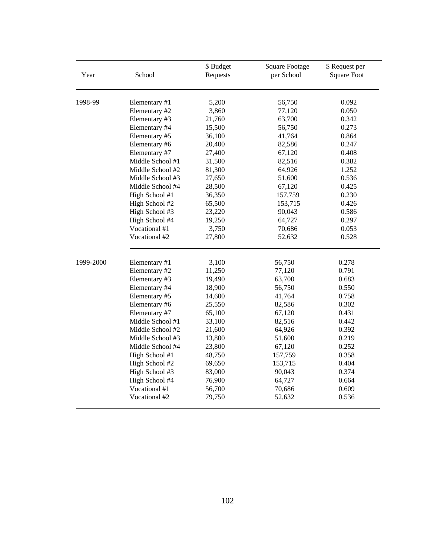| Year      | School           | \$Budget<br>Requests | <b>Square Footage</b><br>per School | \$ Request per<br><b>Square Foot</b> |
|-----------|------------------|----------------------|-------------------------------------|--------------------------------------|
| 1998-99   | Elementary #1    | 5,200                | 56,750                              | 0.092                                |
|           | Elementary #2    | 3,860                | 77,120                              | 0.050                                |
|           | Elementary #3    | 21,760               | 63,700                              | 0.342                                |
|           | Elementary #4    | 15,500               | 56,750                              | 0.273                                |
|           | Elementary #5    | 36,100               | 41,764                              | 0.864                                |
|           | Elementary #6    | 20,400               | 82,586                              | 0.247                                |
|           | Elementary #7    | 27,400               | 67,120                              | 0.408                                |
|           | Middle School #1 | 31,500               | 82,516                              | 0.382                                |
|           | Middle School #2 | 81,300               | 64,926                              | 1.252                                |
|           | Middle School #3 | 27,650               | 51,600                              | 0.536                                |
|           | Middle School #4 | 28,500               | 67,120                              | 0.425                                |
|           | High School #1   | 36,350               | 157,759                             | 0.230                                |
|           | High School #2   | 65,500               | 153,715                             | 0.426                                |
|           | High School #3   | 23,220               | 90,043                              | 0.586                                |
|           | High School #4   | 19,250               | 64,727                              | 0.297                                |
|           | Vocational #1    | 3,750                | 70,686                              | 0.053                                |
|           | Vocational #2    | 27,800               | 52,632                              | 0.528                                |
| 1999-2000 | Elementary #1    | 3,100                | 56,750                              | 0.278                                |
|           | Elementary #2    | 11,250               | 77,120                              | 0.791                                |
|           | Elementary #3    | 19,490               | 63,700                              | 0.683                                |
|           | Elementary #4    | 18,900               | 56,750                              | 0.550                                |
|           | Elementary #5    | 14,600               | 41,764                              | 0.758                                |
|           | Elementary #6    | 25,550               | 82,586                              | 0.302                                |
|           | Elementary #7    | 65,100               | 67,120                              | 0.431                                |
|           | Middle School #1 | 33,100               | 82,516                              | 0.442                                |
|           | Middle School #2 | 21,600               | 64,926                              | 0.392                                |
|           | Middle School #3 | 13,800               | 51,600                              | 0.219                                |
|           | Middle School #4 | 23,800               | 67,120                              | 0.252                                |
|           | High School #1   | 48,750               | 157,759                             | 0.358                                |
|           | High School #2   | 69,650               | 153,715                             | 0.404                                |
|           | High School #3   | 83,000               | 90,043                              | 0.374                                |
|           | High School #4   | 76,900               | 64,727                              | 0.664                                |
|           | Vocational #1    | 56,700               | 70,686                              | 0.609                                |
|           | Vocational #2    | 79,750               | 52,632                              | 0.536                                |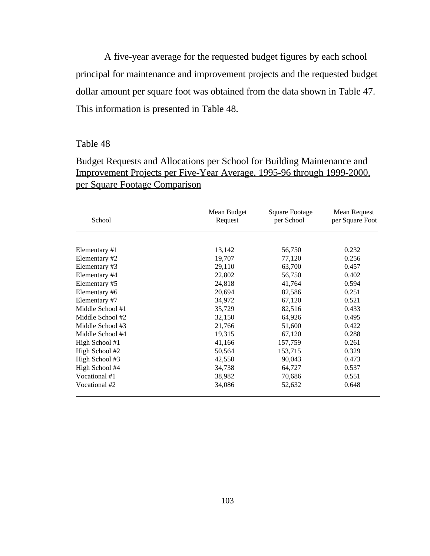A five-year average for the requested budget figures by each school principal for maintenance and improvement projects and the requested budget dollar amount per square foot was obtained from the data shown in Table 47. This information is presented in Table 48.

# Table 48

l

| <b>Budget Requests and Allocations per School for Building Maintenance and</b> |
|--------------------------------------------------------------------------------|
| <u>Improvement Projects per Five-Year Average, 1995-96 through 1999-2000,</u>  |
| <u>per Square Footage Comparison</u>                                           |

| School           | Mean Budget<br>Request | <b>Square Footage</b><br>per School | Mean Request<br>per Square Foot |  |
|------------------|------------------------|-------------------------------------|---------------------------------|--|
|                  |                        |                                     |                                 |  |
| Elementary #1    | 13,142                 | 56,750                              | 0.232                           |  |
| Elementary #2    | 19,707                 | 77,120                              | 0.256                           |  |
| Elementary #3    | 29,110                 | 63,700                              | 0.457                           |  |
| Elementary #4    | 22,802                 | 56,750                              | 0.402                           |  |
| Elementary #5    | 24,818                 | 41,764                              | 0.594                           |  |
| Elementary #6    | 20,694                 | 82,586                              | 0.251                           |  |
| Elementary #7    | 34,972                 | 67,120                              | 0.521                           |  |
| Middle School #1 | 35,729                 | 82,516                              | 0.433                           |  |
| Middle School #2 | 32,150                 | 64,926                              | 0.495                           |  |
| Middle School #3 | 21,766                 | 51,600                              | 0.422                           |  |
| Middle School #4 | 19,315                 | 67,120                              | 0.288                           |  |
| High School #1   | 41,166                 | 157,759                             | 0.261                           |  |
| High School #2   | 50,564                 | 153,715                             | 0.329                           |  |
| High School #3   | 42,550                 | 90,043                              | 0.473                           |  |
| High School #4   | 34,738                 | 64,727                              | 0.537                           |  |
| Vocational #1    | 38,982                 | 70,686                              | 0.551                           |  |
| Vocational #2    | 34,086                 | 52,632                              | 0.648                           |  |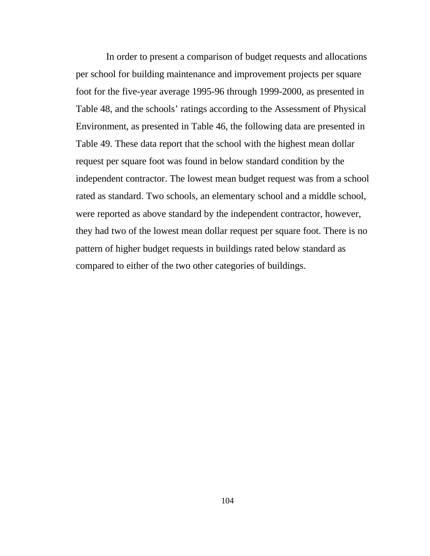In order to present a comparison of budget requests and allocations per school for building maintenance and improvement projects per square foot for the five-year average 1995-96 through 1999-2000, as presented in Table 48, and the schools' ratings according to the Assessment of Physical Environment, as presented in Table 46, the following data are presented in Table 49. These data report that the school with the highest mean dollar request per square foot was found in below standard condition by the independent contractor. The lowest mean budget request was from a school rated as standard. Two schools, an elementary school and a middle school, were reported as above standard by the independent contractor, however, they had two of the lowest mean dollar request per square foot. There is no pattern of higher budget requests in buildings rated below standard as compared to either of the two other categories of buildings.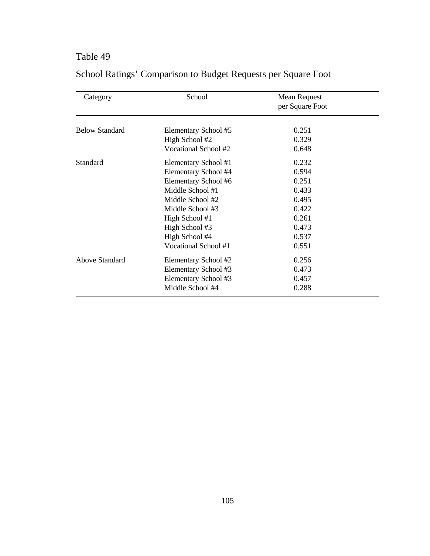# Table 49

| Category              | School               | Mean Request<br>per Square Foot |  |
|-----------------------|----------------------|---------------------------------|--|
| <b>Below Standard</b> | Elementary School #5 | 0.251                           |  |
|                       | High School #2       | 0.329                           |  |
|                       | Vocational School #2 | 0.648                           |  |
| Standard              | Elementary School #1 | 0.232                           |  |
|                       | Elementary School #4 | 0.594                           |  |
|                       | Elementary School #6 | 0.251                           |  |
|                       | Middle School #1     | 0.433                           |  |
|                       | Middle School #2     | 0.495                           |  |
|                       | Middle School #3     | 0.422                           |  |
|                       | High School #1       | 0.261                           |  |
|                       | High School #3       | 0.473                           |  |
|                       | High School #4       | 0.537                           |  |
|                       | Vocational School #1 | 0.551                           |  |
| Above Standard        | Elementary School #2 | 0.256                           |  |
|                       | Elementary School #3 | 0.473                           |  |
|                       | Elementary School #3 | 0.457                           |  |
|                       | Middle School #4     | 0.288                           |  |

# School Ratings' Comparison to Budget Requests per Square Foot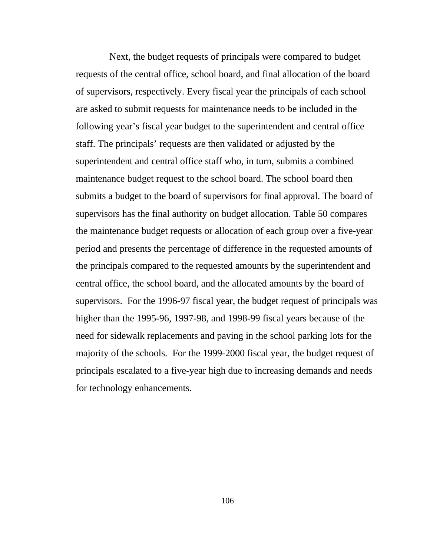Next, the budget requests of principals were compared to budget requests of the central office, school board, and final allocation of the board of supervisors, respectively. Every fiscal year the principals of each school are asked to submit requests for maintenance needs to be included in the following year's fiscal year budget to the superintendent and central office staff. The principals' requests are then validated or adjusted by the superintendent and central office staff who, in turn, submits a combined maintenance budget request to the school board. The school board then submits a budget to the board of supervisors for final approval. The board of supervisors has the final authority on budget allocation. Table 50 compares the maintenance budget requests or allocation of each group over a five-year period and presents the percentage of difference in the requested amounts of the principals compared to the requested amounts by the superintendent and central office, the school board, and the allocated amounts by the board of supervisors. For the 1996-97 fiscal year, the budget request of principals was higher than the 1995-96, 1997-98, and 1998-99 fiscal years because of the need for sidewalk replacements and paving in the school parking lots for the majority of the schools. For the 1999-2000 fiscal year, the budget request of principals escalated to a five-year high due to increasing demands and needs for technology enhancements.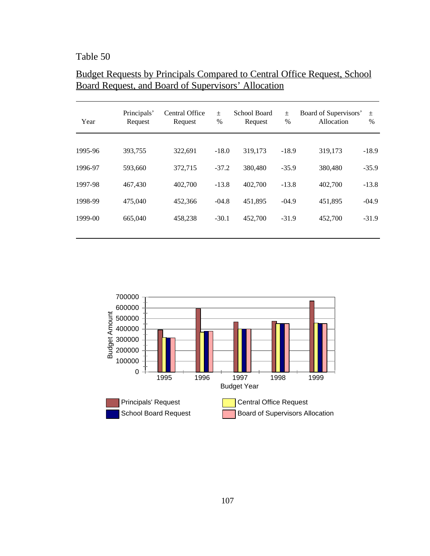# Table 50

l

# Budget Requests by Principals Compared to Central Office Request, School Board Request, and Board of Supervisors' Allocation

| Year    | Principals'<br>Request | <b>Central Office</b><br>Request | $\pm$<br>$\frac{0}{0}$ | School Board<br>Request | $\pm$<br>$\%$ | Board of Supervisors'<br>Allocation | $\pm$<br>$\frac{0}{0}$ |
|---------|------------------------|----------------------------------|------------------------|-------------------------|---------------|-------------------------------------|------------------------|
| 1995-96 | 393.755                | 322,691                          | $-18.0$                | 319,173                 | $-18.9$       | 319,173                             | $-18.9$                |
| 1996-97 | 593,660                | 372,715                          | $-37.2$                | 380,480                 | $-35.9$       | 380,480                             | $-35.9$                |
| 1997-98 | 467,430                | 402,700                          | $-13.8$                | 402,700                 | $-13.8$       | 402,700                             | $-13.8$                |
| 1998-99 | 475,040                | 452,366                          | $-04.8$                | 451,895                 | $-04.9$       | 451,895                             | $-04.9$                |
| 1999-00 | 665,040                | 458,238                          | $-30.1$                | 452,700                 | $-31.9$       | 452,700                             | $-31.9$                |
|         |                        |                                  |                        |                         |               |                                     |                        |

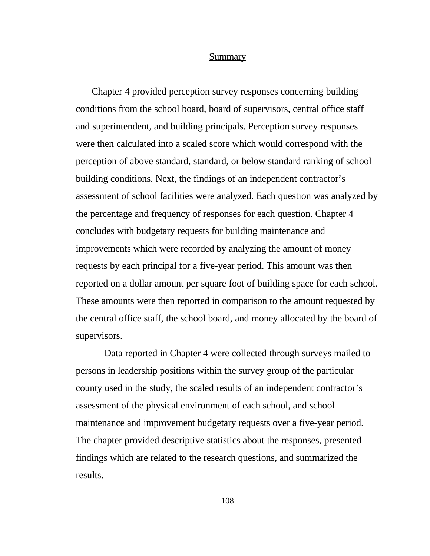#### Summary

Chapter 4 provided perception survey responses concerning building conditions from the school board, board of supervisors, central office staff and superintendent, and building principals. Perception survey responses were then calculated into a scaled score which would correspond with the perception of above standard, standard, or below standard ranking of school building conditions. Next, the findings of an independent contractor's assessment of school facilities were analyzed. Each question was analyzed by the percentage and frequency of responses for each question. Chapter 4 concludes with budgetary requests for building maintenance and improvements which were recorded by analyzing the amount of money requests by each principal for a five-year period. This amount was then reported on a dollar amount per square foot of building space for each school. These amounts were then reported in comparison to the amount requested by the central office staff, the school board, and money allocated by the board of supervisors.

Data reported in Chapter 4 were collected through surveys mailed to persons in leadership positions within the survey group of the particular county used in the study, the scaled results of an independent contractor's assessment of the physical environment of each school, and school maintenance and improvement budgetary requests over a five-year period. The chapter provided descriptive statistics about the responses, presented findings which are related to the research questions, and summarized the results.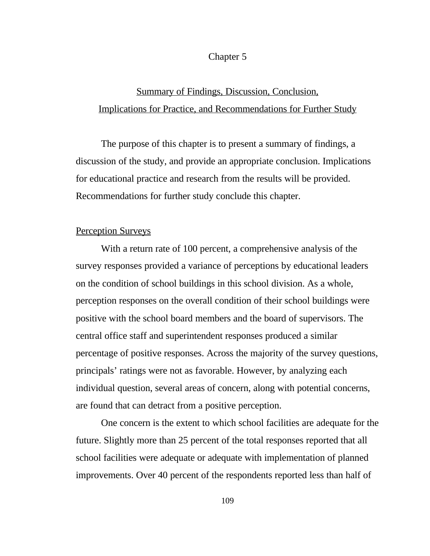#### Chapter 5

# Summary of Findings, Discussion, Conclusion, Implications for Practice, and Recommendations for Further Study

The purpose of this chapter is to present a summary of findings, a discussion of the study, and provide an appropriate conclusion. Implications for educational practice and research from the results will be provided. Recommendations for further study conclude this chapter.

### Perception Surveys

With a return rate of 100 percent, a comprehensive analysis of the survey responses provided a variance of perceptions by educational leaders on the condition of school buildings in this school division. As a whole, perception responses on the overall condition of their school buildings were positive with the school board members and the board of supervisors. The central office staff and superintendent responses produced a similar percentage of positive responses. Across the majority of the survey questions, principals' ratings were not as favorable. However, by analyzing each individual question, several areas of concern, along with potential concerns, are found that can detract from a positive perception.

One concern is the extent to which school facilities are adequate for the future. Slightly more than 25 percent of the total responses reported that all school facilities were adequate or adequate with implementation of planned improvements. Over 40 percent of the respondents reported less than half of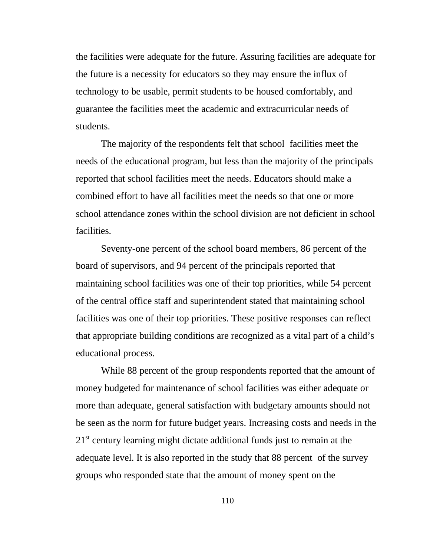the facilities were adequate for the future. Assuring facilities are adequate for the future is a necessity for educators so they may ensure the influx of technology to be usable, permit students to be housed comfortably, and guarantee the facilities meet the academic and extracurricular needs of students.

The majority of the respondents felt that school facilities meet the needs of the educational program, but less than the majority of the principals reported that school facilities meet the needs. Educators should make a combined effort to have all facilities meet the needs so that one or more school attendance zones within the school division are not deficient in school facilities.

Seventy-one percent of the school board members, 86 percent of the board of supervisors, and 94 percent of the principals reported that maintaining school facilities was one of their top priorities, while 54 percent of the central office staff and superintendent stated that maintaining school facilities was one of their top priorities. These positive responses can reflect that appropriate building conditions are recognized as a vital part of a child's educational process.

While 88 percent of the group respondents reported that the amount of money budgeted for maintenance of school facilities was either adequate or more than adequate, general satisfaction with budgetary amounts should not be seen as the norm for future budget years. Increasing costs and needs in the  $21<sup>st</sup>$  century learning might dictate additional funds just to remain at the adequate level. It is also reported in the study that 88 percent of the survey groups who responded state that the amount of money spent on the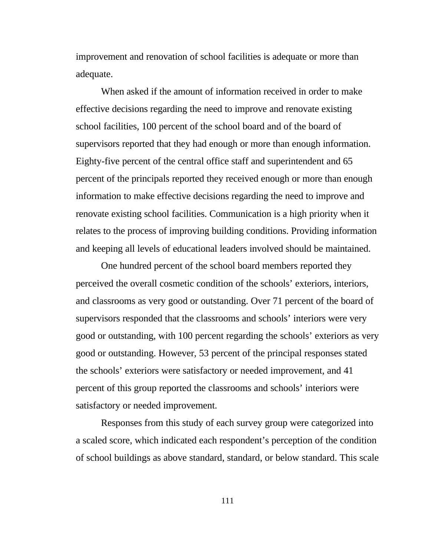improvement and renovation of school facilities is adequate or more than adequate.

When asked if the amount of information received in order to make effective decisions regarding the need to improve and renovate existing school facilities, 100 percent of the school board and of the board of supervisors reported that they had enough or more than enough information. Eighty-five percent of the central office staff and superintendent and 65 percent of the principals reported they received enough or more than enough information to make effective decisions regarding the need to improve and renovate existing school facilities. Communication is a high priority when it relates to the process of improving building conditions. Providing information and keeping all levels of educational leaders involved should be maintained.

One hundred percent of the school board members reported they perceived the overall cosmetic condition of the schools' exteriors, interiors, and classrooms as very good or outstanding. Over 71 percent of the board of supervisors responded that the classrooms and schools' interiors were very good or outstanding, with 100 percent regarding the schools' exteriors as very good or outstanding. However, 53 percent of the principal responses stated the schools' exteriors were satisfactory or needed improvement, and 41 percent of this group reported the classrooms and schools' interiors were satisfactory or needed improvement.

Responses from this study of each survey group were categorized into a scaled score, which indicated each respondent's perception of the condition of school buildings as above standard, standard, or below standard. This scale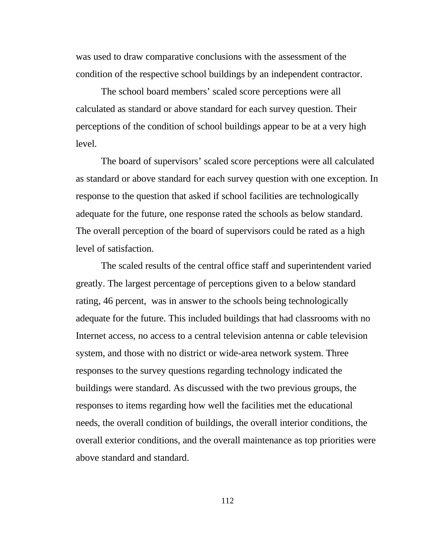was used to draw comparative conclusions with the assessment of the condition of the respective school buildings by an independent contractor.

The school board members' scaled score perceptions were all calculated as standard or above standard for each survey question. Their perceptions of the condition of school buildings appear to be at a very high level.

The board of supervisors' scaled score perceptions were all calculated as standard or above standard for each survey question with one exception. In response to the question that asked if school facilities are technologically adequate for the future, one response rated the schools as below standard. The overall perception of the board of supervisors could be rated as a high level of satisfaction.

The scaled results of the central office staff and superintendent varied greatly. The largest percentage of perceptions given to a below standard rating, 46 percent, was in answer to the schools being technologically adequate for the future. This included buildings that had classrooms with no Internet access, no access to a central television antenna or cable television system, and those with no district or wide-area network system. Three responses to the survey questions regarding technology indicated the buildings were standard. As discussed with the two previous groups, the responses to items regarding how well the facilities met the educational needs, the overall condition of buildings, the overall interior conditions, the overall exterior conditions, and the overall maintenance as top priorities were above standard and standard.

112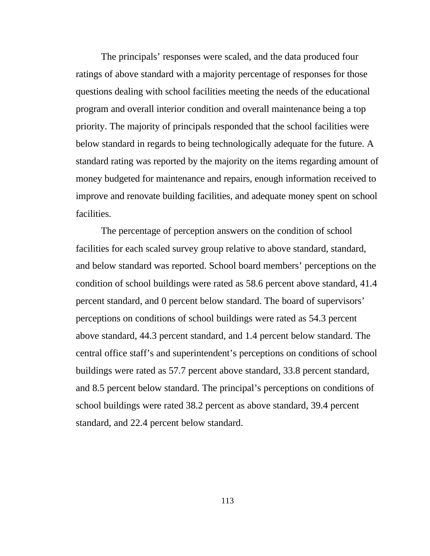The principals' responses were scaled, and the data produced four ratings of above standard with a majority percentage of responses for those questions dealing with school facilities meeting the needs of the educational program and overall interior condition and overall maintenance being a top priority. The majority of principals responded that the school facilities were below standard in regards to being technologically adequate for the future. A standard rating was reported by the majority on the items regarding amount of money budgeted for maintenance and repairs, enough information received to improve and renovate building facilities, and adequate money spent on school facilities.

The percentage of perception answers on the condition of school facilities for each scaled survey group relative to above standard, standard, and below standard was reported. School board members' perceptions on the condition of school buildings were rated as 58.6 percent above standard, 41.4 percent standard, and 0 percent below standard. The board of supervisors' perceptions on conditions of school buildings were rated as 54.3 percent above standard, 44.3 percent standard, and 1.4 percent below standard. The central office staff's and superintendent's perceptions on conditions of school buildings were rated as 57.7 percent above standard, 33.8 percent standard, and 8.5 percent below standard. The principal's perceptions on conditions of school buildings were rated 38.2 percent as above standard, 39.4 percent standard, and 22.4 percent below standard.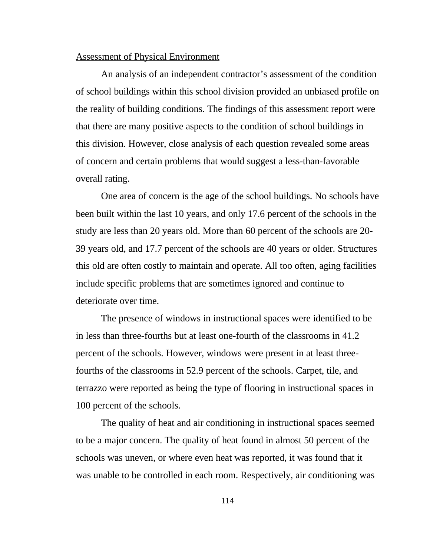## Assessment of Physical Environment

An analysis of an independent contractor's assessment of the condition of school buildings within this school division provided an unbiased profile on the reality of building conditions. The findings of this assessment report were that there are many positive aspects to the condition of school buildings in this division. However, close analysis of each question revealed some areas of concern and certain problems that would suggest a less-than-favorable overall rating.

One area of concern is the age of the school buildings. No schools have been built within the last 10 years, and only 17.6 percent of the schools in the study are less than 20 years old. More than 60 percent of the schools are 20- 39 years old, and 17.7 percent of the schools are 40 years or older. Structures this old are often costly to maintain and operate. All too often, aging facilities include specific problems that are sometimes ignored and continue to deteriorate over time.

The presence of windows in instructional spaces were identified to be in less than three-fourths but at least one-fourth of the classrooms in 41.2 percent of the schools. However, windows were present in at least threefourths of the classrooms in 52.9 percent of the schools. Carpet, tile, and terrazzo were reported as being the type of flooring in instructional spaces in 100 percent of the schools.

The quality of heat and air conditioning in instructional spaces seemed to be a major concern. The quality of heat found in almost 50 percent of the schools was uneven, or where even heat was reported, it was found that it was unable to be controlled in each room. Respectively, air conditioning was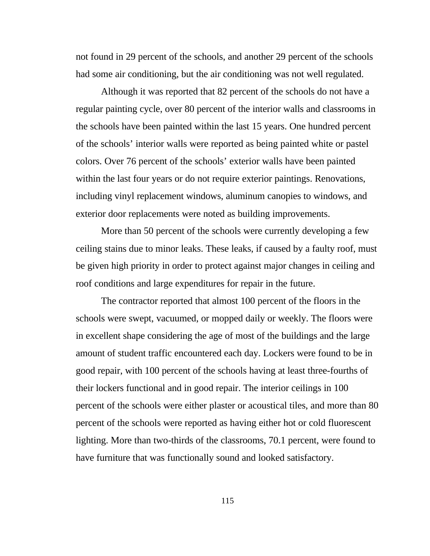not found in 29 percent of the schools, and another 29 percent of the schools had some air conditioning, but the air conditioning was not well regulated.

Although it was reported that 82 percent of the schools do not have a regular painting cycle, over 80 percent of the interior walls and classrooms in the schools have been painted within the last 15 years. One hundred percent of the schools' interior walls were reported as being painted white or pastel colors. Over 76 percent of the schools' exterior walls have been painted within the last four years or do not require exterior paintings. Renovations, including vinyl replacement windows, aluminum canopies to windows, and exterior door replacements were noted as building improvements.

More than 50 percent of the schools were currently developing a few ceiling stains due to minor leaks. These leaks, if caused by a faulty roof, must be given high priority in order to protect against major changes in ceiling and roof conditions and large expenditures for repair in the future.

The contractor reported that almost 100 percent of the floors in the schools were swept, vacuumed, or mopped daily or weekly. The floors were in excellent shape considering the age of most of the buildings and the large amount of student traffic encountered each day. Lockers were found to be in good repair, with 100 percent of the schools having at least three-fourths of their lockers functional and in good repair. The interior ceilings in 100 percent of the schools were either plaster or acoustical tiles, and more than 80 percent of the schools were reported as having either hot or cold fluorescent lighting. More than two-thirds of the classrooms, 70.1 percent, were found to have furniture that was functionally sound and looked satisfactory.

115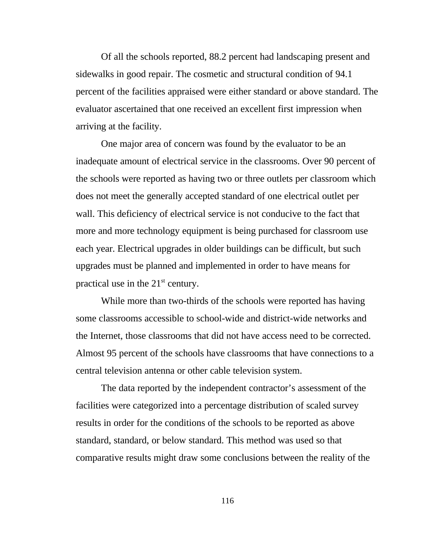Of all the schools reported, 88.2 percent had landscaping present and sidewalks in good repair. The cosmetic and structural condition of 94.1 percent of the facilities appraised were either standard or above standard. The evaluator ascertained that one received an excellent first impression when arriving at the facility.

One major area of concern was found by the evaluator to be an inadequate amount of electrical service in the classrooms. Over 90 percent of the schools were reported as having two or three outlets per classroom which does not meet the generally accepted standard of one electrical outlet per wall. This deficiency of electrical service is not conducive to the fact that more and more technology equipment is being purchased for classroom use each year. Electrical upgrades in older buildings can be difficult, but such upgrades must be planned and implemented in order to have means for practical use in the  $21<sup>st</sup>$  century.

While more than two-thirds of the schools were reported has having some classrooms accessible to school-wide and district-wide networks and the Internet, those classrooms that did not have access need to be corrected. Almost 95 percent of the schools have classrooms that have connections to a central television antenna or other cable television system.

The data reported by the independent contractor's assessment of the facilities were categorized into a percentage distribution of scaled survey results in order for the conditions of the schools to be reported as above standard, standard, or below standard. This method was used so that comparative results might draw some conclusions between the reality of the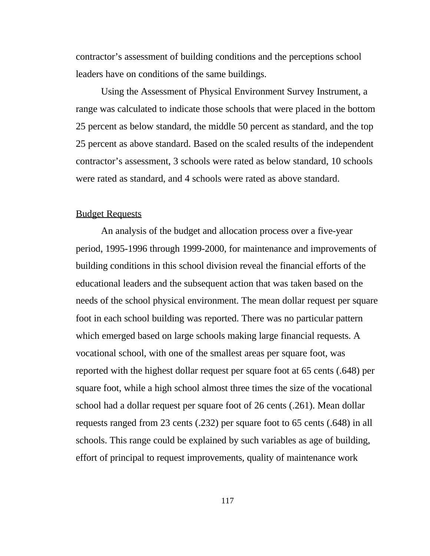contractor's assessment of building conditions and the perceptions school leaders have on conditions of the same buildings.

Using the Assessment of Physical Environment Survey Instrument, a range was calculated to indicate those schools that were placed in the bottom 25 percent as below standard, the middle 50 percent as standard, and the top 25 percent as above standard. Based on the scaled results of the independent contractor's assessment, 3 schools were rated as below standard, 10 schools were rated as standard, and 4 schools were rated as above standard.

### Budget Requests

An analysis of the budget and allocation process over a five-year period, 1995-1996 through 1999-2000, for maintenance and improvements of building conditions in this school division reveal the financial efforts of the educational leaders and the subsequent action that was taken based on the needs of the school physical environment. The mean dollar request per square foot in each school building was reported. There was no particular pattern which emerged based on large schools making large financial requests. A vocational school, with one of the smallest areas per square foot, was reported with the highest dollar request per square foot at 65 cents (.648) per square foot, while a high school almost three times the size of the vocational school had a dollar request per square foot of 26 cents (.261). Mean dollar requests ranged from 23 cents (.232) per square foot to 65 cents (.648) in all schools. This range could be explained by such variables as age of building, effort of principal to request improvements, quality of maintenance work

117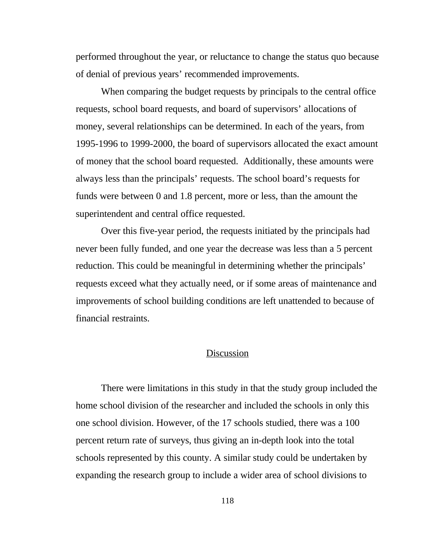performed throughout the year, or reluctance to change the status quo because of denial of previous years' recommended improvements.

When comparing the budget requests by principals to the central office requests, school board requests, and board of supervisors' allocations of money, several relationships can be determined. In each of the years, from 1995-1996 to 1999-2000, the board of supervisors allocated the exact amount of money that the school board requested. Additionally, these amounts were always less than the principals' requests. The school board's requests for funds were between 0 and 1.8 percent, more or less, than the amount the superintendent and central office requested.

Over this five-year period, the requests initiated by the principals had never been fully funded, and one year the decrease was less than a 5 percent reduction. This could be meaningful in determining whether the principals' requests exceed what they actually need, or if some areas of maintenance and improvements of school building conditions are left unattended to because of financial restraints.

## **Discussion**

There were limitations in this study in that the study group included the home school division of the researcher and included the schools in only this one school division. However, of the 17 schools studied, there was a 100 percent return rate of surveys, thus giving an in-depth look into the total schools represented by this county. A similar study could be undertaken by expanding the research group to include a wider area of school divisions to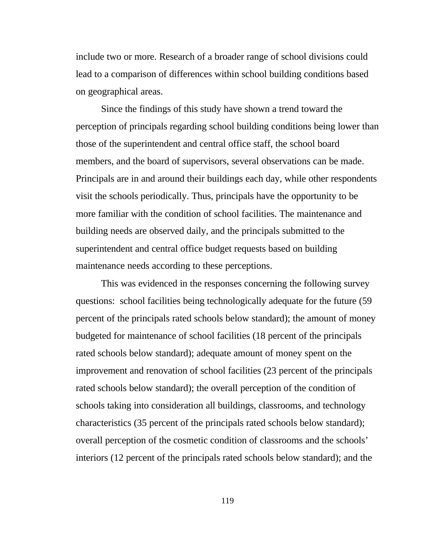include two or more. Research of a broader range of school divisions could lead to a comparison of differences within school building conditions based on geographical areas.

Since the findings of this study have shown a trend toward the perception of principals regarding school building conditions being lower than those of the superintendent and central office staff, the school board members, and the board of supervisors, several observations can be made. Principals are in and around their buildings each day, while other respondents visit the schools periodically. Thus, principals have the opportunity to be more familiar with the condition of school facilities. The maintenance and building needs are observed daily, and the principals submitted to the superintendent and central office budget requests based on building maintenance needs according to these perceptions.

This was evidenced in the responses concerning the following survey questions: school facilities being technologically adequate for the future (59 percent of the principals rated schools below standard); the amount of money budgeted for maintenance of school facilities (18 percent of the principals rated schools below standard); adequate amount of money spent on the improvement and renovation of school facilities (23 percent of the principals rated schools below standard); the overall perception of the condition of schools taking into consideration all buildings, classrooms, and technology characteristics (35 percent of the principals rated schools below standard); overall perception of the cosmetic condition of classrooms and the schools' interiors (12 percent of the principals rated schools below standard); and the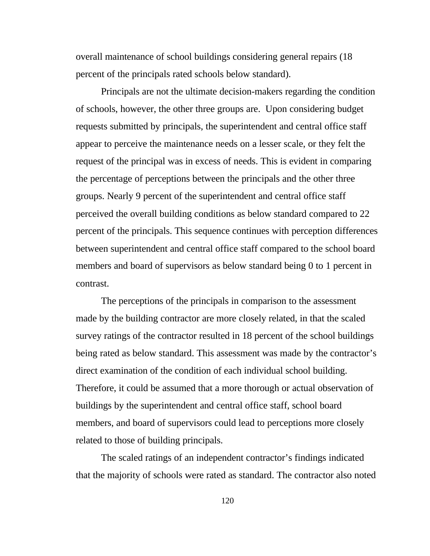overall maintenance of school buildings considering general repairs (18 percent of the principals rated schools below standard).

Principals are not the ultimate decision-makers regarding the condition of schools, however, the other three groups are. Upon considering budget requests submitted by principals, the superintendent and central office staff appear to perceive the maintenance needs on a lesser scale, or they felt the request of the principal was in excess of needs. This is evident in comparing the percentage of perceptions between the principals and the other three groups. Nearly 9 percent of the superintendent and central office staff perceived the overall building conditions as below standard compared to 22 percent of the principals. This sequence continues with perception differences between superintendent and central office staff compared to the school board members and board of supervisors as below standard being 0 to 1 percent in contrast.

The perceptions of the principals in comparison to the assessment made by the building contractor are more closely related, in that the scaled survey ratings of the contractor resulted in 18 percent of the school buildings being rated as below standard. This assessment was made by the contractor's direct examination of the condition of each individual school building. Therefore, it could be assumed that a more thorough or actual observation of buildings by the superintendent and central office staff, school board members, and board of supervisors could lead to perceptions more closely related to those of building principals.

The scaled ratings of an independent contractor's findings indicated that the majority of schools were rated as standard. The contractor also noted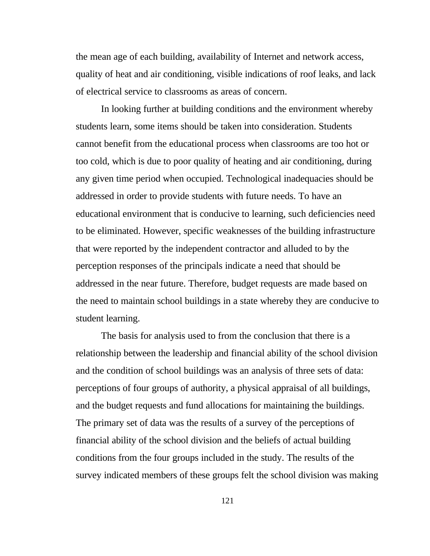the mean age of each building, availability of Internet and network access, quality of heat and air conditioning, visible indications of roof leaks, and lack of electrical service to classrooms as areas of concern.

In looking further at building conditions and the environment whereby students learn, some items should be taken into consideration. Students cannot benefit from the educational process when classrooms are too hot or too cold, which is due to poor quality of heating and air conditioning, during any given time period when occupied. Technological inadequacies should be addressed in order to provide students with future needs. To have an educational environment that is conducive to learning, such deficiencies need to be eliminated. However, specific weaknesses of the building infrastructure that were reported by the independent contractor and alluded to by the perception responses of the principals indicate a need that should be addressed in the near future. Therefore, budget requests are made based on the need to maintain school buildings in a state whereby they are conducive to student learning.

The basis for analysis used to from the conclusion that there is a relationship between the leadership and financial ability of the school division and the condition of school buildings was an analysis of three sets of data: perceptions of four groups of authority, a physical appraisal of all buildings, and the budget requests and fund allocations for maintaining the buildings. The primary set of data was the results of a survey of the perceptions of financial ability of the school division and the beliefs of actual building conditions from the four groups included in the study. The results of the survey indicated members of these groups felt the school division was making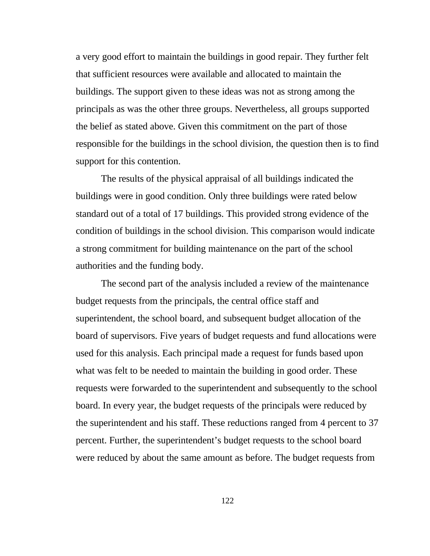a very good effort to maintain the buildings in good repair. They further felt that sufficient resources were available and allocated to maintain the buildings. The support given to these ideas was not as strong among the principals as was the other three groups. Nevertheless, all groups supported the belief as stated above. Given this commitment on the part of those responsible for the buildings in the school division, the question then is to find support for this contention.

The results of the physical appraisal of all buildings indicated the buildings were in good condition. Only three buildings were rated below standard out of a total of 17 buildings. This provided strong evidence of the condition of buildings in the school division. This comparison would indicate a strong commitment for building maintenance on the part of the school authorities and the funding body.

The second part of the analysis included a review of the maintenance budget requests from the principals, the central office staff and superintendent, the school board, and subsequent budget allocation of the board of supervisors. Five years of budget requests and fund allocations were used for this analysis. Each principal made a request for funds based upon what was felt to be needed to maintain the building in good order. These requests were forwarded to the superintendent and subsequently to the school board. In every year, the budget requests of the principals were reduced by the superintendent and his staff. These reductions ranged from 4 percent to 37 percent. Further, the superintendent's budget requests to the school board were reduced by about the same amount as before. The budget requests from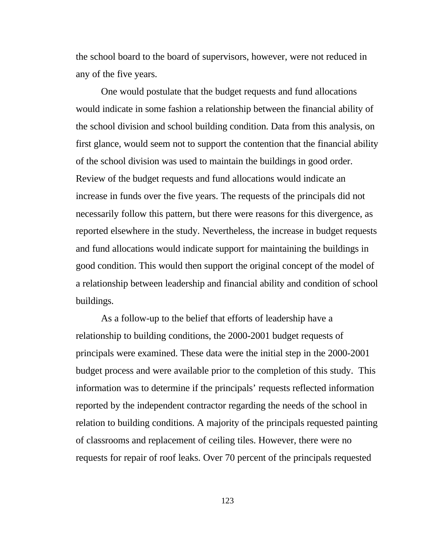the school board to the board of supervisors, however, were not reduced in any of the five years.

One would postulate that the budget requests and fund allocations would indicate in some fashion a relationship between the financial ability of the school division and school building condition. Data from this analysis, on first glance, would seem not to support the contention that the financial ability of the school division was used to maintain the buildings in good order. Review of the budget requests and fund allocations would indicate an increase in funds over the five years. The requests of the principals did not necessarily follow this pattern, but there were reasons for this divergence, as reported elsewhere in the study. Nevertheless, the increase in budget requests and fund allocations would indicate support for maintaining the buildings in good condition. This would then support the original concept of the model of a relationship between leadership and financial ability and condition of school buildings.

As a follow-up to the belief that efforts of leadership have a relationship to building conditions, the 2000-2001 budget requests of principals were examined. These data were the initial step in the 2000-2001 budget process and were available prior to the completion of this study. This information was to determine if the principals' requests reflected information reported by the independent contractor regarding the needs of the school in relation to building conditions. A majority of the principals requested painting of classrooms and replacement of ceiling tiles. However, there were no requests for repair of roof leaks. Over 70 percent of the principals requested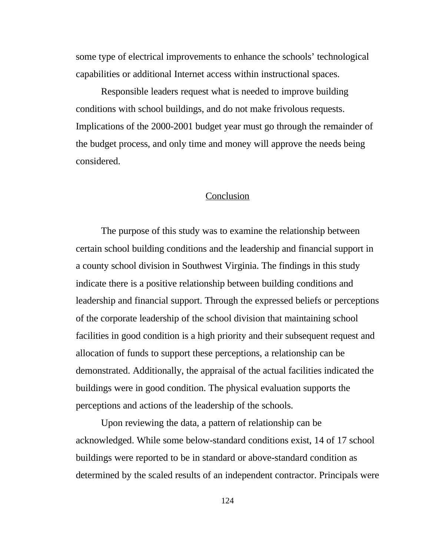some type of electrical improvements to enhance the schools' technological capabilities or additional Internet access within instructional spaces.

Responsible leaders request what is needed to improve building conditions with school buildings, and do not make frivolous requests. Implications of the 2000-2001 budget year must go through the remainder of the budget process, and only time and money will approve the needs being considered.

#### **Conclusion**

The purpose of this study was to examine the relationship between certain school building conditions and the leadership and financial support in a county school division in Southwest Virginia. The findings in this study indicate there is a positive relationship between building conditions and leadership and financial support. Through the expressed beliefs or perceptions of the corporate leadership of the school division that maintaining school facilities in good condition is a high priority and their subsequent request and allocation of funds to support these perceptions, a relationship can be demonstrated. Additionally, the appraisal of the actual facilities indicated the buildings were in good condition. The physical evaluation supports the perceptions and actions of the leadership of the schools.

Upon reviewing the data, a pattern of relationship can be acknowledged. While some below-standard conditions exist, 14 of 17 school buildings were reported to be in standard or above-standard condition as determined by the scaled results of an independent contractor. Principals were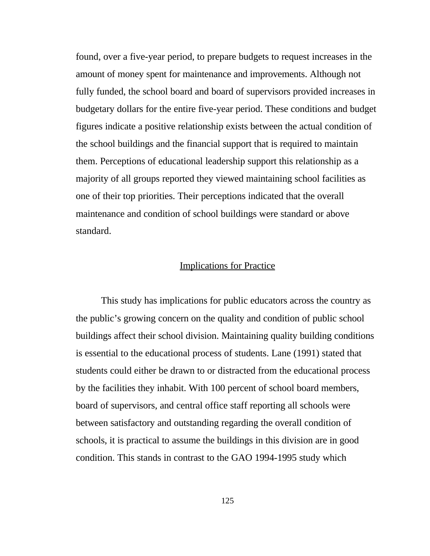found, over a five-year period, to prepare budgets to request increases in the amount of money spent for maintenance and improvements. Although not fully funded, the school board and board of supervisors provided increases in budgetary dollars for the entire five-year period. These conditions and budget figures indicate a positive relationship exists between the actual condition of the school buildings and the financial support that is required to maintain them. Perceptions of educational leadership support this relationship as a majority of all groups reported they viewed maintaining school facilities as one of their top priorities. Their perceptions indicated that the overall maintenance and condition of school buildings were standard or above standard.

## Implications for Practice

This study has implications for public educators across the country as the public's growing concern on the quality and condition of public school buildings affect their school division. Maintaining quality building conditions is essential to the educational process of students. Lane (1991) stated that students could either be drawn to or distracted from the educational process by the facilities they inhabit. With 100 percent of school board members, board of supervisors, and central office staff reporting all schools were between satisfactory and outstanding regarding the overall condition of schools, it is practical to assume the buildings in this division are in good condition. This stands in contrast to the GAO 1994-1995 study which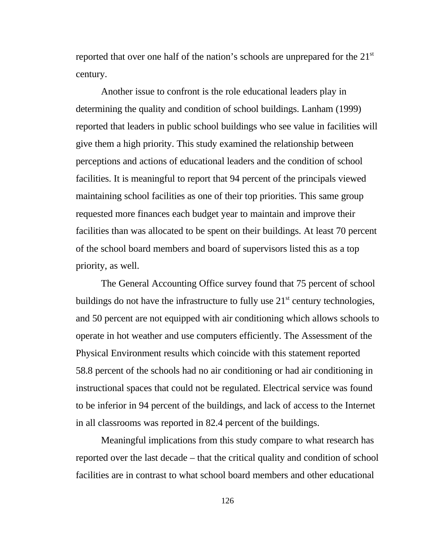reported that over one half of the nation's schools are unprepared for the 21<sup>st</sup> century.

Another issue to confront is the role educational leaders play in determining the quality and condition of school buildings. Lanham (1999) reported that leaders in public school buildings who see value in facilities will give them a high priority. This study examined the relationship between perceptions and actions of educational leaders and the condition of school facilities. It is meaningful to report that 94 percent of the principals viewed maintaining school facilities as one of their top priorities. This same group requested more finances each budget year to maintain and improve their facilities than was allocated to be spent on their buildings. At least 70 percent of the school board members and board of supervisors listed this as a top priority, as well.

The General Accounting Office survey found that 75 percent of school buildings do not have the infrastructure to fully use  $21<sup>st</sup>$  century technologies, and 50 percent are not equipped with air conditioning which allows schools to operate in hot weather and use computers efficiently. The Assessment of the Physical Environment results which coincide with this statement reported 58.8 percent of the schools had no air conditioning or had air conditioning in instructional spaces that could not be regulated. Electrical service was found to be inferior in 94 percent of the buildings, and lack of access to the Internet in all classrooms was reported in 82.4 percent of the buildings.

Meaningful implications from this study compare to what research has reported over the last decade – that the critical quality and condition of school facilities are in contrast to what school board members and other educational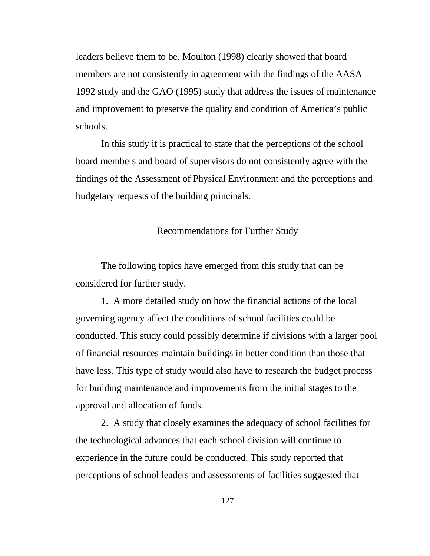leaders believe them to be. Moulton (1998) clearly showed that board members are not consistently in agreement with the findings of the AASA 1992 study and the GAO (1995) study that address the issues of maintenance and improvement to preserve the quality and condition of America's public schools.

In this study it is practical to state that the perceptions of the school board members and board of supervisors do not consistently agree with the findings of the Assessment of Physical Environment and the perceptions and budgetary requests of the building principals.

### Recommendations for Further Study

The following topics have emerged from this study that can be considered for further study.

1. A more detailed study on how the financial actions of the local governing agency affect the conditions of school facilities could be conducted. This study could possibly determine if divisions with a larger pool of financial resources maintain buildings in better condition than those that have less. This type of study would also have to research the budget process for building maintenance and improvements from the initial stages to the approval and allocation of funds.

2. A study that closely examines the adequacy of school facilities for the technological advances that each school division will continue to experience in the future could be conducted. This study reported that perceptions of school leaders and assessments of facilities suggested that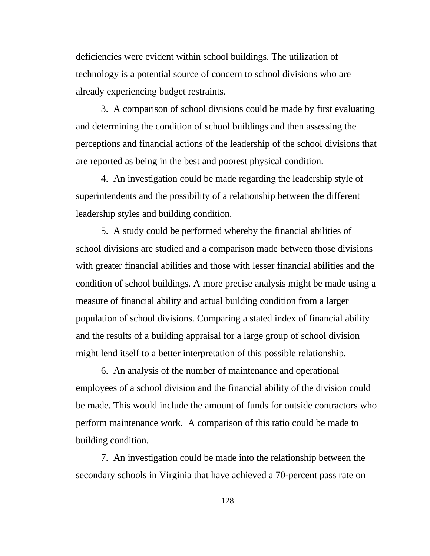deficiencies were evident within school buildings. The utilization of technology is a potential source of concern to school divisions who are already experiencing budget restraints.

3. A comparison of school divisions could be made by first evaluating and determining the condition of school buildings and then assessing the perceptions and financial actions of the leadership of the school divisions that are reported as being in the best and poorest physical condition.

4. An investigation could be made regarding the leadership style of superintendents and the possibility of a relationship between the different leadership styles and building condition.

5. A study could be performed whereby the financial abilities of school divisions are studied and a comparison made between those divisions with greater financial abilities and those with lesser financial abilities and the condition of school buildings. A more precise analysis might be made using a measure of financial ability and actual building condition from a larger population of school divisions. Comparing a stated index of financial ability and the results of a building appraisal for a large group of school division might lend itself to a better interpretation of this possible relationship.

6. An analysis of the number of maintenance and operational employees of a school division and the financial ability of the division could be made. This would include the amount of funds for outside contractors who perform maintenance work. A comparison of this ratio could be made to building condition.

7. An investigation could be made into the relationship between the secondary schools in Virginia that have achieved a 70-percent pass rate on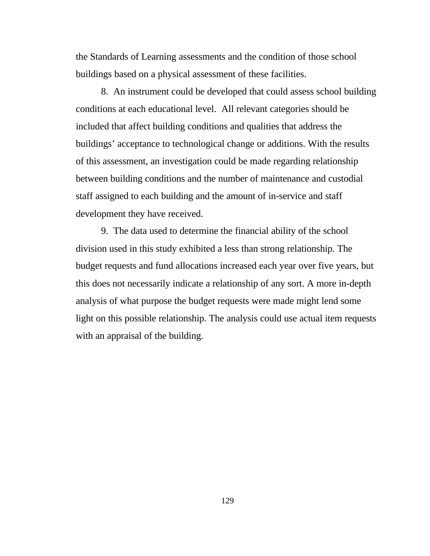the Standards of Learning assessments and the condition of those school buildings based on a physical assessment of these facilities.

8. An instrument could be developed that could assess school building conditions at each educational level. All relevant categories should be included that affect building conditions and qualities that address the buildings' acceptance to technological change or additions. With the results of this assessment, an investigation could be made regarding relationship between building conditions and the number of maintenance and custodial staff assigned to each building and the amount of in-service and staff development they have received.

9. The data used to determine the financial ability of the school division used in this study exhibited a less than strong relationship. The budget requests and fund allocations increased each year over five years, but this does not necessarily indicate a relationship of any sort. A more in-depth analysis of what purpose the budget requests were made might lend some light on this possible relationship. The analysis could use actual item requests with an appraisal of the building.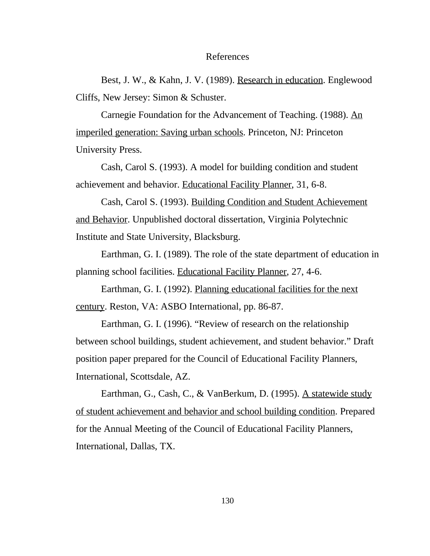#### References

Best, J. W., & Kahn, J. V. (1989). Research in education. Englewood Cliffs, New Jersey: Simon & Schuster.

Carnegie Foundation for the Advancement of Teaching. (1988). An imperiled generation: Saving urban schools. Princeton, NJ: Princeton University Press.

Cash, Carol S. (1993). A model for building condition and student achievement and behavior. Educational Facility Planner, 31, 6-8.

Cash, Carol S. (1993). Building Condition and Student Achievement and Behavior. Unpublished doctoral dissertation, Virginia Polytechnic Institute and State University, Blacksburg.

Earthman, G. I. (1989). The role of the state department of education in planning school facilities. Educational Facility Planner, 27, 4-6.

Earthman, G. I. (1992). Planning educational facilities for the next century. Reston, VA: ASBO International, pp. 86-87.

Earthman, G. I. (1996). "Review of research on the relationship between school buildings, student achievement, and student behavior." Draft position paper prepared for the Council of Educational Facility Planners, International, Scottsdale, AZ.

Earthman, G., Cash, C., & VanBerkum, D. (1995). A statewide study of student achievement and behavior and school building condition. Prepared for the Annual Meeting of the Council of Educational Facility Planners, International, Dallas, TX.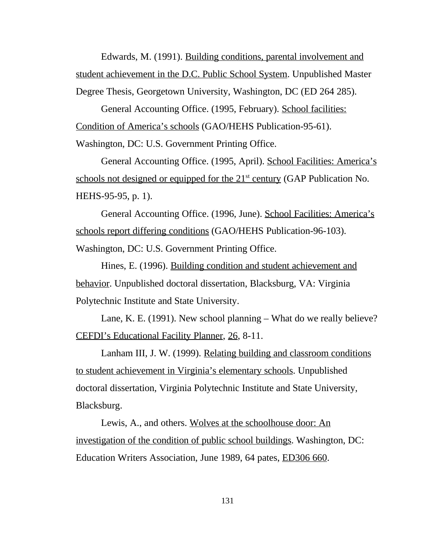Edwards, M. (1991). Building conditions, parental involvement and student achievement in the D.C. Public School System. Unpublished Master Degree Thesis, Georgetown University, Washington, DC (ED 264 285).

General Accounting Office. (1995, February). School facilities: Condition of America's schools (GAO/HEHS Publication-95-61).

Washington, DC: U.S. Government Printing Office.

General Accounting Office. (1995, April). School Facilities: America's schools not designed or equipped for the  $21<sup>st</sup>$  century (GAP Publication No. HEHS-95-95, p. 1).

General Accounting Office. (1996, June). School Facilities: America's schools report differing conditions (GAO/HEHS Publication-96-103). Washington, DC: U.S. Government Printing Office.

Hines, E. (1996). Building condition and student achievement and behavior. Unpublished doctoral dissertation, Blacksburg, VA: Virginia Polytechnic Institute and State University.

Lane, K. E. (1991). New school planning – What do we really believe? CEFDI's Educational Facility Planner, 26, 8-11.

Lanham III, J. W. (1999). Relating building and classroom conditions to student achievement in Virginia's elementary schools. Unpublished doctoral dissertation, Virginia Polytechnic Institute and State University, Blacksburg.

Lewis, A., and others. Wolves at the schoolhouse door: An investigation of the condition of public school buildings. Washington, DC: Education Writers Association, June 1989, 64 pates, **ED306 660**.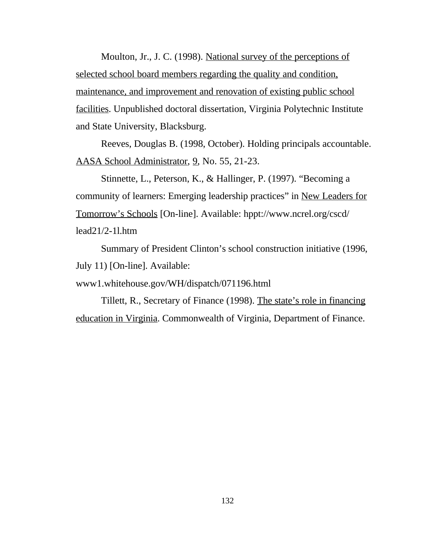Moulton, Jr., J. C. (1998). National survey of the perceptions of selected school board members regarding the quality and condition, maintenance, and improvement and renovation of existing public school facilities. Unpublished doctoral dissertation, Virginia Polytechnic Institute and State University, Blacksburg.

Reeves, Douglas B. (1998, October). Holding principals accountable. AASA School Administrator, 9, No. 55, 21-23.

Stinnette, L., Peterson, K., & Hallinger, P. (1997). "Becoming a community of learners: Emerging leadership practices" in New Leaders for Tomorrow's Schools [On-line]. Available: hppt://www.ncrel.org/cscd/ lead21/2-1l.htm

Summary of President Clinton's school construction initiative (1996, July 11) [On-line]. Available:

www1.whitehouse.gov/WH/dispatch/071196.html

Tillett, R., Secretary of Finance (1998). The state's role in financing education in Virginia. Commonwealth of Virginia, Department of Finance.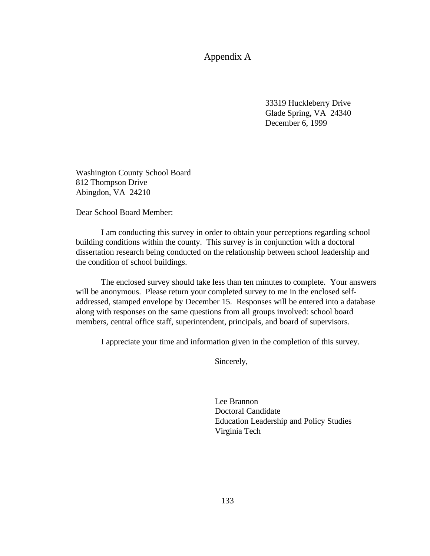Appendix A

33319 Huckleberry Drive Glade Spring, VA 24340 December 6, 1999

Washington County School Board 812 Thompson Drive Abingdon, VA 24210

Dear School Board Member:

I am conducting this survey in order to obtain your perceptions regarding school building conditions within the county. This survey is in conjunction with a doctoral dissertation research being conducted on the relationship between school leadership and the condition of school buildings.

The enclosed survey should take less than ten minutes to complete. Your answers will be anonymous. Please return your completed survey to me in the enclosed selfaddressed, stamped envelope by December 15. Responses will be entered into a database along with responses on the same questions from all groups involved: school board members, central office staff, superintendent, principals, and board of supervisors.

I appreciate your time and information given in the completion of this survey.

Sincerely,

Lee Brannon Doctoral Candidate Education Leadership and Policy Studies Virginia Tech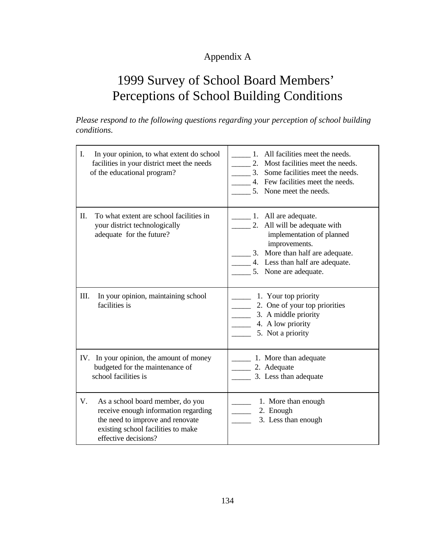# Appendix A

# 1999 Survey of School Board Members' Perceptions of School Building Conditions

*Please respond to the following questions regarding your perception of school building conditions.*

| I.<br>In your opinion, to what extent do school<br>facilities in your district meet the needs<br>of the educational program?                                                     | All facilities meet the needs.<br>$1_{-}$<br>Most facilities meet the needs.<br>$2^{2}$<br>Some facilities meet the needs.<br>$\overline{3}$ .<br>4. Few facilities meet the needs.<br>5. None meet the needs.                              |
|----------------------------------------------------------------------------------------------------------------------------------------------------------------------------------|---------------------------------------------------------------------------------------------------------------------------------------------------------------------------------------------------------------------------------------------|
| To what extent are school facilities in<br>П.<br>your district technologically<br>adequate for the future?                                                                       | $\frac{1}{\sqrt{1-x}}$ 1. All are adequate.<br>$\frac{1}{2}$ . All will be adequate with<br>implementation of planned<br>improvements.<br>3. More than half are adequate.<br>$\_\$ 4. Less than half are adequate.<br>5. None are adequate. |
| III.<br>In your opinion, maintaining school<br>facilities is                                                                                                                     | 1. Your top priority<br>2. One of your top priorities<br>3. A middle priority<br>4. A low priority<br>5. Not a priority                                                                                                                     |
| IV. In your opinion, the amount of money<br>budgeted for the maintenance of<br>school facilities is                                                                              | 1. More than adequate<br>2. Adequate<br>3. Less than adequate                                                                                                                                                                               |
| V.<br>As a school board member, do you<br>receive enough information regarding<br>the need to improve and renovate<br>existing school facilities to make<br>effective decisions? | 1. More than enough<br>2. Enough<br>3. Less than enough                                                                                                                                                                                     |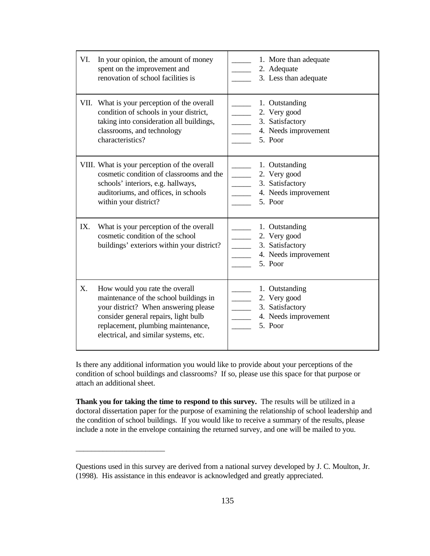| VI. | In your opinion, the amount of money<br>spent on the improvement and<br>renovation of school facilities is                                                                                                                              | 1. More than adequate<br>2. Adequate<br>3. Less than adequate                                                    |
|-----|-----------------------------------------------------------------------------------------------------------------------------------------------------------------------------------------------------------------------------------------|------------------------------------------------------------------------------------------------------------------|
|     | VII. What is your perception of the overall<br>condition of schools in your district,<br>taking into consideration all buildings,<br>classrooms, and technology<br>characteristics?                                                     | 1. Outstanding<br>2. Very good<br>$\overline{\phantom{a}}$<br>3. Satisfactory<br>4. Needs improvement<br>5. Poor |
|     | VIII. What is your perception of the overall<br>cosmetic condition of classrooms and the<br>schools' interiors, e.g. hallways,<br>auditoriums, and offices, in schools<br>within your district?                                         | 1. Outstanding<br>2. Very good<br>3. Satisfactory<br>4. Needs improvement<br>5. Poor                             |
| IX. | What is your perception of the overall<br>cosmetic condition of the school<br>buildings' exteriors within your district?                                                                                                                | 1. Outstanding<br>2. Very good<br>3. Satisfactory<br>4. Needs improvement<br>5. Poor                             |
| X.  | How would you rate the overall<br>maintenance of the school buildings in<br>your district? When answering please<br>consider general repairs, light bulb<br>replacement, plumbing maintenance,<br>electrical, and similar systems, etc. | 1. Outstanding<br>2. Very good<br>$\overline{\phantom{a}}$<br>3. Satisfactory<br>4. Needs improvement<br>5. Poor |

Is there any additional information you would like to provide about your perceptions of the condition of school buildings and classrooms? If so, please use this space for that purpose or attach an additional sheet.

**Thank you for taking the time to respond to this survey.** The results will be utilized in a doctoral dissertation paper for the purpose of examining the relationship of school leadership and the condition of school buildings. If you would like to receive a summary of the results, please include a note in the envelope containing the returned survey, and one will be mailed to you.

\_\_\_\_\_\_\_\_\_\_\_\_\_\_\_\_\_\_\_\_\_\_\_

Questions used in this survey are derived from a national survey developed by J. C. Moulton, Jr. (1998). His assistance in this endeavor is acknowledged and greatly appreciated.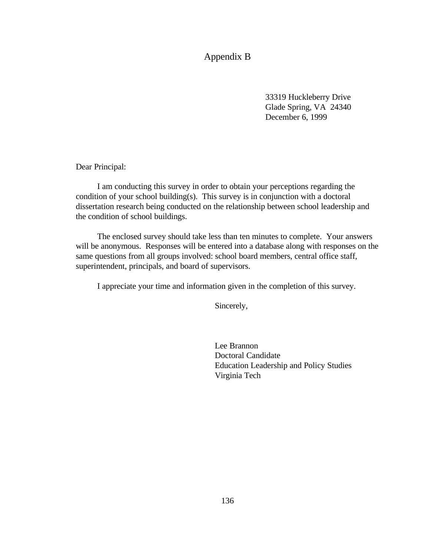Appendix B

33319 Huckleberry Drive Glade Spring, VA 24340 December 6, 1999

Dear Principal:

 I am conducting this survey in order to obtain your perceptions regarding the condition of your school building(s). This survey is in conjunction with a doctoral dissertation research being conducted on the relationship between school leadership and the condition of school buildings.

 The enclosed survey should take less than ten minutes to complete. Your answers will be anonymous. Responses will be entered into a database along with responses on the same questions from all groups involved: school board members, central office staff, superintendent, principals, and board of supervisors.

I appreciate your time and information given in the completion of this survey.

Sincerely,

Lee Brannon Doctoral Candidate Education Leadership and Policy Studies Virginia Tech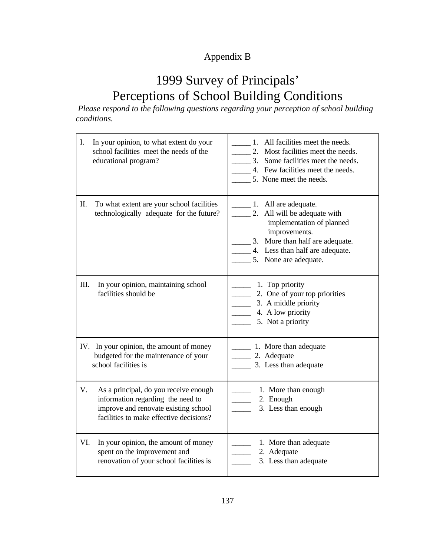# Appendix B

# 1999 Survey of Principals' Perceptions of School Building Conditions

 *Please respond to the following questions regarding your perception of school building conditions.*

| I.<br>In your opinion, to what extent do your<br>school facilities meet the needs of the<br>educational program?                                                    | All facilities meet the needs.<br>1.<br>2. Most facilities meet the needs.<br>3. Some facilities meet the needs.<br>4. Few facilities meet the needs.<br>5. None meet the needs.                     |
|---------------------------------------------------------------------------------------------------------------------------------------------------------------------|------------------------------------------------------------------------------------------------------------------------------------------------------------------------------------------------------|
| Π.<br>To what extent are your school facilities<br>technologically adequate for the future?                                                                         | 1. All are adequate.<br>2. All will be adequate with<br>implementation of planned<br>improvements.<br>More than half are adequate.<br>3.<br>4. Less than half are adequate.<br>5. None are adequate. |
| III.<br>In your opinion, maintaining school<br>facilities should be                                                                                                 | 1. Top priority<br>2. One of your top priorities<br>3. A middle priority<br>4. A low priority<br>5. Not a priority                                                                                   |
| IV. In your opinion, the amount of money<br>budgeted for the maintenance of your<br>school facilities is                                                            | 1. More than adequate<br>2. Adequate<br>$\frac{3}{2}$ . Less than adequate                                                                                                                           |
| V.<br>As a principal, do you receive enough<br>information regarding the need to<br>improve and renovate existing school<br>facilities to make effective decisions? | 1. More than enough<br>2. Enough<br>3. Less than enough                                                                                                                                              |
| VI.<br>In your opinion, the amount of money<br>spent on the improvement and<br>renovation of your school facilities is                                              | 1. More than adequate<br>2. Adequate<br>3. Less than adequate                                                                                                                                        |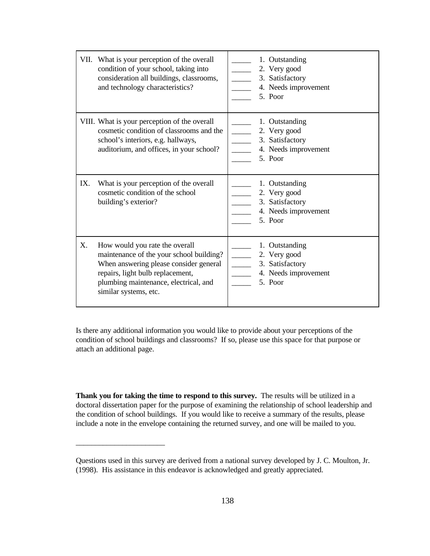|     | VII. What is your perception of the overall<br>condition of your school, taking into<br>consideration all buildings, classrooms,<br>and technology characteristics?                                                        | 1. Outstanding<br>2. Very good<br><u> 1999 - Jan Ja</u><br>3. Satisfactory<br>4. Needs improvement<br>5. Poor    |
|-----|----------------------------------------------------------------------------------------------------------------------------------------------------------------------------------------------------------------------------|------------------------------------------------------------------------------------------------------------------|
|     | VIII. What is your perception of the overall<br>cosmetic condition of classrooms and the<br>school's interiors, e.g. hallways,<br>auditorium, and offices, in your school?                                                 | 1. Outstanding<br>2. Very good<br>$\overline{\phantom{a}}$<br>3. Satisfactory<br>4. Needs improvement<br>5. Poor |
| IX. | What is your perception of the overall<br>cosmetic condition of the school<br>building's exterior?                                                                                                                         | 1. Outstanding<br>2. Very good<br>3. Satisfactory<br>4. Needs improvement<br>5. Poor                             |
| X.  | How would you rate the overall<br>maintenance of the your school building?<br>When answering please consider general<br>repairs, light bulb replacement,<br>plumbing maintenance, electrical, and<br>similar systems, etc. | 1. Outstanding<br>2. Very good<br>3. Satisfactory<br>4. Needs improvement<br>5. Poor                             |

Is there any additional information you would like to provide about your perceptions of the condition of school buildings and classrooms? If so, please use this space for that purpose or attach an additional page.

**Thank you for taking the time to respond to this survey.** The results will be utilized in a doctoral dissertation paper for the purpose of examining the relationship of school leadership and the condition of school buildings. If you would like to receive a summary of the results, please include a note in the envelope containing the returned survey, and one will be mailed to you.

\_\_\_\_\_\_\_\_\_\_\_\_\_\_\_\_\_\_\_\_\_\_\_

Questions used in this survey are derived from a national survey developed by J. C. Moulton, Jr. (1998). His assistance in this endeavor is acknowledged and greatly appreciated.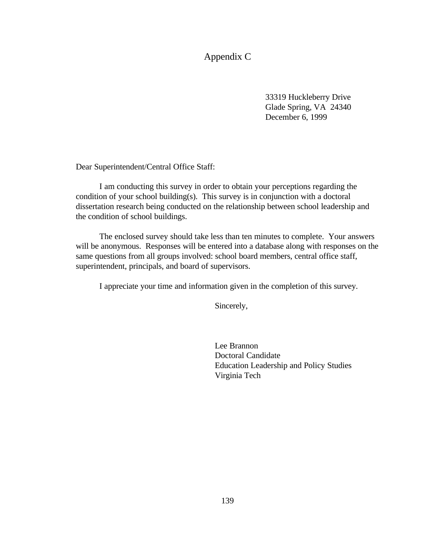Appendix C

33319 Huckleberry Drive Glade Spring, VA 24340 December 6, 1999

Dear Superintendent/Central Office Staff:

 I am conducting this survey in order to obtain your perceptions regarding the condition of your school building(s). This survey is in conjunction with a doctoral dissertation research being conducted on the relationship between school leadership and the condition of school buildings.

 The enclosed survey should take less than ten minutes to complete. Your answers will be anonymous. Responses will be entered into a database along with responses on the same questions from all groups involved: school board members, central office staff, superintendent, principals, and board of supervisors.

I appreciate your time and information given in the completion of this survey.

Sincerely,

Lee Brannon Doctoral Candidate Education Leadership and Policy Studies Virginia Tech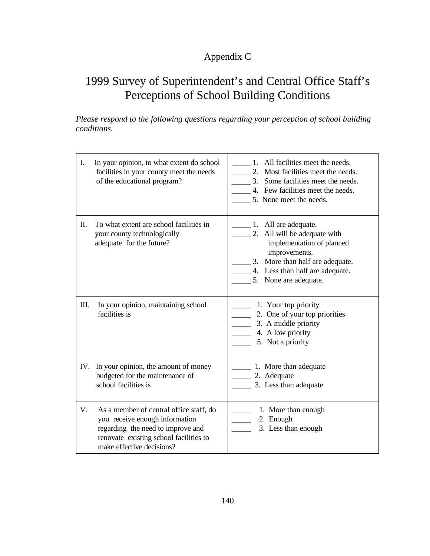# Appendix C

# 1999 Survey of Superintendent's and Central Office Staff's Perceptions of School Building Conditions

*Please respond to the following questions regarding your perception of school building conditions.*

| I.   | In your opinion, to what extent do school<br>facilities in your county meet the needs<br>of the educational program?                                                                  | All facilities meet the needs.<br>$1_{-}$<br>Most facilities meet the needs.<br>2.<br>3. Some facilities meet the needs.<br>4. Few facilities meet the needs.<br>5. None meet the needs.                        |
|------|---------------------------------------------------------------------------------------------------------------------------------------------------------------------------------------|-----------------------------------------------------------------------------------------------------------------------------------------------------------------------------------------------------------------|
| П.   | To what extent are school facilities in<br>your county technologically<br>adequate for the future?                                                                                    | $\frac{1}{2}$ 1. All are adequate.<br>2. All will be adequate with<br>implementation of planned<br>improvements.<br>3. More than half are adequate.<br>4. Less than half are adequate.<br>5. None are adequate. |
| III. | In your opinion, maintaining school<br>facilities is                                                                                                                                  | 1. Your top priority<br>2. One of your top priorities<br>3. A middle priority<br>4. A low priority<br>5. Not a priority                                                                                         |
| IV.  | In your opinion, the amount of money<br>budgeted for the maintenance of<br>school facilities is                                                                                       | 1. More than adequate<br>2. Adequate<br>3. Less than adequate                                                                                                                                                   |
| V.   | As a member of central office staff, do<br>you receive enough information<br>regarding the need to improve and<br>renovate existing school facilities to<br>make effective decisions? | 1. More than enough<br>2. Enough<br>3. Less than enough                                                                                                                                                         |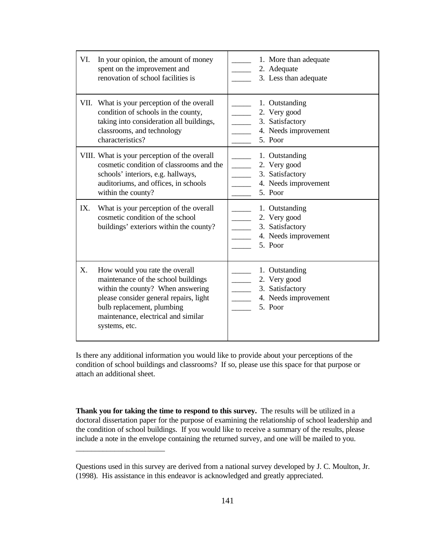| VI. | In your opinion, the amount of money<br>spent on the improvement and<br>renovation of school facilities is                                                                                                                                 | 1. More than adequate<br>2. Adequate<br>3. Less than adequate                        |
|-----|--------------------------------------------------------------------------------------------------------------------------------------------------------------------------------------------------------------------------------------------|--------------------------------------------------------------------------------------|
|     | VII. What is your perception of the overall<br>condition of schools in the county,<br>taking into consideration all buildings,<br>classrooms, and technology<br>characteristics?                                                           | 1. Outstanding<br>2. Very good<br>3. Satisfactory<br>4. Needs improvement<br>5. Poor |
|     | VIII. What is your perception of the overall<br>cosmetic condition of classrooms and the<br>schools' interiors, e.g. hallways,<br>auditoriums, and offices, in schools<br>within the county?                                               | 1. Outstanding<br>2. Very good<br>3. Satisfactory<br>4. Needs improvement<br>5. Poor |
| IX. | What is your perception of the overall<br>cosmetic condition of the school<br>buildings' exteriors within the county?                                                                                                                      | 1. Outstanding<br>2. Very good<br>3. Satisfactory<br>4. Needs improvement<br>5. Poor |
| X.  | How would you rate the overall<br>maintenance of the school buildings<br>within the county? When answering<br>please consider general repairs, light<br>bulb replacement, plumbing<br>maintenance, electrical and similar<br>systems, etc. | 1. Outstanding<br>2. Very good<br>3. Satisfactory<br>4. Needs improvement<br>5. Poor |

Is there any additional information you would like to provide about your perceptions of the condition of school buildings and classrooms? If so, please use this space for that purpose or attach an additional sheet.

**Thank you for taking the time to respond to this survey.** The results will be utilized in a doctoral dissertation paper for the purpose of examining the relationship of school leadership and the condition of school buildings. If you would like to receive a summary of the results, please include a note in the envelope containing the returned survey, and one will be mailed to you.

\_\_\_\_\_\_\_\_\_\_\_\_\_\_\_\_\_\_\_\_\_\_\_

Questions used in this survey are derived from a national survey developed by J. C. Moulton, Jr. (1998). His assistance in this endeavor is acknowledged and greatly appreciated.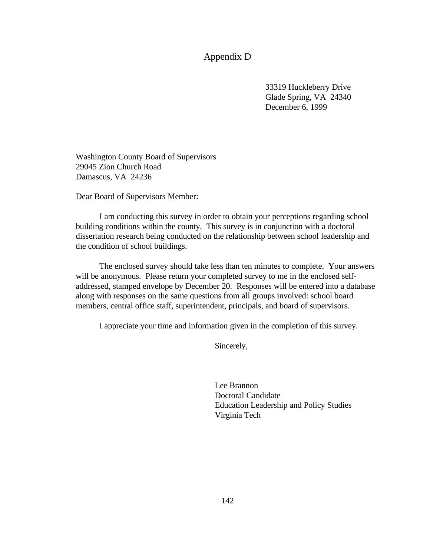## Appendix D

33319 Huckleberry Drive Glade Spring, VA 24340 December 6, 1999

Washington County Board of Supervisors 29045 Zion Church Road Damascus, VA 24236

Dear Board of Supervisors Member:

 I am conducting this survey in order to obtain your perceptions regarding school building conditions within the county. This survey is in conjunction with a doctoral dissertation research being conducted on the relationship between school leadership and the condition of school buildings.

 The enclosed survey should take less than ten minutes to complete. Your answers will be anonymous. Please return your completed survey to me in the enclosed selfaddressed, stamped envelope by December 20. Responses will be entered into a database along with responses on the same questions from all groups involved: school board members, central office staff, superintendent, principals, and board of supervisors.

I appreciate your time and information given in the completion of this survey.

Sincerely,

Lee Brannon Doctoral Candidate Education Leadership and Policy Studies Virginia Tech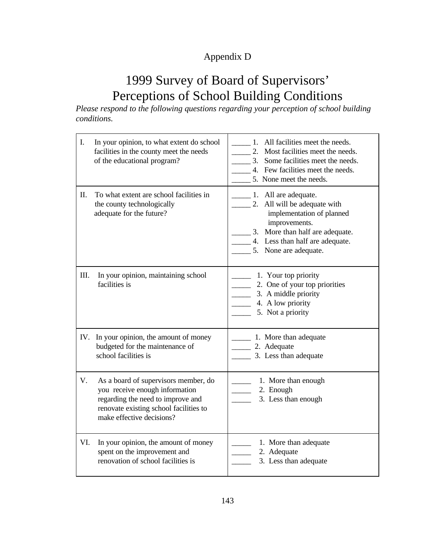# Appendix D

# 1999 Survey of Board of Supervisors' Perceptions of School Building Conditions

*Please respond to the following questions regarding your perception of school building conditions.*

| I.   | In your opinion, to what extent do school<br>facilities in the county meet the needs<br>of the educational program?                                                                | All facilities meet the needs.<br>1.<br>2. Most facilities meet the needs.<br>3.<br>Some facilities meet the needs.<br>4. Few facilities meet the needs.<br>5. None meet the needs.                                |
|------|------------------------------------------------------------------------------------------------------------------------------------------------------------------------------------|--------------------------------------------------------------------------------------------------------------------------------------------------------------------------------------------------------------------|
| Π.   | To what extent are school facilities in<br>the county technologically<br>adequate for the future?                                                                                  | $\frac{1}{2}$ 1. All are adequate.<br>2. All will be adequate with<br>implementation of planned<br>improvements.<br>More than half are adequate.<br>3.<br>4. Less than half are adequate.<br>5. None are adequate. |
| III. | In your opinion, maintaining school<br>facilities is                                                                                                                               | 1. Your top priority<br>2. One of your top priorities<br>3. A middle priority<br>4. A low priority<br>5. Not a priority                                                                                            |
| IV.  | In your opinion, the amount of money<br>budgeted for the maintenance of<br>school facilities is                                                                                    | 1. More than adequate<br>2. Adequate<br>3. Less than adequate                                                                                                                                                      |
| V.   | As a board of supervisors member, do<br>you receive enough information<br>regarding the need to improve and<br>renovate existing school facilities to<br>make effective decisions? | 1. More than enough<br>2. Enough<br>3. Less than enough                                                                                                                                                            |
| VI.  | In your opinion, the amount of money<br>spent on the improvement and<br>renovation of school facilities is                                                                         | 1. More than adequate<br>2. Adequate<br>3. Less than adequate                                                                                                                                                      |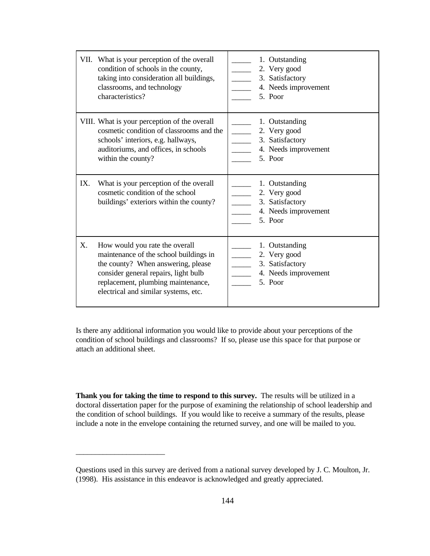|     | VII. What is your perception of the overall<br>condition of schools in the county,<br>taking into consideration all buildings,<br>classrooms, and technology<br>characteristics?                                                     | 1. Outstanding<br>2. Very good<br>3. Satisfactory<br>4. Needs improvement<br>5. Poor |
|-----|--------------------------------------------------------------------------------------------------------------------------------------------------------------------------------------------------------------------------------------|--------------------------------------------------------------------------------------|
|     | VIII. What is your perception of the overall<br>cosmetic condition of classrooms and the<br>schools' interiors, e.g. hallways,<br>auditoriums, and offices, in schools<br>within the county?                                         | 1. Outstanding<br>2. Very good<br>3. Satisfactory<br>4. Needs improvement<br>5. Poor |
| IX. | What is your perception of the overall<br>cosmetic condition of the school<br>buildings' exteriors within the county?                                                                                                                | 1. Outstanding<br>2. Very good<br>3. Satisfactory<br>4. Needs improvement<br>5. Poor |
| X.  | How would you rate the overall<br>maintenance of the school buildings in<br>the county? When answering, please<br>consider general repairs, light bulb<br>replacement, plumbing maintenance,<br>electrical and similar systems, etc. | 1. Outstanding<br>2. Very good<br>3. Satisfactory<br>4. Needs improvement<br>5. Poor |

Is there any additional information you would like to provide about your perceptions of the condition of school buildings and classrooms? If so, please use this space for that purpose or attach an additional sheet.

**Thank you for taking the time to respond to this survey.** The results will be utilized in a doctoral dissertation paper for the purpose of examining the relationship of school leadership and the condition of school buildings. If you would like to receive a summary of the results, please include a note in the envelope containing the returned survey, and one will be mailed to you.

\_\_\_\_\_\_\_\_\_\_\_\_\_\_\_\_\_\_\_\_\_\_\_

Questions used in this survey are derived from a national survey developed by J. C. Moulton, Jr. (1998). His assistance in this endeavor is acknowledged and greatly appreciated.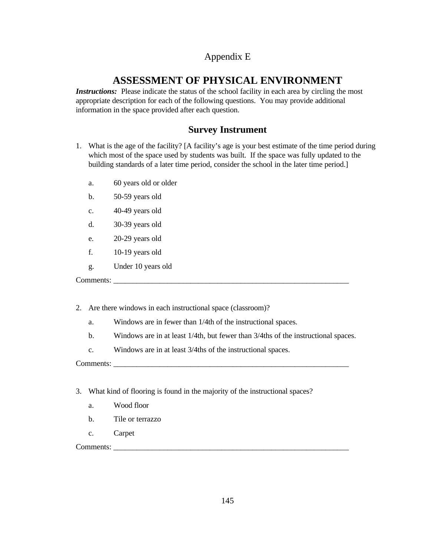# Appendix E

# **ASSESSMENT OF PHYSICAL ENVIRONMENT**

*Instructions:* Please indicate the status of the school facility in each area by circling the most appropriate description for each of the following questions. You may provide additional information in the space provided after each question.

# **Survey Instrument**

- 1. What is the age of the facility? [A facility's age is your best estimate of the time period during which most of the space used by students was built. If the space was fully updated to the building standards of a later time period, consider the school in the later time period.]
	- a. 60 years old or older
	- b. 50-59 years old
	- c. 40-49 years old
	- d. 30-39 years old
	- e. 20-29 years old
	- f. 10-19 years old
	- g. Under 10 years old

Comments: \_\_\_\_\_\_\_\_\_\_\_\_\_\_\_\_\_\_\_\_\_\_\_\_\_\_\_\_\_\_\_\_\_\_\_\_\_\_\_\_\_\_\_\_\_\_\_\_\_\_\_\_\_\_\_\_\_\_\_\_\_

- 2. Are there windows in each instructional space (classroom)?
	- a. Windows are in fewer than 1/4th of the instructional spaces.
	- b. Windows are in at least 1/4th, but fewer than 3/4ths of the instructional spaces.
	- c. Windows are in at least 3/4ths of the instructional spaces.

Comments:

- 3. What kind of flooring is found in the majority of the instructional spaces?
	- a. Wood floor
	- b. Tile or terrazzo
	- c. Carpet

Comments: \_\_\_\_\_\_\_\_\_\_\_\_\_\_\_\_\_\_\_\_\_\_\_\_\_\_\_\_\_\_\_\_\_\_\_\_\_\_\_\_\_\_\_\_\_\_\_\_\_\_\_\_\_\_\_\_\_\_\_\_\_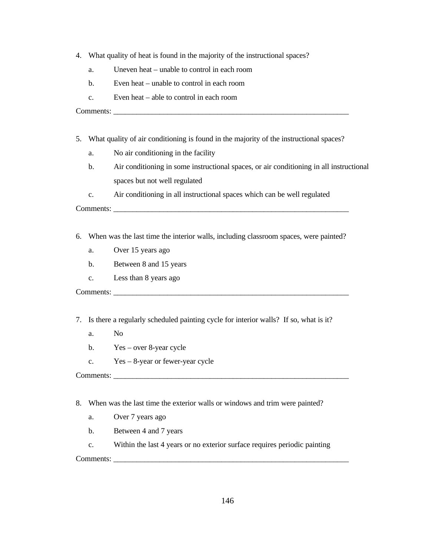- 4. What quality of heat is found in the majority of the instructional spaces?
	- a. Uneven heat unable to control in each room
	- b. Even heat unable to control in each room
	- c. Even heat able to control in each room

Comments: \_\_\_\_\_\_\_\_\_\_\_\_\_\_\_\_\_\_\_\_\_\_\_\_\_\_\_\_\_\_\_\_\_\_\_\_\_\_\_\_\_\_\_\_\_\_\_\_\_\_\_\_\_\_\_\_\_\_\_\_\_

- 5. What quality of air conditioning is found in the majority of the instructional spaces?
	- a. No air conditioning in the facility
	- b. Air conditioning in some instructional spaces, or air conditioning in all instructional spaces but not well regulated
	- c. Air conditioning in all instructional spaces which can be well regulated

Comments: \_\_\_\_\_\_\_\_\_\_\_\_\_\_\_\_\_\_\_\_\_\_\_\_\_\_\_\_\_\_\_\_\_\_\_\_\_\_\_\_\_\_\_\_\_\_\_\_\_\_\_\_\_\_\_\_\_\_\_\_\_

- 6. When was the last time the interior walls, including classroom spaces, were painted?
	- a. Over 15 years ago
	- b. Between 8 and 15 years
	- c. Less than 8 years ago

Comments: \_\_\_\_\_\_\_\_\_\_\_\_\_\_\_\_\_\_\_\_\_\_\_\_\_\_\_\_\_\_\_\_\_\_\_\_\_\_\_\_\_\_\_\_\_\_\_\_\_\_\_\_\_\_\_\_\_\_\_\_\_

7. Is there a regularly scheduled painting cycle for interior walls? If so, what is it?

- a. No
- b. Yes over 8-year cycle
- c. Yes 8-year or fewer-year cycle

Comments: \_\_\_\_\_\_\_\_\_\_\_\_\_\_\_\_\_\_\_\_\_\_\_\_\_\_\_\_\_\_\_\_\_\_\_\_\_\_\_\_\_\_\_\_\_\_\_\_\_\_\_\_\_\_\_\_\_\_\_\_\_

- 8. When was the last time the exterior walls or windows and trim were painted?
	- a. Over 7 years ago
	- b. Between 4 and 7 years

c. Within the last 4 years or no exterior surface requires periodic painting

Comments: \_\_\_\_\_\_\_\_\_\_\_\_\_\_\_\_\_\_\_\_\_\_\_\_\_\_\_\_\_\_\_\_\_\_\_\_\_\_\_\_\_\_\_\_\_\_\_\_\_\_\_\_\_\_\_\_\_\_\_\_\_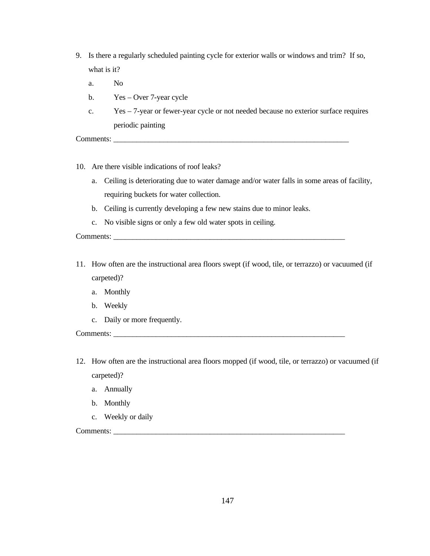- 9. Is there a regularly scheduled painting cycle for exterior walls or windows and trim? If so, what is it?
	- a. No
	- b. Yes Over 7-year cycle
	- c. Yes 7-year or fewer-year cycle or not needed because no exterior surface requires periodic painting

Comments:

- 10. Are there visible indications of roof leaks?
	- a. Ceiling is deteriorating due to water damage and/or water falls in some areas of facility, requiring buckets for water collection.
	- b. Ceiling is currently developing a few new stains due to minor leaks.
	- c. No visible signs or only a few old water spots in ceiling.

Comments:

- 11. How often are the instructional area floors swept (if wood, tile, or terrazzo) or vacuumed (if carpeted)?
	- a. Monthly
	- b. Weekly
	- c. Daily or more frequently.

Comments: \_\_\_\_\_\_\_\_\_\_\_\_\_\_\_\_\_\_\_\_\_\_\_\_\_\_\_\_\_\_\_\_\_\_\_\_\_\_\_\_\_\_\_\_\_\_\_\_\_\_\_\_\_\_\_\_\_\_\_\_

- 12. How often are the instructional area floors mopped (if wood, tile, or terrazzo) or vacuumed (if carpeted)?
	- a. Annually
	- b. Monthly
	- c. Weekly or daily

Comments: \_\_\_\_\_\_\_\_\_\_\_\_\_\_\_\_\_\_\_\_\_\_\_\_\_\_\_\_\_\_\_\_\_\_\_\_\_\_\_\_\_\_\_\_\_\_\_\_\_\_\_\_\_\_\_\_\_\_\_\_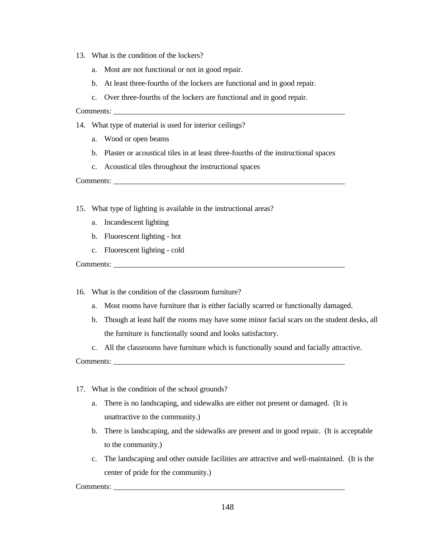- 13. What is the condition of the lockers?
	- a. Most are not functional or not in good repair.
	- b. At least three-fourths of the lockers are functional and in good repair.
	- c. Over three-fourths of the lockers are functional and in good repair.

#### Comments:

- 14. What type of material is used for interior ceilings?
	- a. Wood or open beams
	- b. Plaster or acoustical tiles in at least three-fourths of the instructional spaces
	- c. Acoustical tiles throughout the instructional spaces

Comments:

- 15. What type of lighting is available in the instructional areas?
	- a. Incandescent lighting
	- b. Fluorescent lighting hot
	- c. Fluorescent lighting cold

Comments:

- 16. What is the condition of the classroom furniture?
	- a. Most rooms have furniture that is either facially scarred or functionally damaged.
	- b. Though at least half the rooms may have some minor facial scars on the student desks, all the furniture is functionally sound and looks satisfactory.
	- c. All the classrooms have furniture which is functionally sound and facially attractive.

Comments:

- 17. What is the condition of the school grounds?
	- a. There is no landscaping, and sidewalks are either not present or damaged. (It is unattractive to the community.)
	- b. There is landscaping, and the sidewalks are present and in good repair. (It is acceptable to the community.)
	- c. The landscaping and other outside facilities are attractive and well-maintained. (It is the center of pride for the community.)

Comments: \_\_\_\_\_\_\_\_\_\_\_\_\_\_\_\_\_\_\_\_\_\_\_\_\_\_\_\_\_\_\_\_\_\_\_\_\_\_\_\_\_\_\_\_\_\_\_\_\_\_\_\_\_\_\_\_\_\_\_\_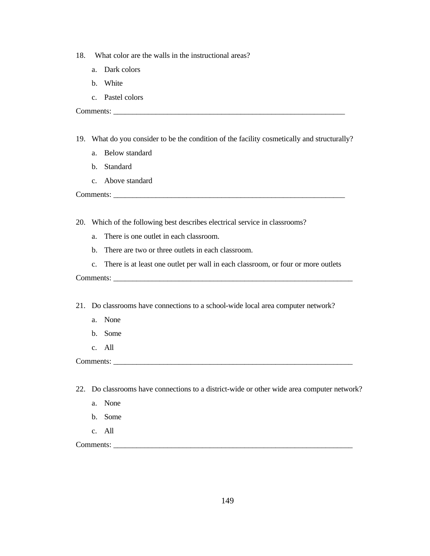- 18. What color are the walls in the instructional areas?
	- a. Dark colors
	- b. White
	- c. Pastel colors

Comments: \_\_\_\_\_\_\_\_\_\_\_\_\_\_\_\_\_\_\_\_\_\_\_\_\_\_\_\_\_\_\_\_\_\_\_\_\_\_\_\_\_\_\_\_\_\_\_\_\_\_\_\_\_\_\_\_\_\_\_\_

- 19. What do you consider to be the condition of the facility cosmetically and structurally?
	- a. Below standard
	- b. Standard
	- c. Above standard

Comments: \_\_\_\_\_\_\_\_\_\_\_\_\_\_\_\_\_\_\_\_\_\_\_\_\_\_\_\_\_\_\_\_\_\_\_\_\_\_\_\_\_\_\_\_\_\_\_\_\_\_\_\_\_\_\_\_\_\_\_\_

20. Which of the following best describes electrical service in classrooms?

- a. There is one outlet in each classroom.
- b. There are two or three outlets in each classroom.
- c. There is at least one outlet per wall in each classroom, or four or more outlets

Comments:

21. Do classrooms have connections to a school-wide local area computer network?

- a. None
- b. Some
- c. All

Comments: \_\_\_\_\_\_\_\_\_\_\_\_\_\_\_\_\_\_\_\_\_\_\_\_\_\_\_\_\_\_\_\_\_\_\_\_\_\_\_\_\_\_\_\_\_\_\_\_\_\_\_\_\_\_\_\_\_\_\_\_\_\_

22. Do classrooms have connections to a district-wide or other wide area computer network?

- a. None
- b. Some
- c. All

Comments: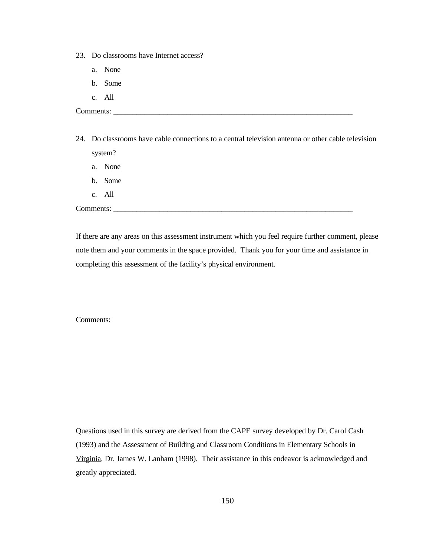- 23. Do classrooms have Internet access?
	- a. None
	- b. Some
	- c. All

Comments: \_\_\_\_\_\_\_\_\_\_\_\_\_\_\_\_\_\_\_\_\_\_\_\_\_\_\_\_\_\_\_\_\_\_\_\_\_\_\_\_\_\_\_\_\_\_\_\_\_\_\_\_\_\_\_\_\_\_\_\_\_\_

- 24. Do classrooms have cable connections to a central television antenna or other cable television system?
	- a. None
	- b. Some
	- c. All

Comments: \_\_\_\_\_\_\_\_\_\_\_\_\_\_\_\_\_\_\_\_\_\_\_\_\_\_\_\_\_\_\_\_\_\_\_\_\_\_\_\_\_\_\_\_\_\_\_\_\_\_\_\_\_\_\_\_\_\_\_\_\_\_

If there are any areas on this assessment instrument which you feel require further comment, please note them and your comments in the space provided. Thank you for your time and assistance in completing this assessment of the facility's physical environment.

Comments:

Questions used in this survey are derived from the CAPE survey developed by Dr. Carol Cash (1993) and the Assessment of Building and Classroom Conditions in Elementary Schools in Virginia, Dr. James W. Lanham (1998). Their assistance in this endeavor is acknowledged and greatly appreciated.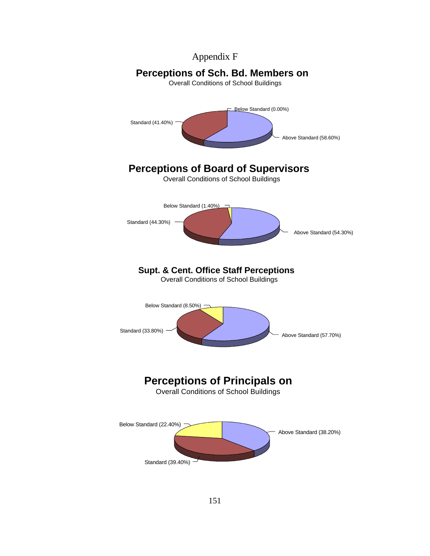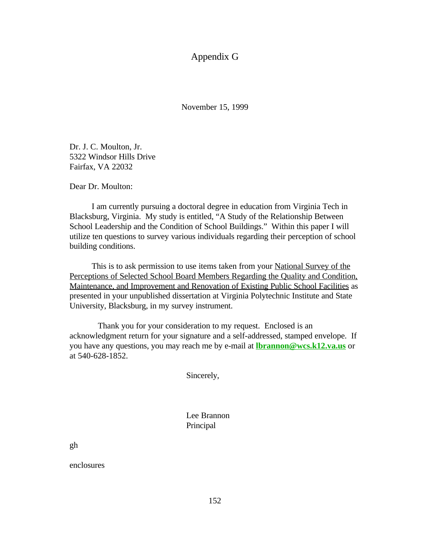Appendix G

November 15, 1999

Dr. J. C. Moulton, Jr. 5322 Windsor Hills Drive Fairfax, VA 22032

Dear Dr. Moulton:

I am currently pursuing a doctoral degree in education from Virginia Tech in Blacksburg, Virginia. My study is entitled, "A Study of the Relationship Between School Leadership and the Condition of School Buildings." Within this paper I will utilize ten questions to survey various individuals regarding their perception of school building conditions.

This is to ask permission to use items taken from your National Survey of the Perceptions of Selected School Board Members Regarding the Quality and Condition, Maintenance, and Improvement and Renovation of Existing Public School Facilities as presented in your unpublished dissertation at Virginia Polytechnic Institute and State University, Blacksburg, in my survey instrument.

Thank you for your consideration to my request. Enclosed is an acknowledgment return for your signature and a self-addressed, stamped envelope. If you have any questions, you may reach me by e-mail at **lbrannon@wcs.k12.va.us** or at 540-628-1852.

Sincerely,

Lee Brannon Principal

gh

enclosures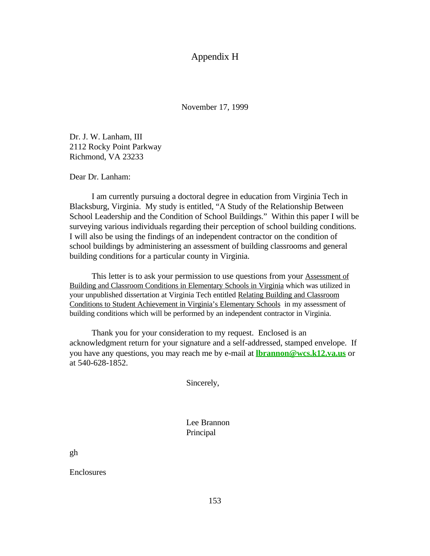### Appendix H

November 17, 1999

Dr. J. W. Lanham, III 2112 Rocky Point Parkway Richmond, VA 23233

Dear Dr. Lanham:

I am currently pursuing a doctoral degree in education from Virginia Tech in Blacksburg, Virginia. My study is entitled, "A Study of the Relationship Between School Leadership and the Condition of School Buildings." Within this paper I will be surveying various individuals regarding their perception of school building conditions. I will also be using the findings of an independent contractor on the condition of school buildings by administering an assessment of building classrooms and general building conditions for a particular county in Virginia.

This letter is to ask your permission to use questions from your **Assessment of** Building and Classroom Conditions in Elementary Schools in Virginia which was utilized in your unpublished dissertation at Virginia Tech entitled Relating Building and Classroom Conditions to Student Achievement in Virginia's Elementary Schools in my assessment of building conditions which will be performed by an independent contractor in Virginia.

Thank you for your consideration to my request. Enclosed is an acknowledgment return for your signature and a self-addressed, stamped envelope. If you have any questions, you may reach me by e-mail at **lbrannon@wcs.k12.va.us** or at 540-628-1852.

Sincerely,

Lee Brannon Principal

gh

Enclosures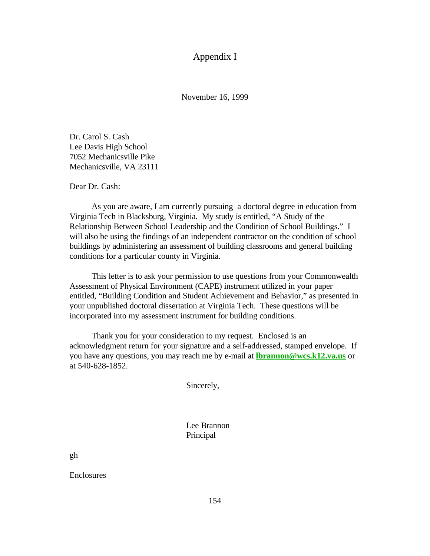## Appendix I

November 16, 1999

Dr. Carol S. Cash Lee Davis High School 7052 Mechanicsville Pike Mechanicsville, VA 23111

Dear Dr. Cash:

As you are aware, I am currently pursuing a doctoral degree in education from Virginia Tech in Blacksburg, Virginia. My study is entitled, "A Study of the Relationship Between School Leadership and the Condition of School Buildings." I will also be using the findings of an independent contractor on the condition of school buildings by administering an assessment of building classrooms and general building conditions for a particular county in Virginia.

This letter is to ask your permission to use questions from your Commonwealth Assessment of Physical Environment (CAPE) instrument utilized in your paper entitled, "Building Condition and Student Achievement and Behavior," as presented in your unpublished doctoral dissertation at Virginia Tech. These questions will be incorporated into my assessment instrument for building conditions.

Thank you for your consideration to my request. Enclosed is an acknowledgment return for your signature and a self-addressed, stamped envelope. If you have any questions, you may reach me by e-mail at **lbrannon@wcs.k12.va.us** or at 540-628-1852.

Sincerely,

Lee Brannon Principal

gh

Enclosures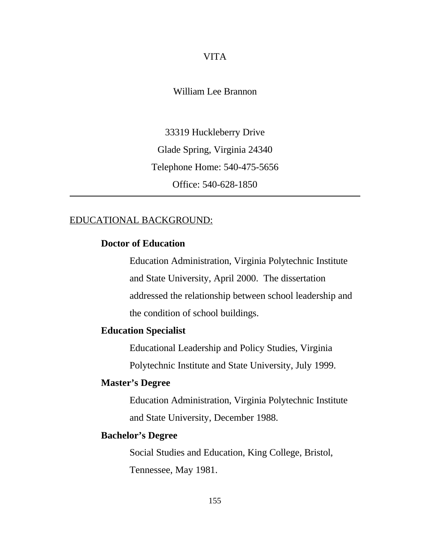### VITA

William Lee Brannon

33319 Huckleberry Drive Glade Spring, Virginia 24340 Telephone Home: 540-475-5656 Office: 540-628-1850

## EDUCATIONAL BACKGROUND:

## **Doctor of Education**

Education Administration, Virginia Polytechnic Institute and State University, April 2000. The dissertation addressed the relationship between school leadership and the condition of school buildings.

## **Education Specialist**

Educational Leadership and Policy Studies, Virginia Polytechnic Institute and State University, July 1999.

## **Master's Degree**

Education Administration, Virginia Polytechnic Institute and State University, December 1988.

## **Bachelor's Degree**

Social Studies and Education, King College, Bristol, Tennessee, May 1981.